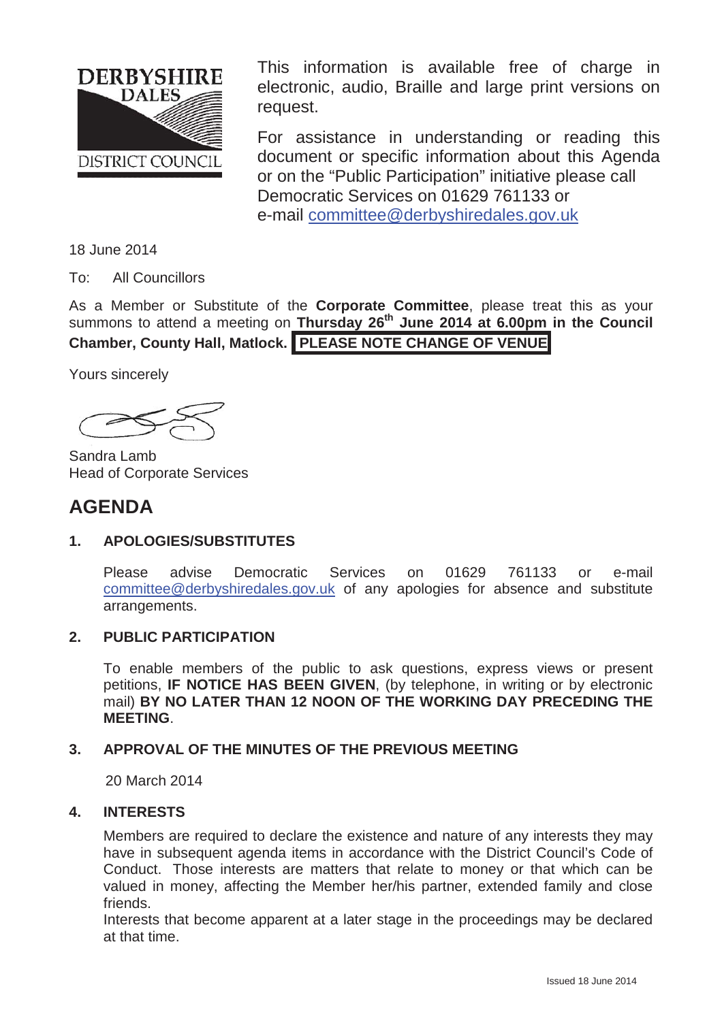

This information is available free of charge in electronic, audio, Braille and large print versions on request.

For assistance in understanding or reading this document or specific information about this Agenda or on the "Public Participation" initiative please call Democratic Services on 01629 761133 or e-mail committee@derbyshiredales.gov.uk

18 June 2014

To: All Councillors

As a Member or Substitute of the **Corporate Committee**, please treat this as your summons to attend a meeting on **Thursday 26th June 2014 at 6.00pm in the Council Chamber, County Hall, Matlock. PLEASE NOTE CHANGE OF VENUE**

Yours sincerely

Sandra Lamb Head of Corporate Services

# **AGENDA**

# **1. APOLOGIES/SUBSTITUTES**

Please advise Democratic Services on 01629 761133 or e-mail committee@derbyshiredales.gov.uk of any apologies for absence and substitute arrangements.

# **2. PUBLIC PARTICIPATION**

To enable members of the public to ask questions, express views or present petitions, **IF NOTICE HAS BEEN GIVEN**, (by telephone, in writing or by electronic mail) **BY NO LATER THAN 12 NOON OF THE WORKING DAY PRECEDING THE MEETING**.

# **3. APPROVAL OF THE MINUTES OF THE PREVIOUS MEETING**

20 March 2014

# **4. INTERESTS**

Members are required to declare the existence and nature of any interests they may have in subsequent agenda items in accordance with the District Council's Code of Conduct. Those interests are matters that relate to money or that which can be valued in money, affecting the Member her/his partner, extended family and close friends.

Interests that become apparent at a later stage in the proceedings may be declared at that time.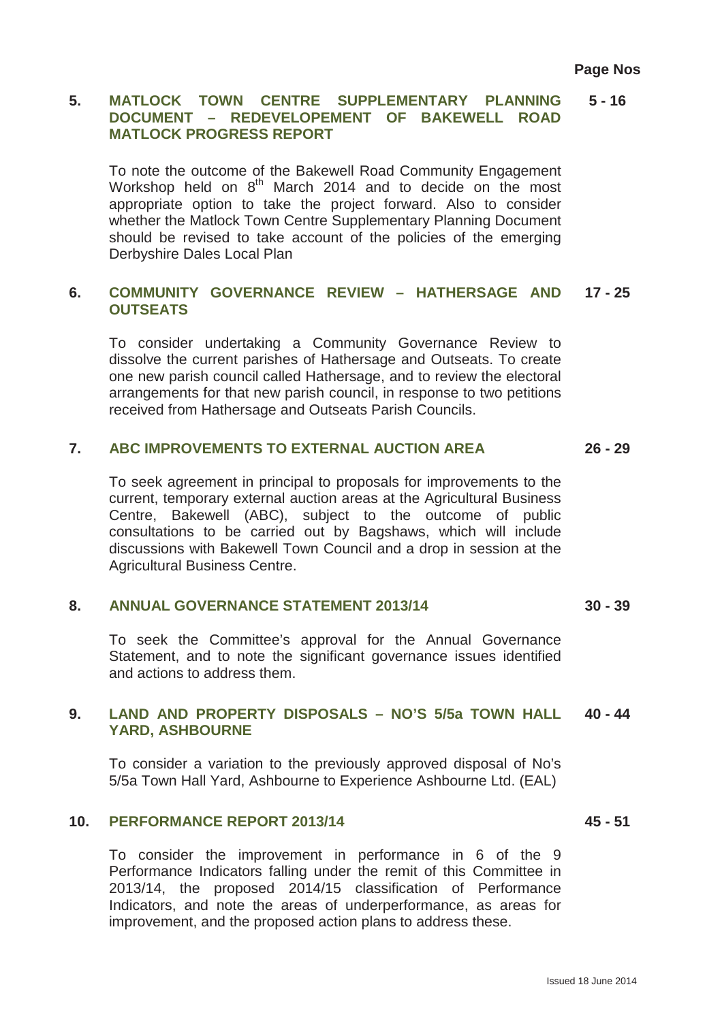#### **5. MATLOCK TOWN CENTRE SUPPLEMENTARY PLANNING DOCUMENT – REDEVELOPEMENT OF BAKEWELL ROAD MATLOCK PROGRESS REPORT 5 - 16**

To note the outcome of the Bakewell Road Community Engagement Workshop held on  $8<sup>th</sup>$  March 2014 and to decide on the most appropriate option to take the project forward. Also to consider whether the Matlock Town Centre Supplementary Planning Document should be revised to take account of the policies of the emerging Derbyshire Dales Local Plan

#### **6. COMMUNITY GOVERNANCE REVIEW – HATHERSAGE AND OUTSEATS 17 - 25**

To consider undertaking a Community Governance Review to dissolve the current parishes of Hathersage and Outseats. To create one new parish council called Hathersage, and to review the electoral arrangements for that new parish council, in response to two petitions received from Hathersage and Outseats Parish Councils.

#### **7. ABC IMPROVEMENTS TO EXTERNAL AUCTION AREA 26 - 29**

To seek agreement in principal to proposals for improvements to the current, temporary external auction areas at the Agricultural Business Centre, Bakewell (ABC), subject to the outcome of public consultations to be carried out by Bagshaws, which will include discussions with Bakewell Town Council and a drop in session at the Agricultural Business Centre.

#### **8. ANNUAL GOVERNANCE STATEMENT 2013/14 30 - 39**

To seek the Committee's approval for the Annual Governance Statement, and to note the significant governance issues identified and actions to address them.

#### **9. LAND AND PROPERTY DISPOSALS – NO'S 5/5a TOWN HALL YARD, ASHBOURNE 40 - 44**

To consider a variation to the previously approved disposal of No's 5/5a Town Hall Yard, Ashbourne to Experience Ashbourne Ltd. (EAL)

### **10. PERFORMANCE REPORT 2013/14**

To consider the improvement in performance in 6 of the 9 Performance Indicators falling under the remit of this Committee in 2013/14, the proposed 2014/15 classification of Performance Indicators, and note the areas of underperformance, as areas for improvement, and the proposed action plans to address these.

**45 - 51**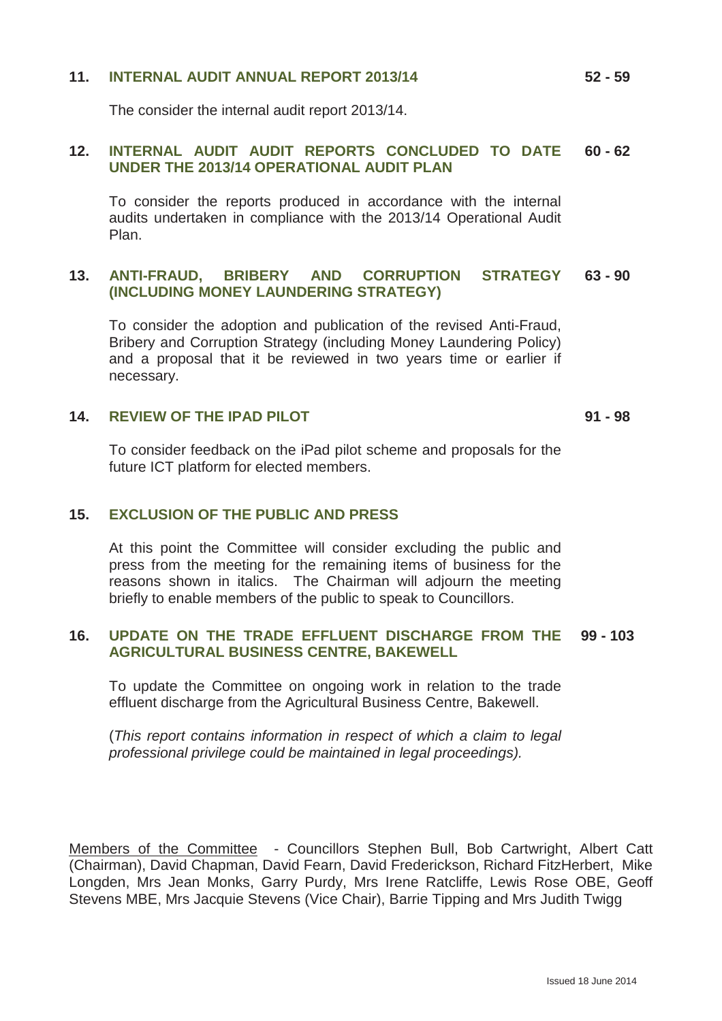# **11. INTERNAL AUDIT ANNUAL REPORT 2013/14**

The consider the internal audit report 2013/14.

#### **12. INTERNAL AUDIT AUDIT REPORTS CONCLUDED TO DATE UNDER THE 2013/14 OPERATIONAL AUDIT PLAN 60 - 62**

To consider the reports produced in accordance with the internal audits undertaken in compliance with the 2013/14 Operational Audit Plan.

#### **13. ANTI-FRAUD, BRIBERY AND CORRUPTION STRATEGY (INCLUDING MONEY LAUNDERING STRATEGY) 63 - 90**

To consider the adoption and publication of the revised Anti-Fraud, Bribery and Corruption Strategy (including Money Laundering Policy) and a proposal that it be reviewed in two years time or earlier if necessary.

## **14. REVIEW OF THE IPAD PILOT**

**91 - 98**

To consider feedback on the iPad pilot scheme and proposals for the future ICT platform for elected members.

### **15. EXCLUSION OF THE PUBLIC AND PRESS**

At this point the Committee will consider excluding the public and press from the meeting for the remaining items of business for the reasons shown in italics. The Chairman will adjourn the meeting briefly to enable members of the public to speak to Councillors.

#### **16. UPDATE ON THE TRADE EFFLUENT DISCHARGE FROM THE AGRICULTURAL BUSINESS CENTRE, BAKEWELL 99 - 103**

To update the Committee on ongoing work in relation to the trade effluent discharge from the Agricultural Business Centre, Bakewell.

(*This report contains information in respect of which a claim to legal professional privilege could be maintained in legal proceedings).*

Members of the Committee - Councillors Stephen Bull, Bob Cartwright, Albert Catt (Chairman), David Chapman, David Fearn, David Frederickson, Richard FitzHerbert, Mike Longden, Mrs Jean Monks, Garry Purdy, Mrs Irene Ratcliffe, Lewis Rose OBE, Geoff Stevens MBE, Mrs Jacquie Stevens (Vice Chair), Barrie Tipping and Mrs Judith Twigg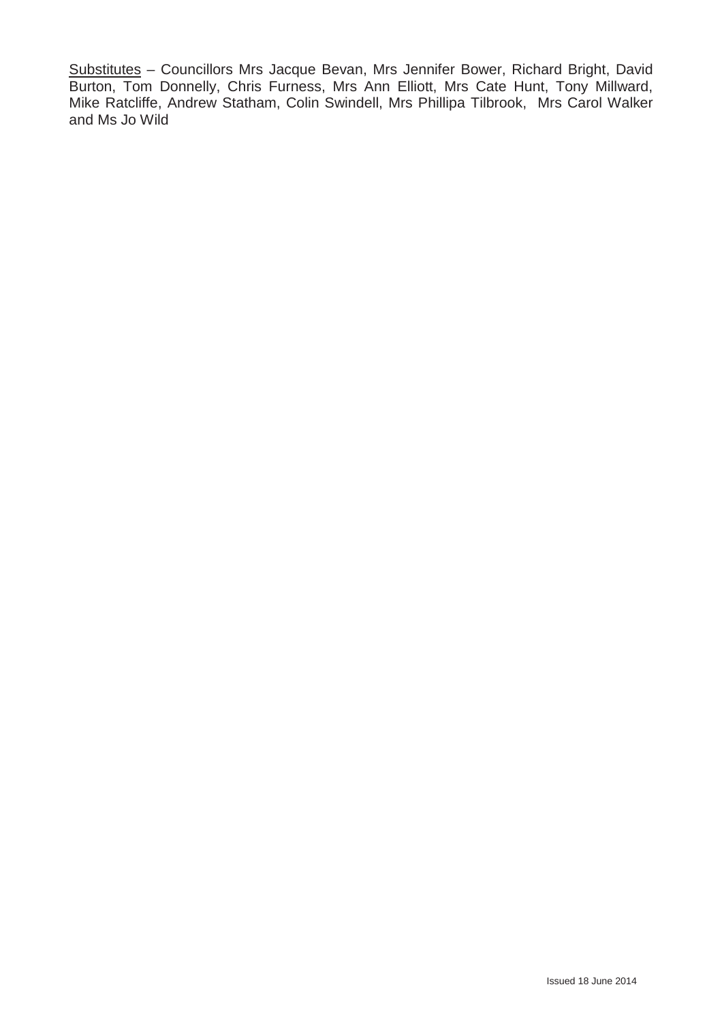Substitutes – Councillors Mrs Jacque Bevan, Mrs Jennifer Bower, Richard Bright, David Burton, Tom Donnelly, Chris Furness, Mrs Ann Elliott, Mrs Cate Hunt, Tony Millward, Mike Ratcliffe, Andrew Statham, Colin Swindell, Mrs Phillipa Tilbrook, Mrs Carol Walker and Ms Jo Wild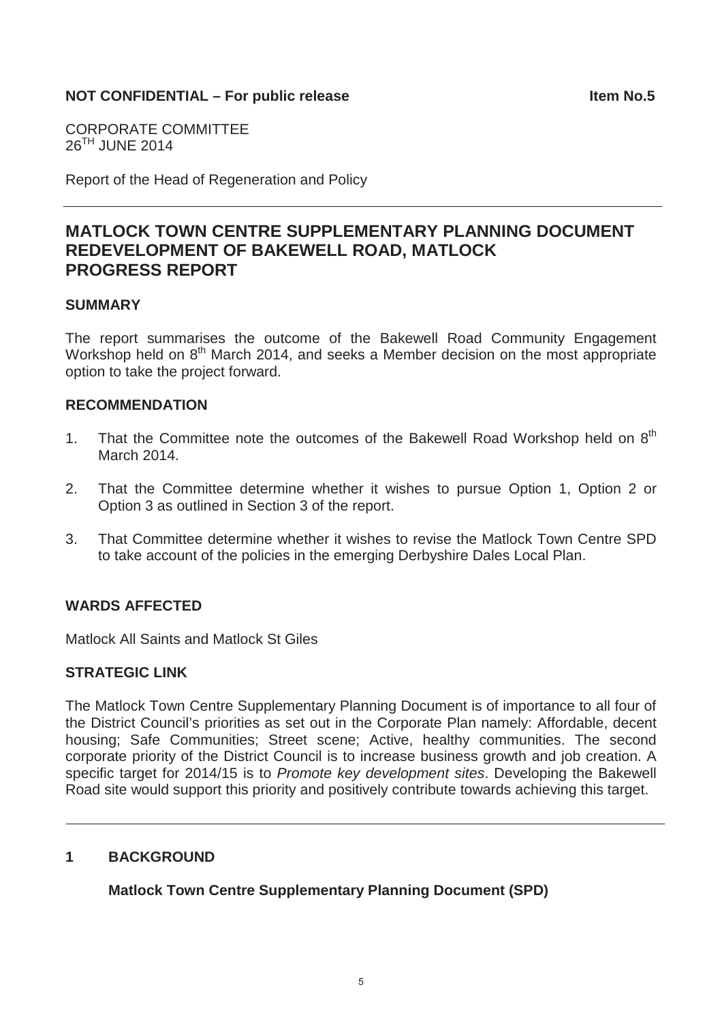# **NOT CONFIDENTIAL – For public release Internal contract in the Item No.5**

CORPORATE COMMITTEE 26TH JUNE 2014

Report of the Head of Regeneration and Policy

# **MATLOCK TOWN CENTRE SUPPLEMENTARY PLANNING DOCUMENT REDEVELOPMENT OF BAKEWELL ROAD, MATLOCK PROGRESS REPORT**

## **SUMMARY**

The report summarises the outcome of the Bakewell Road Community Engagement Workshop held on 8<sup>th</sup> March 2014, and seeks a Member decision on the most appropriate option to take the project forward.

# **RECOMMENDATION**

- 1. That the Committee note the outcomes of the Bakewell Road Workshop held on  $8<sup>th</sup>$ March 2014.
- 2. That the Committee determine whether it wishes to pursue Option 1, Option 2 or Option 3 as outlined in Section 3 of the report.
- 3. That Committee determine whether it wishes to revise the Matlock Town Centre SPD to take account of the policies in the emerging Derbyshire Dales Local Plan.

# **WARDS AFFECTED**

Matlock All Saints and Matlock St Giles

## **STRATEGIC LINK**

The Matlock Town Centre Supplementary Planning Document is of importance to all four of the District Council's priorities as set out in the Corporate Plan namely: Affordable, decent housing; Safe Communities; Street scene; Active, healthy communities. The second corporate priority of the District Council is to increase business growth and job creation. A specific target for 2014/15 is to *Promote key development sites*. Developing the Bakewell Road site would support this priority and positively contribute towards achieving this target.

# **1 BACKGROUND**

**Matlock Town Centre Supplementary Planning Document (SPD)**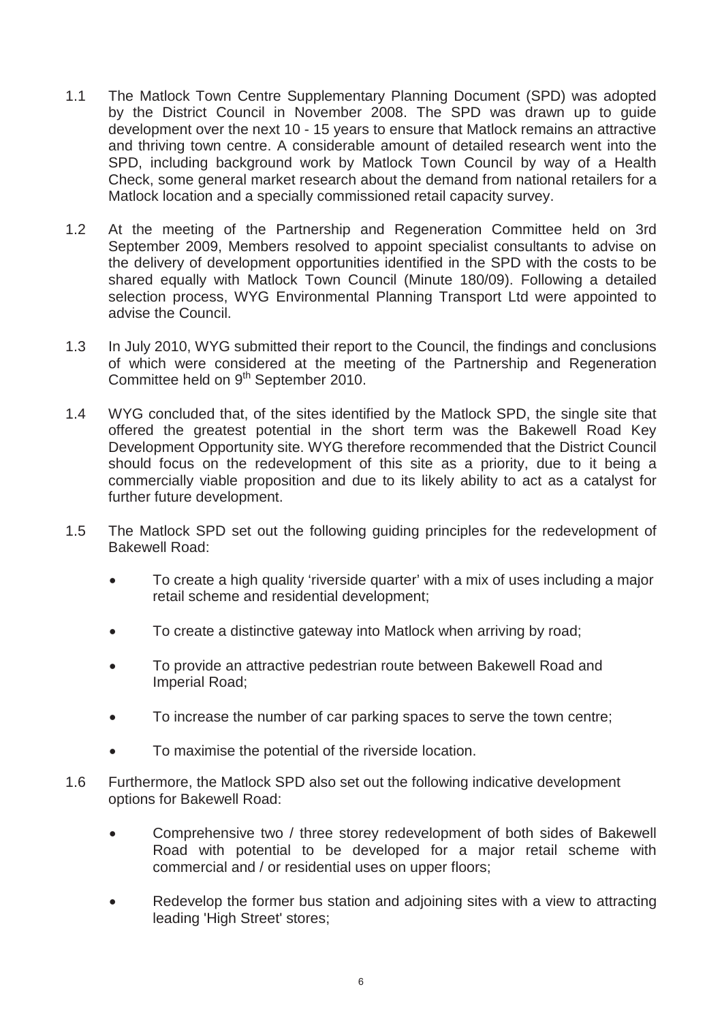- 1.1 The Matlock Town Centre Supplementary Planning Document (SPD) was adopted by the District Council in November 2008. The SPD was drawn up to guide development over the next 10 - 15 years to ensure that Matlock remains an attractive and thriving town centre. A considerable amount of detailed research went into the SPD, including background work by Matlock Town Council by way of a Health Check, some general market research about the demand from national retailers for a Matlock location and a specially commissioned retail capacity survey.
- 1.2 At the meeting of the Partnership and Regeneration Committee held on 3rd September 2009, Members resolved to appoint specialist consultants to advise on the delivery of development opportunities identified in the SPD with the costs to be shared equally with Matlock Town Council (Minute 180/09). Following a detailed selection process, WYG Environmental Planning Transport Ltd were appointed to advise the Council.
- 1.3 In July 2010, WYG submitted their report to the Council, the findings and conclusions of which were considered at the meeting of the Partnership and Regeneration Committee held on 9<sup>th</sup> September 2010.
- 1.4 WYG concluded that, of the sites identified by the Matlock SPD, the single site that offered the greatest potential in the short term was the Bakewell Road Key Development Opportunity site. WYG therefore recommended that the District Council should focus on the redevelopment of this site as a priority, due to it being a commercially viable proposition and due to its likely ability to act as a catalyst for further future development.
- 1.5 The Matlock SPD set out the following guiding principles for the redevelopment of Bakewell Road:
	- To create a high quality 'riverside quarter' with a mix of uses including a major retail scheme and residential development;
	- To create a distinctive gateway into Matlock when arriving by road;
	- To provide an attractive pedestrian route between Bakewell Road and Imperial Road;
	- To increase the number of car parking spaces to serve the town centre;
	- To maximise the potential of the riverside location.
- 1.6 Furthermore, the Matlock SPD also set out the following indicative development options for Bakewell Road:
	- Comprehensive two / three storey redevelopment of both sides of Bakewell Road with potential to be developed for a major retail scheme with commercial and / or residential uses on upper floors;
	- Redevelop the former bus station and adjoining sites with a view to attracting leading 'High Street' stores;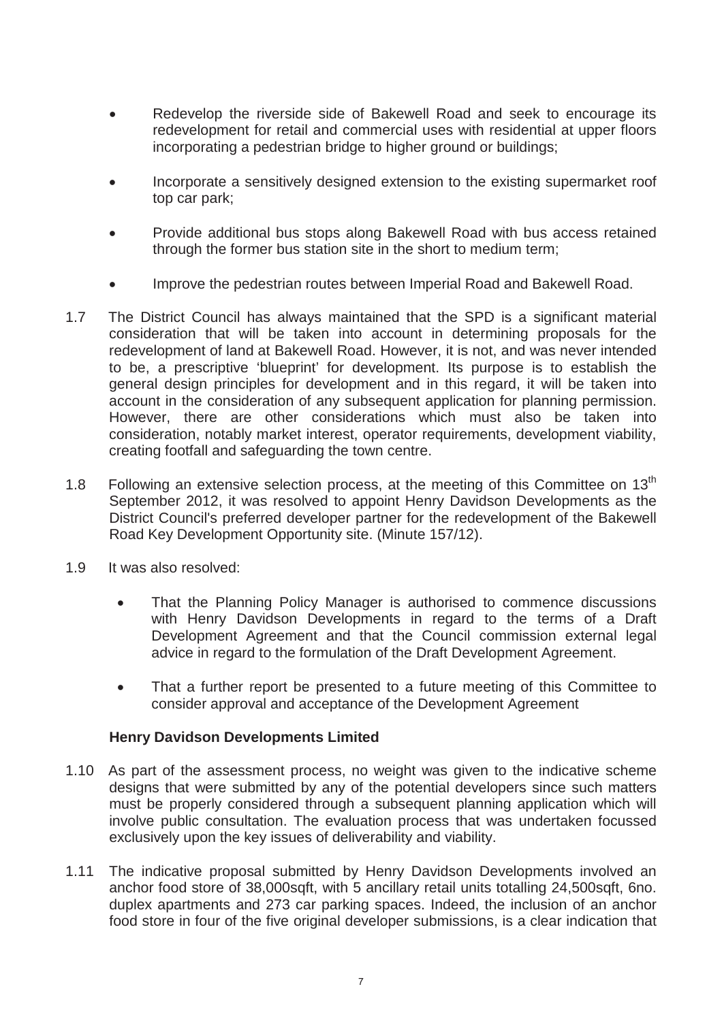- Redevelop the riverside side of Bakewell Road and seek to encourage its redevelopment for retail and commercial uses with residential at upper floors incorporating a pedestrian bridge to higher ground or buildings;
- x Incorporate a sensitively designed extension to the existing supermarket roof top car park;
- Provide additional bus stops along Bakewell Road with bus access retained through the former bus station site in the short to medium term;
- Improve the pedestrian routes between Imperial Road and Bakewell Road.
- 1.7 The District Council has always maintained that the SPD is a significant material consideration that will be taken into account in determining proposals for the redevelopment of land at Bakewell Road. However, it is not, and was never intended to be, a prescriptive 'blueprint' for development. Its purpose is to establish the general design principles for development and in this regard, it will be taken into account in the consideration of any subsequent application for planning permission. However, there are other considerations which must also be taken into consideration, notably market interest, operator requirements, development viability, creating footfall and safeguarding the town centre.
- 1.8 Following an extensive selection process, at the meeting of this Committee on 13<sup>th</sup> September 2012, it was resolved to appoint Henry Davidson Developments as the District Council's preferred developer partner for the redevelopment of the Bakewell Road Key Development Opportunity site. (Minute 157/12).
- 1.9 It was also resolved:
	- That the Planning Policy Manager is authorised to commence discussions with Henry Davidson Developments in regard to the terms of a Draft Development Agreement and that the Council commission external legal advice in regard to the formulation of the Draft Development Agreement.
	- That a further report be presented to a future meeting of this Committee to consider approval and acceptance of the Development Agreement

# **Henry Davidson Developments Limited**

- 1.10 As part of the assessment process, no weight was given to the indicative scheme designs that were submitted by any of the potential developers since such matters must be properly considered through a subsequent planning application which will involve public consultation. The evaluation process that was undertaken focussed exclusively upon the key issues of deliverability and viability.
- 1.11 The indicative proposal submitted by Henry Davidson Developments involved an anchor food store of 38,000sqft, with 5 ancillary retail units totalling 24,500sqft, 6no. duplex apartments and 273 car parking spaces. Indeed, the inclusion of an anchor food store in four of the five original developer submissions, is a clear indication that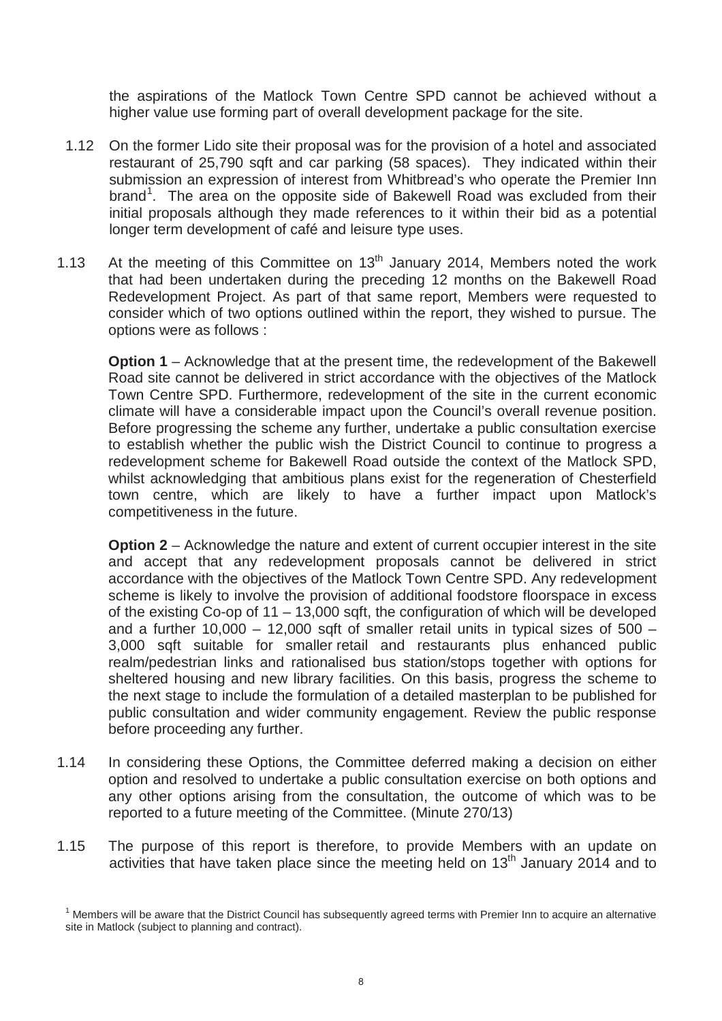the aspirations of the Matlock Town Centre SPD cannot be achieved without a higher value use forming part of overall development package for the site.

- 1.12 On the former Lido site their proposal was for the provision of a hotel and associated restaurant of 25,790 sqft and car parking (58 spaces). They indicated within their submission an expression of interest from Whitbread's who operate the Premier Inn brand<sup>1</sup>. The area on the opposite side of Bakewell Road was excluded from their initial proposals although they made references to it within their bid as a potential longer term development of café and leisure type uses.
- 1.13 At the meeting of this Committee on  $13<sup>th</sup>$  January 2014, Members noted the work that had been undertaken during the preceding 12 months on the Bakewell Road Redevelopment Project. As part of that same report, Members were requested to consider which of two options outlined within the report, they wished to pursue. The options were as follows :

**Option 1** – Acknowledge that at the present time, the redevelopment of the Bakewell Road site cannot be delivered in strict accordance with the objectives of the Matlock Town Centre SPD. Furthermore, redevelopment of the site in the current economic climate will have a considerable impact upon the Council's overall revenue position. Before progressing the scheme any further, undertake a public consultation exercise to establish whether the public wish the District Council to continue to progress a redevelopment scheme for Bakewell Road outside the context of the Matlock SPD, whilst acknowledging that ambitious plans exist for the regeneration of Chesterfield town centre, which are likely to have a further impact upon Matlock's competitiveness in the future.

**Option 2** – Acknowledge the nature and extent of current occupier interest in the site and accept that any redevelopment proposals cannot be delivered in strict accordance with the objectives of the Matlock Town Centre SPD. Any redevelopment scheme is likely to involve the provision of additional foodstore floorspace in excess of the existing Co-op of 11 – 13,000 sqft, the configuration of which will be developed and a further 10,000 – 12,000 sqft of smaller retail units in typical sizes of  $500 -$ 3,000 sqft suitable for smaller retail and restaurants plus enhanced public realm/pedestrian links and rationalised bus station/stops together with options for sheltered housing and new library facilities. On this basis, progress the scheme to the next stage to include the formulation of a detailed masterplan to be published for public consultation and wider community engagement. Review the public response before proceeding any further.

- 1.14 In considering these Options, the Committee deferred making a decision on either option and resolved to undertake a public consultation exercise on both options and any other options arising from the consultation, the outcome of which was to be reported to a future meeting of the Committee. (Minute 270/13)
- 1.15 The purpose of this report is therefore, to provide Members with an update on activities that have taken place since the meeting held on 13<sup>th</sup> January 2014 and to

 $1$  Members will be aware that the District Council has subsequently agreed terms with Premier Inn to acquire an alternative site in Matlock (subject to planning and contract).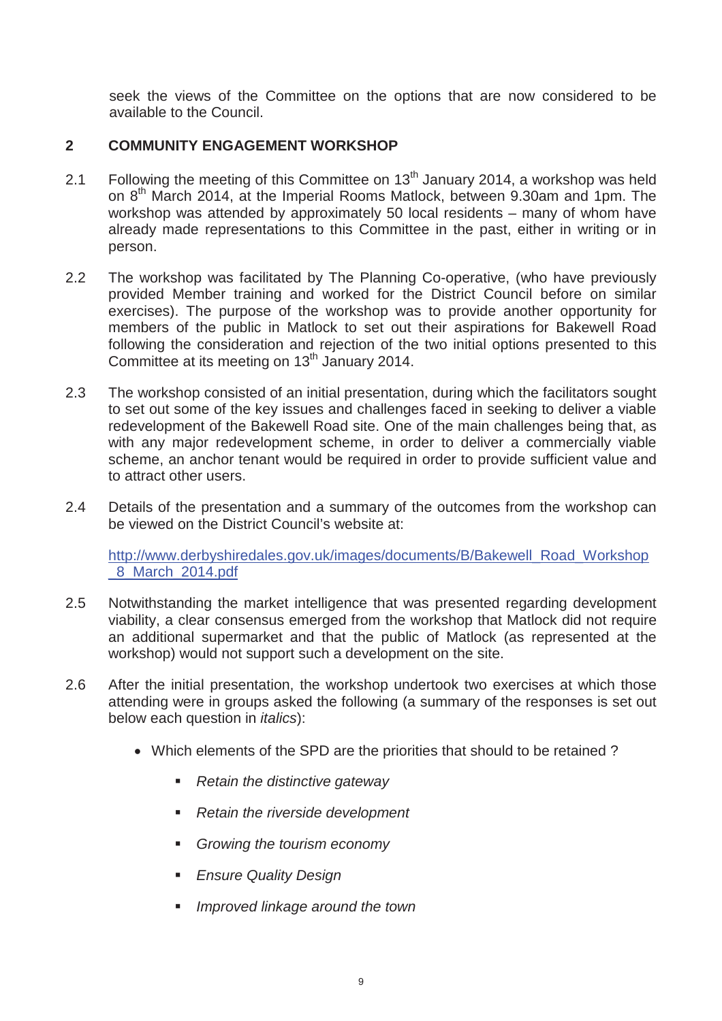seek the views of the Committee on the options that are now considered to be available to the Council.

# **2 COMMUNITY ENGAGEMENT WORKSHOP**

- 2.1 Following the meeting of this Committee on  $13<sup>th</sup>$  January 2014, a workshop was held on 8<sup>th</sup> March 2014, at the Imperial Rooms Matlock, between 9.30am and 1pm. The workshop was attended by approximately 50 local residents – many of whom have already made representations to this Committee in the past, either in writing or in person.
- 2.2 The workshop was facilitated by The Planning Co-operative, (who have previously provided Member training and worked for the District Council before on similar exercises). The purpose of the workshop was to provide another opportunity for members of the public in Matlock to set out their aspirations for Bakewell Road following the consideration and rejection of the two initial options presented to this Committee at its meeting on 13<sup>th</sup> January 2014.
- 2.3 The workshop consisted of an initial presentation, during which the facilitators sought to set out some of the key issues and challenges faced in seeking to deliver a viable redevelopment of the Bakewell Road site. One of the main challenges being that, as with any major redevelopment scheme, in order to deliver a commercially viable scheme, an anchor tenant would be required in order to provide sufficient value and to attract other users.
- 2.4 Details of the presentation and a summary of the outcomes from the workshop can be viewed on the District Council's website at:

http://www.derbyshiredales.gov.uk/images/documents/B/Bakewell\_Road\_Workshop \_8\_March\_2014.pdf

- 2.5 Notwithstanding the market intelligence that was presented regarding development viability, a clear consensus emerged from the workshop that Matlock did not require an additional supermarket and that the public of Matlock (as represented at the workshop) would not support such a development on the site.
- 2.6 After the initial presentation, the workshop undertook two exercises at which those attending were in groups asked the following (a summary of the responses is set out below each question in *italics*):
	- Which elements of the SPD are the priorities that should to be retained?
		- *Retain the distinctive gateway*
		- *Retain the riverside development*
		- *Growing the tourism economy*
		- *Ensure Quality Design*
		- *Improved linkage around the town*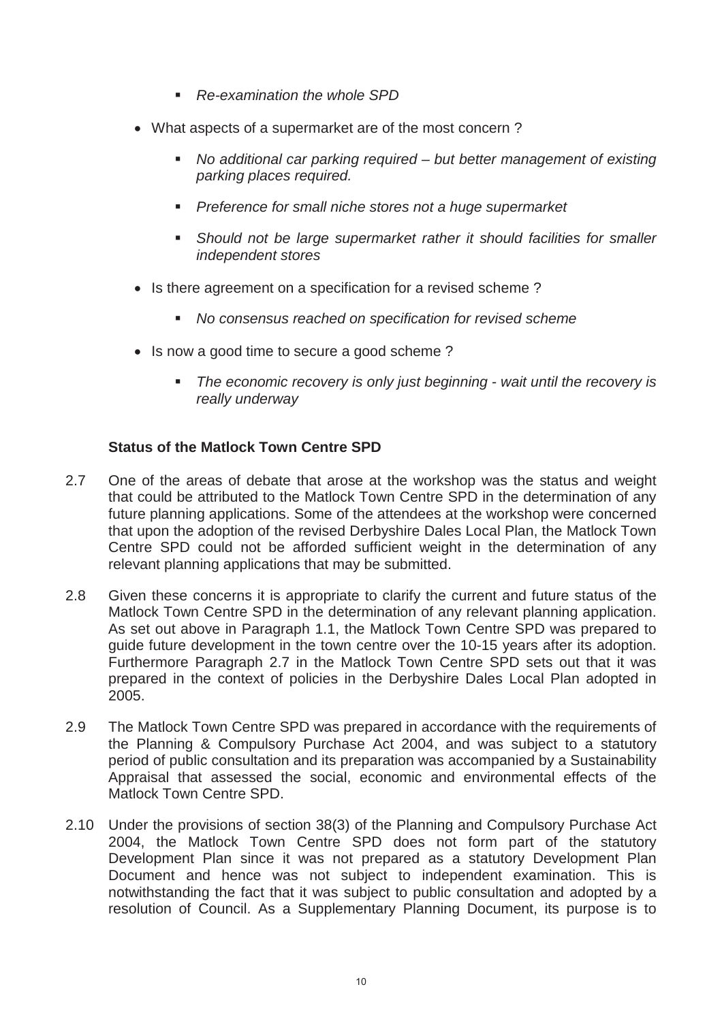- *Re-examination the whole SPD*
- What aspects of a supermarket are of the most concern?
	- *No additional car parking required but better management of existing parking places required.*
	- *Preference for small niche stores not a huge supermarket*
	- **Should not be large supermarket rather it should facilities for smaller** *independent stores*
- Is there agreement on a specification for a revised scheme?
	- *No consensus reached on specification for revised scheme*
- Is now a good time to secure a good scheme?
	- *The economic recovery is only just beginning wait until the recovery is really underway*

# **Status of the Matlock Town Centre SPD**

- 2.7 One of the areas of debate that arose at the workshop was the status and weight that could be attributed to the Matlock Town Centre SPD in the determination of any future planning applications. Some of the attendees at the workshop were concerned that upon the adoption of the revised Derbyshire Dales Local Plan, the Matlock Town Centre SPD could not be afforded sufficient weight in the determination of any relevant planning applications that may be submitted.
- 2.8 Given these concerns it is appropriate to clarify the current and future status of the Matlock Town Centre SPD in the determination of any relevant planning application. As set out above in Paragraph 1.1, the Matlock Town Centre SPD was prepared to guide future development in the town centre over the 10-15 years after its adoption. Furthermore Paragraph 2.7 in the Matlock Town Centre SPD sets out that it was prepared in the context of policies in the Derbyshire Dales Local Plan adopted in 2005.
- 2.9 The Matlock Town Centre SPD was prepared in accordance with the requirements of the Planning & Compulsory Purchase Act 2004, and was subject to a statutory period of public consultation and its preparation was accompanied by a Sustainability Appraisal that assessed the social, economic and environmental effects of the Matlock Town Centre SPD.
- 2.10 Under the provisions of section 38(3) of the Planning and Compulsory Purchase Act 2004, the Matlock Town Centre SPD does not form part of the statutory Development Plan since it was not prepared as a statutory Development Plan Document and hence was not subject to independent examination. This is notwithstanding the fact that it was subject to public consultation and adopted by a resolution of Council. As a Supplementary Planning Document, its purpose is to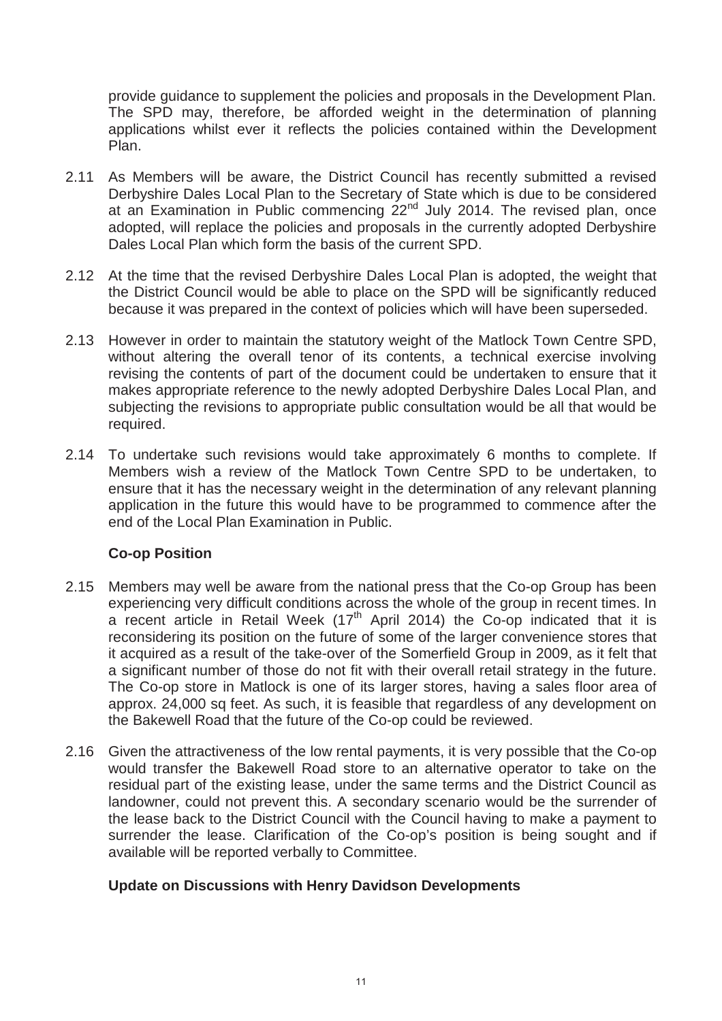provide guidance to supplement the policies and proposals in the Development Plan. The SPD may, therefore, be afforded weight in the determination of planning applications whilst ever it reflects the policies contained within the Development Plan.

- 2.11 As Members will be aware, the District Council has recently submitted a revised Derbyshire Dales Local Plan to the Secretary of State which is due to be considered at an Examination in Public commencing  $22<sup>nd</sup>$  July 2014. The revised plan, once adopted, will replace the policies and proposals in the currently adopted Derbyshire Dales Local Plan which form the basis of the current SPD.
- 2.12 At the time that the revised Derbyshire Dales Local Plan is adopted, the weight that the District Council would be able to place on the SPD will be significantly reduced because it was prepared in the context of policies which will have been superseded.
- 2.13 However in order to maintain the statutory weight of the Matlock Town Centre SPD, without altering the overall tenor of its contents, a technical exercise involving revising the contents of part of the document could be undertaken to ensure that it makes appropriate reference to the newly adopted Derbyshire Dales Local Plan, and subjecting the revisions to appropriate public consultation would be all that would be required.
- 2.14 To undertake such revisions would take approximately 6 months to complete. If Members wish a review of the Matlock Town Centre SPD to be undertaken, to ensure that it has the necessary weight in the determination of any relevant planning application in the future this would have to be programmed to commence after the end of the Local Plan Examination in Public.

# **Co-op Position**

- 2.15 Members may well be aware from the national press that the Co-op Group has been experiencing very difficult conditions across the whole of the group in recent times. In a recent article in Retail Week  $(17<sup>th</sup>$  April 2014) the Co-op indicated that it is reconsidering its position on the future of some of the larger convenience stores that it acquired as a result of the take-over of the Somerfield Group in 2009, as it felt that a significant number of those do not fit with their overall retail strategy in the future. The Co-op store in Matlock is one of its larger stores, having a sales floor area of approx. 24,000 sq feet. As such, it is feasible that regardless of any development on the Bakewell Road that the future of the Co-op could be reviewed.
- 2.16 Given the attractiveness of the low rental payments, it is very possible that the Co-op would transfer the Bakewell Road store to an alternative operator to take on the residual part of the existing lease, under the same terms and the District Council as landowner, could not prevent this. A secondary scenario would be the surrender of the lease back to the District Council with the Council having to make a payment to surrender the lease. Clarification of the Co-op's position is being sought and if available will be reported verbally to Committee.

# **Update on Discussions with Henry Davidson Developments**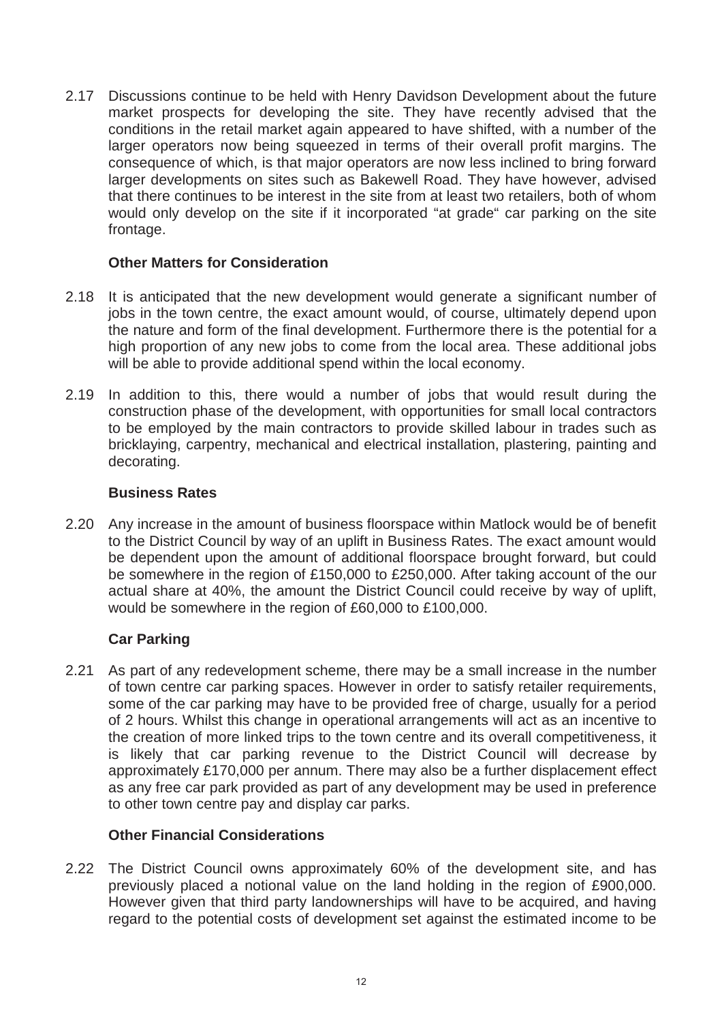2.17 Discussions continue to be held with Henry Davidson Development about the future market prospects for developing the site. They have recently advised that the conditions in the retail market again appeared to have shifted, with a number of the larger operators now being squeezed in terms of their overall profit margins. The consequence of which, is that major operators are now less inclined to bring forward larger developments on sites such as Bakewell Road. They have however, advised that there continues to be interest in the site from at least two retailers, both of whom would only develop on the site if it incorporated "at grade" car parking on the site frontage.

# **Other Matters for Consideration**

- 2.18 It is anticipated that the new development would generate a significant number of jobs in the town centre, the exact amount would, of course, ultimately depend upon the nature and form of the final development. Furthermore there is the potential for a high proportion of any new jobs to come from the local area. These additional jobs will be able to provide additional spend within the local economy.
- 2.19 In addition to this, there would a number of jobs that would result during the construction phase of the development, with opportunities for small local contractors to be employed by the main contractors to provide skilled labour in trades such as bricklaying, carpentry, mechanical and electrical installation, plastering, painting and decorating.

# **Business Rates**

2.20 Any increase in the amount of business floorspace within Matlock would be of benefit to the District Council by way of an uplift in Business Rates. The exact amount would be dependent upon the amount of additional floorspace brought forward, but could be somewhere in the region of £150,000 to £250,000. After taking account of the our actual share at 40%, the amount the District Council could receive by way of uplift, would be somewhere in the region of £60,000 to £100,000.

# **Car Parking**

2.21 As part of any redevelopment scheme, there may be a small increase in the number of town centre car parking spaces. However in order to satisfy retailer requirements, some of the car parking may have to be provided free of charge, usually for a period of 2 hours. Whilst this change in operational arrangements will act as an incentive to the creation of more linked trips to the town centre and its overall competitiveness, it is likely that car parking revenue to the District Council will decrease by approximately £170,000 per annum. There may also be a further displacement effect as any free car park provided as part of any development may be used in preference to other town centre pay and display car parks.

# **Other Financial Considerations**

2.22 The District Council owns approximately 60% of the development site, and has previously placed a notional value on the land holding in the region of £900,000. However given that third party landownerships will have to be acquired, and having regard to the potential costs of development set against the estimated income to be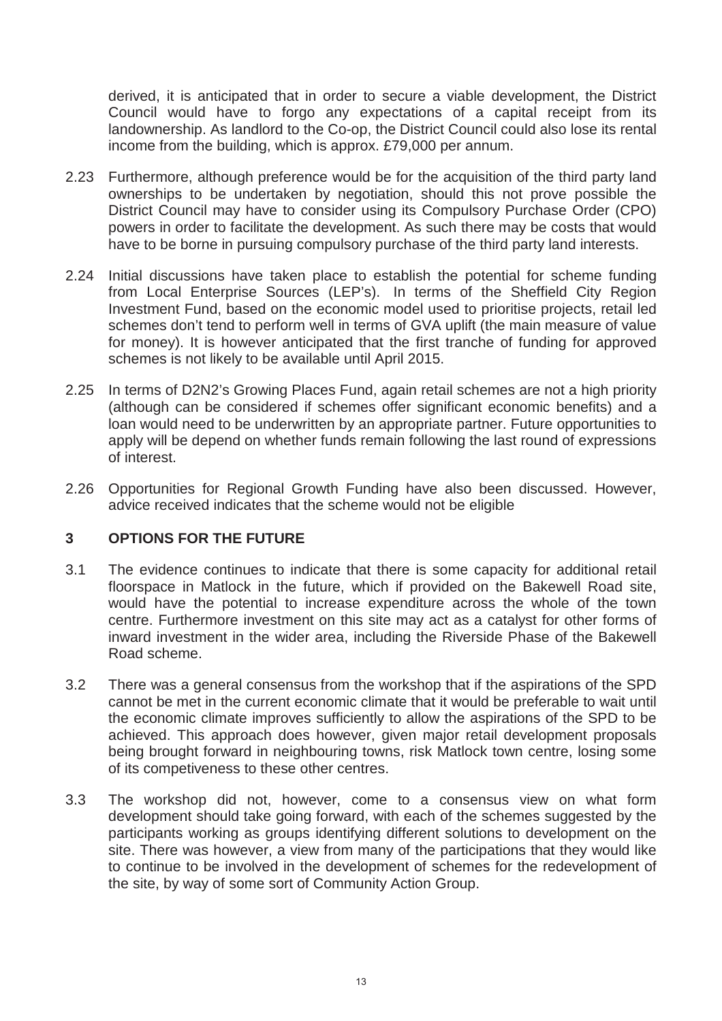derived, it is anticipated that in order to secure a viable development, the District Council would have to forgo any expectations of a capital receipt from its landownership. As landlord to the Co-op, the District Council could also lose its rental income from the building, which is approx. £79,000 per annum.

- 2.23 Furthermore, although preference would be for the acquisition of the third party land ownerships to be undertaken by negotiation, should this not prove possible the District Council may have to consider using its Compulsory Purchase Order (CPO) powers in order to facilitate the development. As such there may be costs that would have to be borne in pursuing compulsory purchase of the third party land interests.
- 2.24 Initial discussions have taken place to establish the potential for scheme funding from Local Enterprise Sources (LEP's). In terms of the Sheffield City Region Investment Fund, based on the economic model used to prioritise projects, retail led schemes don't tend to perform well in terms of GVA uplift (the main measure of value for money). It is however anticipated that the first tranche of funding for approved schemes is not likely to be available until April 2015.
- 2.25 In terms of D2N2's Growing Places Fund, again retail schemes are not a high priority (although can be considered if schemes offer significant economic benefits) and a loan would need to be underwritten by an appropriate partner. Future opportunities to apply will be depend on whether funds remain following the last round of expressions of interest.
- 2.26 Opportunities for Regional Growth Funding have also been discussed. However, advice received indicates that the scheme would not be eligible

# **3 OPTIONS FOR THE FUTURE**

- 3.1 The evidence continues to indicate that there is some capacity for additional retail floorspace in Matlock in the future, which if provided on the Bakewell Road site, would have the potential to increase expenditure across the whole of the town centre. Furthermore investment on this site may act as a catalyst for other forms of inward investment in the wider area, including the Riverside Phase of the Bakewell Road scheme.
- 3.2 There was a general consensus from the workshop that if the aspirations of the SPD cannot be met in the current economic climate that it would be preferable to wait until the economic climate improves sufficiently to allow the aspirations of the SPD to be achieved. This approach does however, given major retail development proposals being brought forward in neighbouring towns, risk Matlock town centre, losing some of its competiveness to these other centres.
- 3.3 The workshop did not, however, come to a consensus view on what form development should take going forward, with each of the schemes suggested by the participants working as groups identifying different solutions to development on the site. There was however, a view from many of the participations that they would like to continue to be involved in the development of schemes for the redevelopment of the site, by way of some sort of Community Action Group.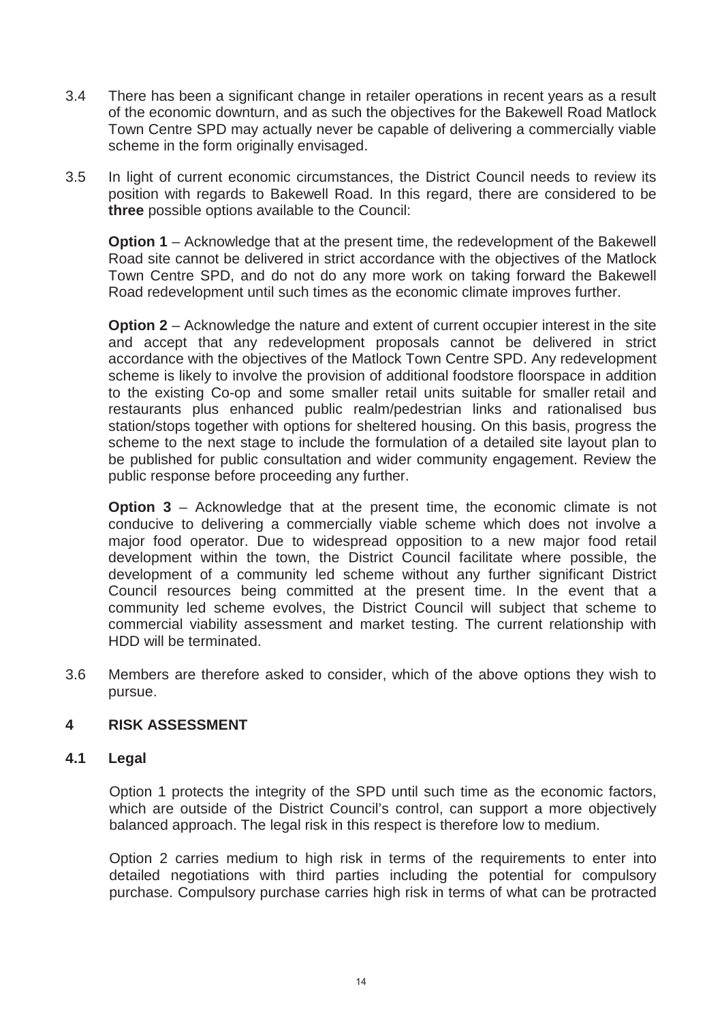- 3.4 There has been a significant change in retailer operations in recent years as a result of the economic downturn, and as such the objectives for the Bakewell Road Matlock Town Centre SPD may actually never be capable of delivering a commercially viable scheme in the form originally envisaged.
- 3.5 In light of current economic circumstances, the District Council needs to review its position with regards to Bakewell Road. In this regard, there are considered to be **three** possible options available to the Council:

**Option 1** – Acknowledge that at the present time, the redevelopment of the Bakewell Road site cannot be delivered in strict accordance with the objectives of the Matlock Town Centre SPD, and do not do any more work on taking forward the Bakewell Road redevelopment until such times as the economic climate improves further.

**Option 2** – Acknowledge the nature and extent of current occupier interest in the site and accept that any redevelopment proposals cannot be delivered in strict accordance with the objectives of the Matlock Town Centre SPD. Any redevelopment scheme is likely to involve the provision of additional foodstore floorspace in addition to the existing Co-op and some smaller retail units suitable for smaller retail and restaurants plus enhanced public realm/pedestrian links and rationalised bus station/stops together with options for sheltered housing. On this basis, progress the scheme to the next stage to include the formulation of a detailed site layout plan to be published for public consultation and wider community engagement. Review the public response before proceeding any further.

**Option 3** – Acknowledge that at the present time, the economic climate is not conducive to delivering a commercially viable scheme which does not involve a major food operator. Due to widespread opposition to a new major food retail development within the town, the District Council facilitate where possible, the development of a community led scheme without any further significant District Council resources being committed at the present time. In the event that a community led scheme evolves, the District Council will subject that scheme to commercial viability assessment and market testing. The current relationship with HDD will be terminated.

3.6 Members are therefore asked to consider, which of the above options they wish to pursue.

# **4 RISK ASSESSMENT**

## **4.1 Legal**

Option 1 protects the integrity of the SPD until such time as the economic factors, which are outside of the District Council's control, can support a more objectively balanced approach. The legal risk in this respect is therefore low to medium.

Option 2 carries medium to high risk in terms of the requirements to enter into detailed negotiations with third parties including the potential for compulsory purchase. Compulsory purchase carries high risk in terms of what can be protracted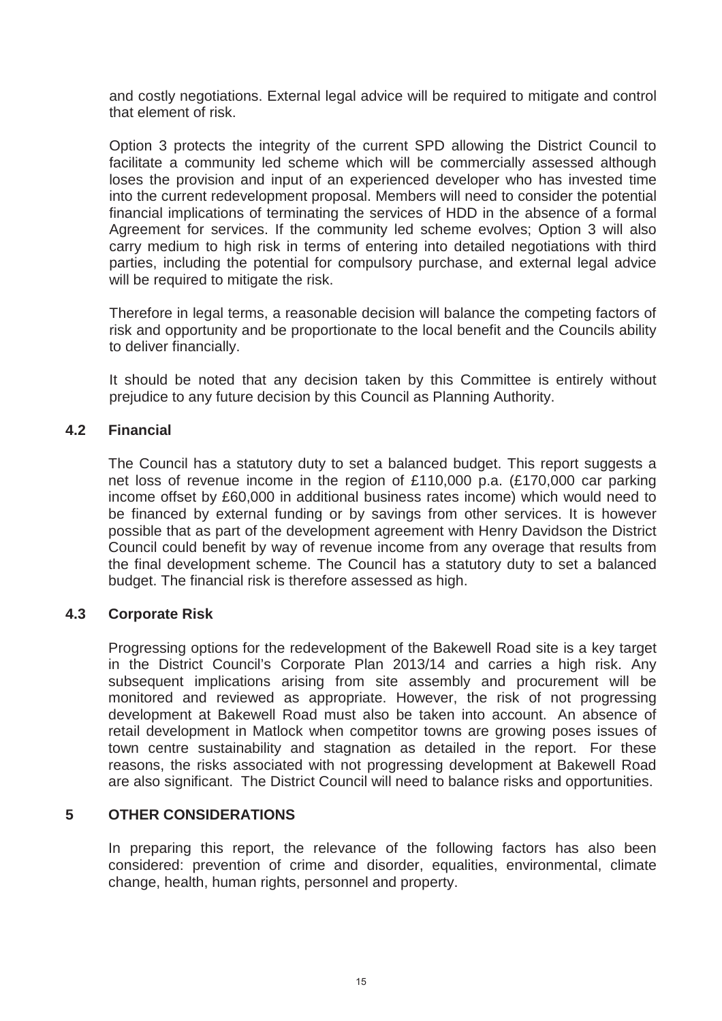and costly negotiations. External legal advice will be required to mitigate and control that element of risk.

Option 3 protects the integrity of the current SPD allowing the District Council to facilitate a community led scheme which will be commercially assessed although loses the provision and input of an experienced developer who has invested time into the current redevelopment proposal. Members will need to consider the potential financial implications of terminating the services of HDD in the absence of a formal Agreement for services. If the community led scheme evolves; Option 3 will also carry medium to high risk in terms of entering into detailed negotiations with third parties, including the potential for compulsory purchase, and external legal advice will be required to mitigate the risk.

Therefore in legal terms, a reasonable decision will balance the competing factors of risk and opportunity and be proportionate to the local benefit and the Councils ability to deliver financially.

It should be noted that any decision taken by this Committee is entirely without prejudice to any future decision by this Council as Planning Authority.

## **4.2 Financial**

The Council has a statutory duty to set a balanced budget. This report suggests a net loss of revenue income in the region of £110,000 p.a. (£170,000 car parking income offset by £60,000 in additional business rates income) which would need to be financed by external funding or by savings from other services. It is however possible that as part of the development agreement with Henry Davidson the District Council could benefit by way of revenue income from any overage that results from the final development scheme. The Council has a statutory duty to set a balanced budget. The financial risk is therefore assessed as high.

# **4.3 Corporate Risk**

Progressing options for the redevelopment of the Bakewell Road site is a key target in the District Council's Corporate Plan 2013/14 and carries a high risk. Any subsequent implications arising from site assembly and procurement will be monitored and reviewed as appropriate. However, the risk of not progressing development at Bakewell Road must also be taken into account. An absence of retail development in Matlock when competitor towns are growing poses issues of town centre sustainability and stagnation as detailed in the report. For these reasons, the risks associated with not progressing development at Bakewell Road are also significant. The District Council will need to balance risks and opportunities.

# **5 OTHER CONSIDERATIONS**

In preparing this report, the relevance of the following factors has also been considered: prevention of crime and disorder, equalities, environmental, climate change, health, human rights, personnel and property.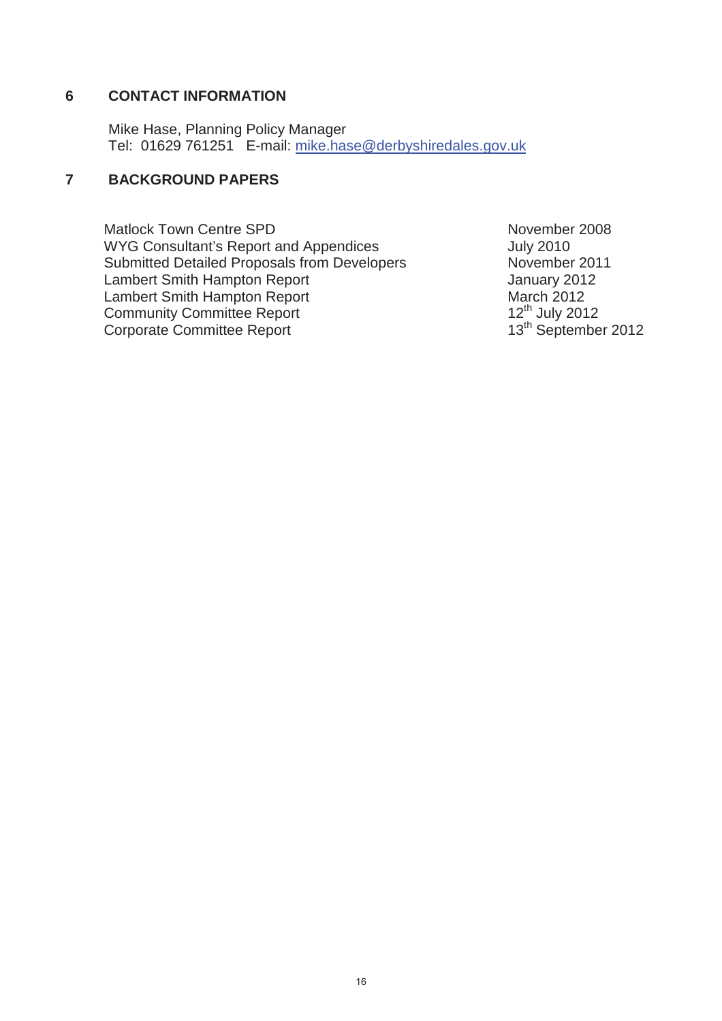# **6 CONTACT INFORMATION**

Mike Hase, Planning Policy Manager Tel: 01629 761251 E-mail: mike.hase@derbyshiredales.gov.uk

# **7 BACKGROUND PAPERS**

Matlock Town Centre SPD November 2008 WYG Consultant's Report and Appendices The Multipulary Consultant's Report and Appendices Submitted Detailed Proposals from Developers November 2011 Lambert Smith Hampton Report **Figure 2012** Lambert Smith Hampton Report March 2012<br>
Community Committee Report 12<sup>th</sup> July 2012 Community Committee Report 12<sup>th</sup> July 2012<br>
Corporate Committee Report 13<sup>th</sup> September 2012 Corporate Committee Report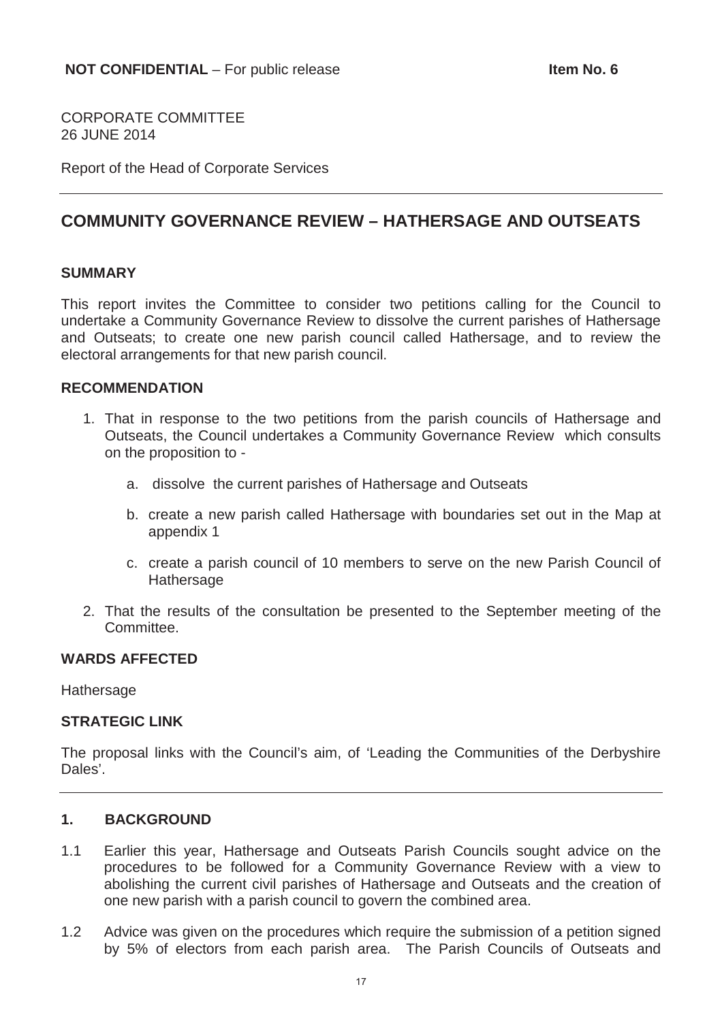CORPORATE COMMITTEE 26 JUNE 2014

Report of the Head of Corporate Services

# **COMMUNITY GOVERNANCE REVIEW – HATHERSAGE AND OUTSEATS**

### **SUMMARY**

This report invites the Committee to consider two petitions calling for the Council to undertake a Community Governance Review to dissolve the current parishes of Hathersage and Outseats; to create one new parish council called Hathersage, and to review the electoral arrangements for that new parish council.

#### **RECOMMENDATION**

- 1. That in response to the two petitions from the parish councils of Hathersage and Outseats, the Council undertakes a Community Governance Review which consults on the proposition to
	- a. dissolve the current parishes of Hathersage and Outseats
	- b. create a new parish called Hathersage with boundaries set out in the Map at appendix 1
	- c. create a parish council of 10 members to serve on the new Parish Council of **Hathersage**
- 2. That the results of the consultation be presented to the September meeting of the **Committee.**

# **WARDS AFFECTED**

Hathersage

### **STRATEGIC LINK**

The proposal links with the Council's aim, of 'Leading the Communities of the Derbyshire Dales'.

# **1. BACKGROUND**

- 1.1 Earlier this year, Hathersage and Outseats Parish Councils sought advice on the procedures to be followed for a Community Governance Review with a view to abolishing the current civil parishes of Hathersage and Outseats and the creation of one new parish with a parish council to govern the combined area.
- 1.2 Advice was given on the procedures which require the submission of a petition signed by 5% of electors from each parish area. The Parish Councils of Outseats and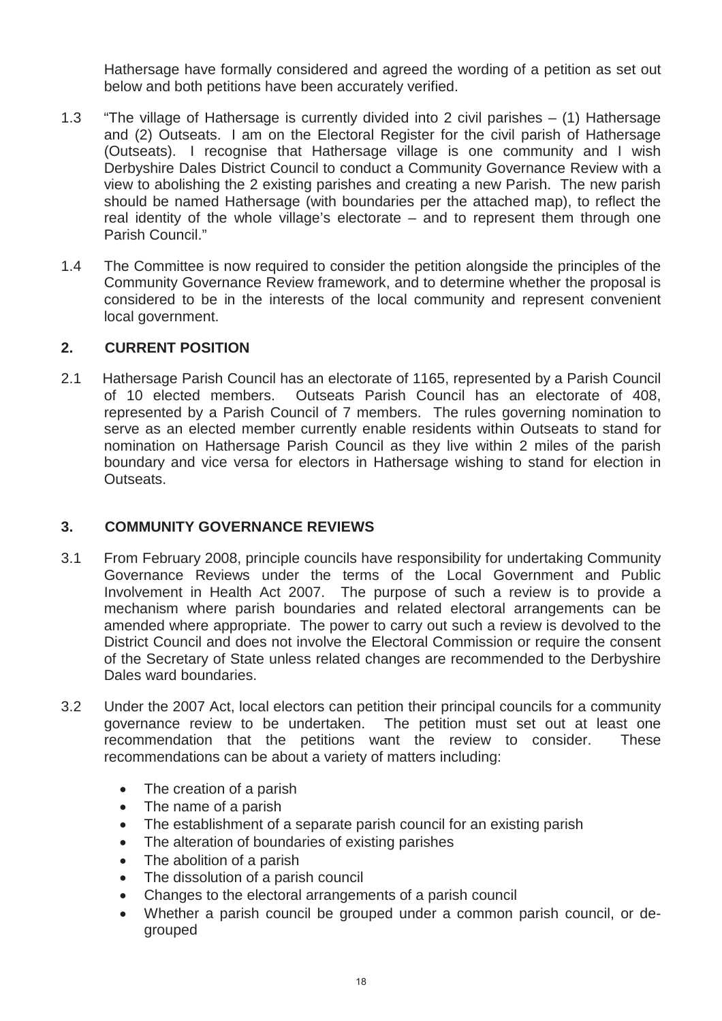Hathersage have formally considered and agreed the wording of a petition as set out below and both petitions have been accurately verified.

- 1.3 "The village of Hathersage is currently divided into 2 civil parishes (1) Hathersage and (2) Outseats. I am on the Electoral Register for the civil parish of Hathersage (Outseats). I recognise that Hathersage village is one community and I wish Derbyshire Dales District Council to conduct a Community Governance Review with a view to abolishing the 2 existing parishes and creating a new Parish. The new parish should be named Hathersage (with boundaries per the attached map), to reflect the real identity of the whole village's electorate – and to represent them through one Parish Council."
- 1.4 The Committee is now required to consider the petition alongside the principles of the Community Governance Review framework, and to determine whether the proposal is considered to be in the interests of the local community and represent convenient local government.

# **2. CURRENT POSITION**

2.1 Hathersage Parish Council has an electorate of 1165, represented by a Parish Council of 10 elected members. Outseats Parish Council has an electorate of 408, represented by a Parish Council of 7 members. The rules governing nomination to serve as an elected member currently enable residents within Outseats to stand for nomination on Hathersage Parish Council as they live within 2 miles of the parish boundary and vice versa for electors in Hathersage wishing to stand for election in Outseats.

# **3. COMMUNITY GOVERNANCE REVIEWS**

- 3.1 From February 2008, principle councils have responsibility for undertaking Community Governance Reviews under the terms of the Local Government and Public Involvement in Health Act 2007. The purpose of such a review is to provide a mechanism where parish boundaries and related electoral arrangements can be amended where appropriate. The power to carry out such a review is devolved to the District Council and does not involve the Electoral Commission or require the consent of the Secretary of State unless related changes are recommended to the Derbyshire Dales ward boundaries.
- 3.2 Under the 2007 Act, local electors can petition their principal councils for a community governance review to be undertaken. The petition must set out at least one recommendation that the petitions want the review to consider. These recommendations can be about a variety of matters including:
	- The creation of a parish
	- The name of a parish
	- The establishment of a separate parish council for an existing parish
	- The alteration of boundaries of existing parishes
	- The abolition of a parish
	- The dissolution of a parish council
	- Changes to the electoral arrangements of a parish council
	- Whether a parish council be grouped under a common parish council, or degrouped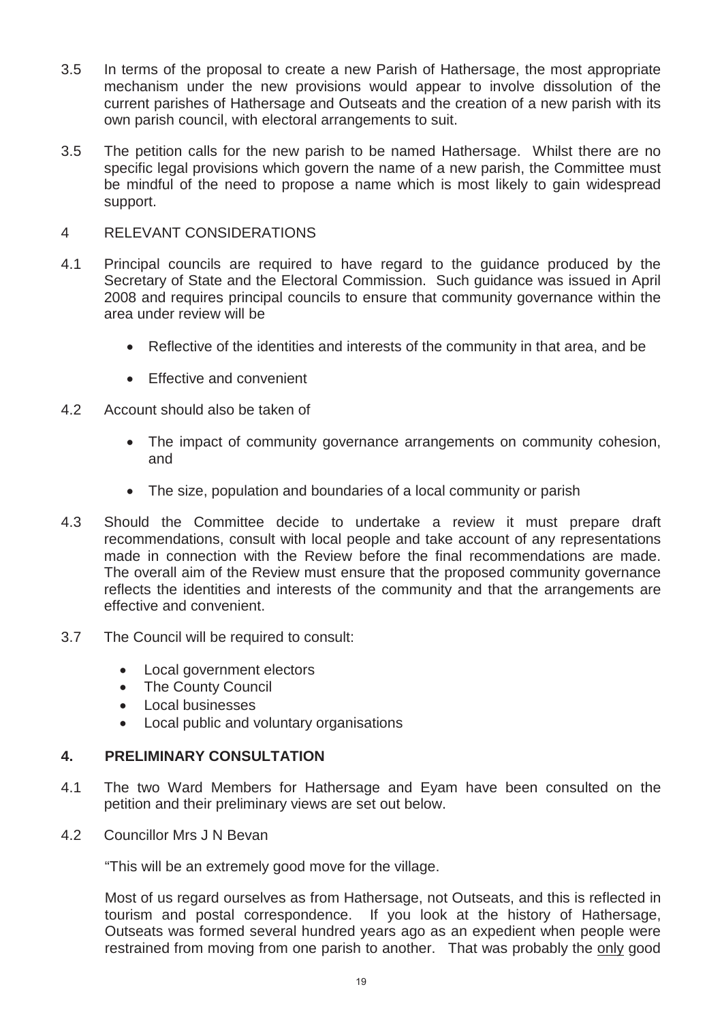- 3.5 In terms of the proposal to create a new Parish of Hathersage, the most appropriate mechanism under the new provisions would appear to involve dissolution of the current parishes of Hathersage and Outseats and the creation of a new parish with its own parish council, with electoral arrangements to suit.
- 3.5 The petition calls for the new parish to be named Hathersage. Whilst there are no specific legal provisions which govern the name of a new parish, the Committee must be mindful of the need to propose a name which is most likely to gain widespread support.

# 4 RELEVANT CONSIDERATIONS

- 4.1 Principal councils are required to have regard to the guidance produced by the Secretary of State and the Electoral Commission. Such guidance was issued in April 2008 and requires principal councils to ensure that community governance within the area under review will be
	- Reflective of the identities and interests of the community in that area, and be
	- Effective and convenient
- 4.2 Account should also be taken of
	- The impact of community governance arrangements on community cohesion, and
	- The size, population and boundaries of a local community or parish
- 4.3 Should the Committee decide to undertake a review it must prepare draft recommendations, consult with local people and take account of any representations made in connection with the Review before the final recommendations are made. The overall aim of the Review must ensure that the proposed community governance reflects the identities and interests of the community and that the arrangements are effective and convenient.
- 3.7 The Council will be required to consult:
	- Local government electors
	- The County Council
	- Local businesses
	- Local public and voluntary organisations

# **4. PRELIMINARY CONSULTATION**

- 4.1 The two Ward Members for Hathersage and Eyam have been consulted on the petition and their preliminary views are set out below.
- 4.2 Councillor Mrs J N Bevan

"This will be an extremely good move for the village.

Most of us regard ourselves as from Hathersage, not Outseats, and this is reflected in tourism and postal correspondence. If you look at the history of Hathersage, Outseats was formed several hundred years ago as an expedient when people were restrained from moving from one parish to another. That was probably the only good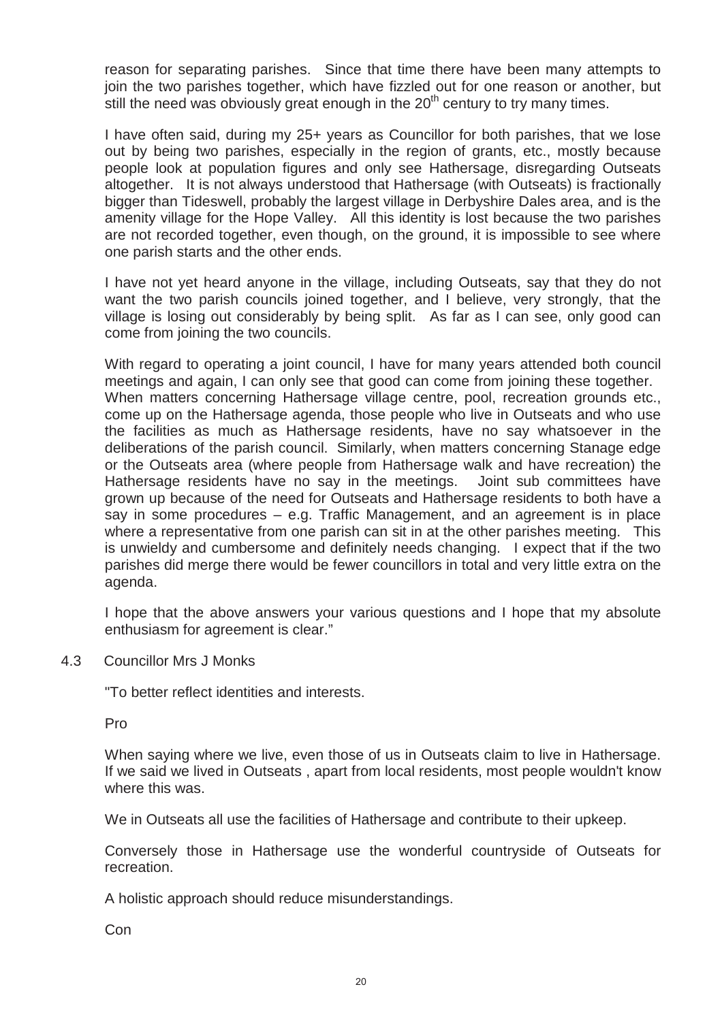reason for separating parishes. Since that time there have been many attempts to join the two parishes together, which have fizzled out for one reason or another, but still the need was obviously great enough in the  $20<sup>th</sup>$  century to try many times.

I have often said, during my 25+ years as Councillor for both parishes, that we lose out by being two parishes, especially in the region of grants, etc., mostly because people look at population figures and only see Hathersage, disregarding Outseats altogether. It is not always understood that Hathersage (with Outseats) is fractionally bigger than Tideswell, probably the largest village in Derbyshire Dales area, and is the amenity village for the Hope Valley. All this identity is lost because the two parishes are not recorded together, even though, on the ground, it is impossible to see where one parish starts and the other ends.

I have not yet heard anyone in the village, including Outseats, say that they do not want the two parish councils joined together, and I believe, very strongly, that the village is losing out considerably by being split. As far as I can see, only good can come from joining the two councils.

With regard to operating a joint council, I have for many years attended both council meetings and again, I can only see that good can come from joining these together. When matters concerning Hathersage village centre, pool, recreation grounds etc., come up on the Hathersage agenda, those people who live in Outseats and who use the facilities as much as Hathersage residents, have no say whatsoever in the deliberations of the parish council. Similarly, when matters concerning Stanage edge or the Outseats area (where people from Hathersage walk and have recreation) the Hathersage residents have no say in the meetings. Joint sub committees have grown up because of the need for Outseats and Hathersage residents to both have a say in some procedures – e.g. Traffic Management, and an agreement is in place where a representative from one parish can sit in at the other parishes meeting. This is unwieldy and cumbersome and definitely needs changing. I expect that if the two parishes did merge there would be fewer councillors in total and very little extra on the agenda.

I hope that the above answers your various questions and I hope that my absolute enthusiasm for agreement is clear."

4.3 Councillor Mrs J Monks

"To better reflect identities and interests.

Pro

When saying where we live, even those of us in Outseats claim to live in Hathersage. If we said we lived in Outseats , apart from local residents, most people wouldn't know where this was.

We in Outseats all use the facilities of Hathersage and contribute to their upkeep.

Conversely those in Hathersage use the wonderful countryside of Outseats for recreation.

A holistic approach should reduce misunderstandings.

Con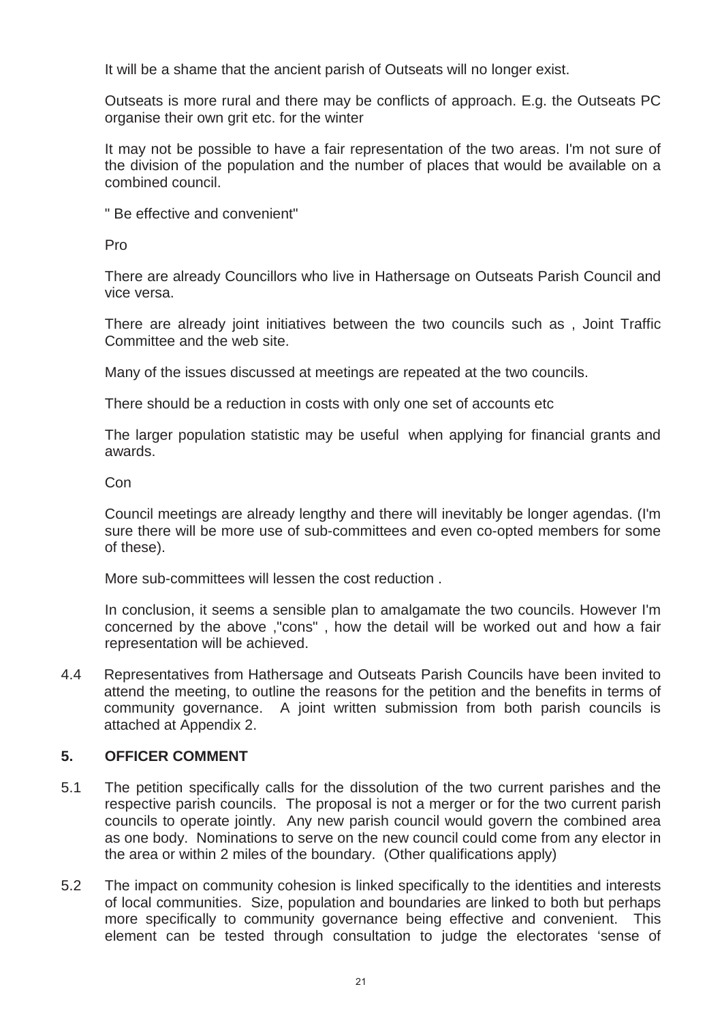It will be a shame that the ancient parish of Outseats will no longer exist.

Outseats is more rural and there may be conflicts of approach. E.g. the Outseats PC organise their own grit etc. for the winter

It may not be possible to have a fair representation of the two areas. I'm not sure of the division of the population and the number of places that would be available on a combined council.

" Be effective and convenient"

Pro

There are already Councillors who live in Hathersage on Outseats Parish Council and vice versa.

There are already joint initiatives between the two councils such as , Joint Traffic Committee and the web site.

Many of the issues discussed at meetings are repeated at the two councils.

There should be a reduction in costs with only one set of accounts etc

The larger population statistic may be useful when applying for financial grants and awards.

Con

Council meetings are already lengthy and there will inevitably be longer agendas. (I'm sure there will be more use of sub-committees and even co-opted members for some of these).

More sub-committees will lessen the cost reduction .

In conclusion, it seems a sensible plan to amalgamate the two councils. However I'm concerned by the above ,"cons" , how the detail will be worked out and how a fair representation will be achieved.

4.4 Representatives from Hathersage and Outseats Parish Councils have been invited to attend the meeting, to outline the reasons for the petition and the benefits in terms of community governance. A joint written submission from both parish councils is attached at Appendix 2.

# **5. OFFICER COMMENT**

- 5.1 The petition specifically calls for the dissolution of the two current parishes and the respective parish councils. The proposal is not a merger or for the two current parish councils to operate jointly. Any new parish council would govern the combined area as one body. Nominations to serve on the new council could come from any elector in the area or within 2 miles of the boundary. (Other qualifications apply)
- 5.2 The impact on community cohesion is linked specifically to the identities and interests of local communities. Size, population and boundaries are linked to both but perhaps more specifically to community governance being effective and convenient. This element can be tested through consultation to judge the electorates 'sense of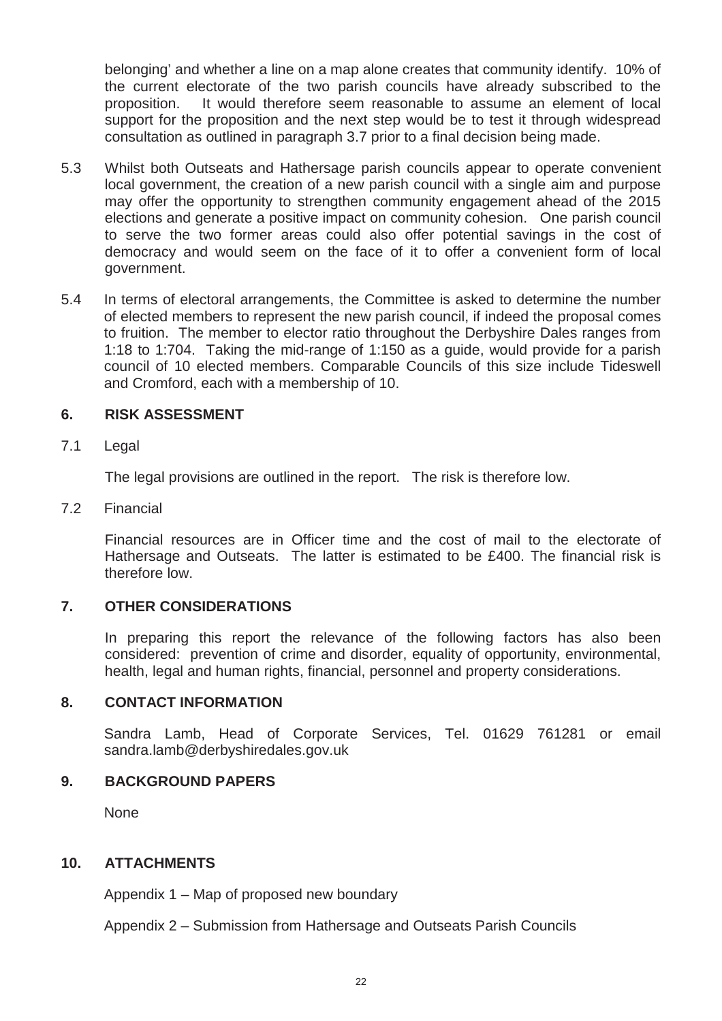belonging' and whether a line on a map alone creates that community identify. 10% of the current electorate of the two parish councils have already subscribed to the proposition. It would therefore seem reasonable to assume an element of local support for the proposition and the next step would be to test it through widespread consultation as outlined in paragraph 3.7 prior to a final decision being made.

- 5.3 Whilst both Outseats and Hathersage parish councils appear to operate convenient local government, the creation of a new parish council with a single aim and purpose may offer the opportunity to strengthen community engagement ahead of the 2015 elections and generate a positive impact on community cohesion. One parish council to serve the two former areas could also offer potential savings in the cost of democracy and would seem on the face of it to offer a convenient form of local government.
- 5.4 In terms of electoral arrangements, the Committee is asked to determine the number of elected members to represent the new parish council, if indeed the proposal comes to fruition. The member to elector ratio throughout the Derbyshire Dales ranges from 1:18 to 1:704. Taking the mid-range of 1:150 as a guide, would provide for a parish council of 10 elected members. Comparable Councils of this size include Tideswell and Cromford, each with a membership of 10.

# **6. RISK ASSESSMENT**

7.1 Legal

The legal provisions are outlined in the report. The risk is therefore low.

7.2 Financial

Financial resources are in Officer time and the cost of mail to the electorate of Hathersage and Outseats. The latter is estimated to be £400. The financial risk is therefore low.

# **7. OTHER CONSIDERATIONS**

In preparing this report the relevance of the following factors has also been considered: prevention of crime and disorder, equality of opportunity, environmental, health, legal and human rights, financial, personnel and property considerations.

### **8. CONTACT INFORMATION**

Sandra Lamb, Head of Corporate Services, Tel. 01629 761281 or email sandra.lamb@derbyshiredales.gov.uk

### **9. BACKGROUND PAPERS**

None

### **10. ATTACHMENTS**

Appendix 1 – Map of proposed new boundary

Appendix 2 – Submission from Hathersage and Outseats Parish Councils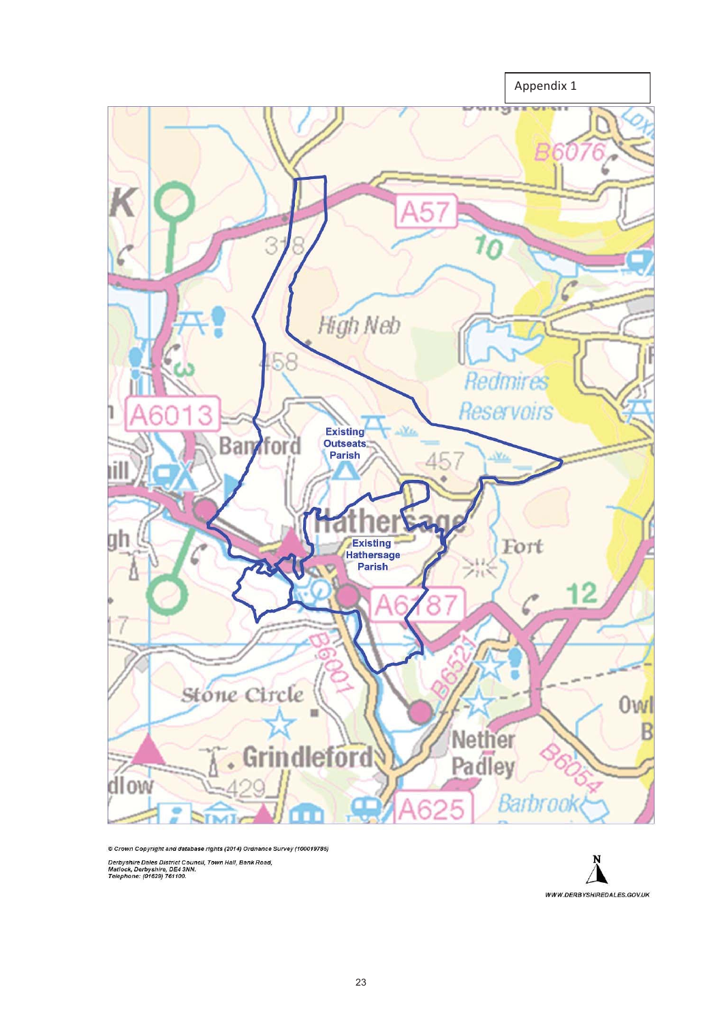

© Crown Copyright and database rights (2014) Ordnance Survey (100019785)

Derbyshire Dales District Council, Town Hall, Bank Road,<br>Matlock, Derbyshire, DE4 3NN.<br>Telephone: (01629) 761100.

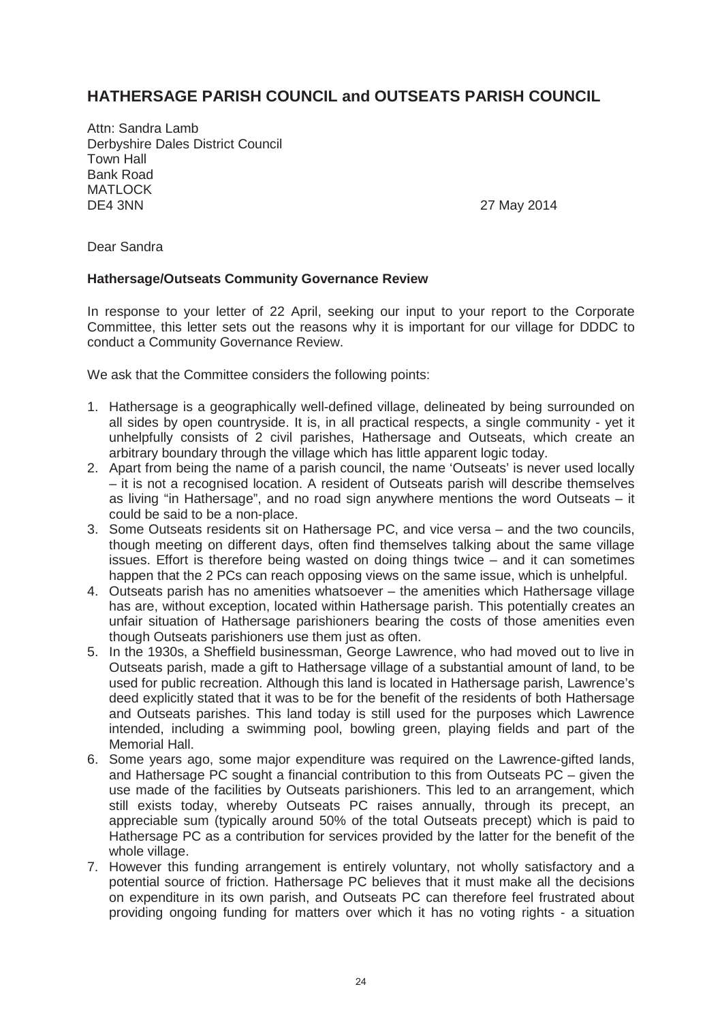# **HATHERSAGE PARISH COUNCIL and OUTSEATS PARISH COUNCIL**

Attn: Sandra Lamb Derbyshire Dales District Council Town Hall Bank Road MATLOCK DE4 3NN 27 May 2014

Dear Sandra

### **Hathersage/Outseats Community Governance Review**

In response to your letter of 22 April, seeking our input to your report to the Corporate Committee, this letter sets out the reasons why it is important for our village for DDDC to conduct a Community Governance Review.

We ask that the Committee considers the following points:

- 1. Hathersage is a geographically well-defined village, delineated by being surrounded on all sides by open countryside. It is, in all practical respects, a single community - yet it unhelpfully consists of 2 civil parishes, Hathersage and Outseats, which create an arbitrary boundary through the village which has little apparent logic today.
- 2. Apart from being the name of a parish council, the name 'Outseats' is never used locally – it is not a recognised location. A resident of Outseats parish will describe themselves as living "in Hathersage", and no road sign anywhere mentions the word Outseats – it could be said to be a non-place.
- 3. Some Outseats residents sit on Hathersage PC, and vice versa and the two councils, though meeting on different days, often find themselves talking about the same village issues. Effort is therefore being wasted on doing things twice – and it can sometimes happen that the 2 PCs can reach opposing views on the same issue, which is unhelpful.
- 4. Outseats parish has no amenities whatsoever the amenities which Hathersage village has are, without exception, located within Hathersage parish. This potentially creates an unfair situation of Hathersage parishioners bearing the costs of those amenities even though Outseats parishioners use them just as often.
- 5. In the 1930s, a Sheffield businessman, George Lawrence, who had moved out to live in Outseats parish, made a gift to Hathersage village of a substantial amount of land, to be used for public recreation. Although this land is located in Hathersage parish, Lawrence's deed explicitly stated that it was to be for the benefit of the residents of both Hathersage and Outseats parishes. This land today is still used for the purposes which Lawrence intended, including a swimming pool, bowling green, playing fields and part of the Memorial Hall.
- 6. Some years ago, some major expenditure was required on the Lawrence-gifted lands, and Hathersage PC sought a financial contribution to this from Outseats PC – given the use made of the facilities by Outseats parishioners. This led to an arrangement, which still exists today, whereby Outseats PC raises annually, through its precept, an appreciable sum (typically around 50% of the total Outseats precept) which is paid to Hathersage PC as a contribution for services provided by the latter for the benefit of the whole village.
- 7. However this funding arrangement is entirely voluntary, not wholly satisfactory and a potential source of friction. Hathersage PC believes that it must make all the decisions on expenditure in its own parish, and Outseats PC can therefore feel frustrated about providing ongoing funding for matters over which it has no voting rights - a situation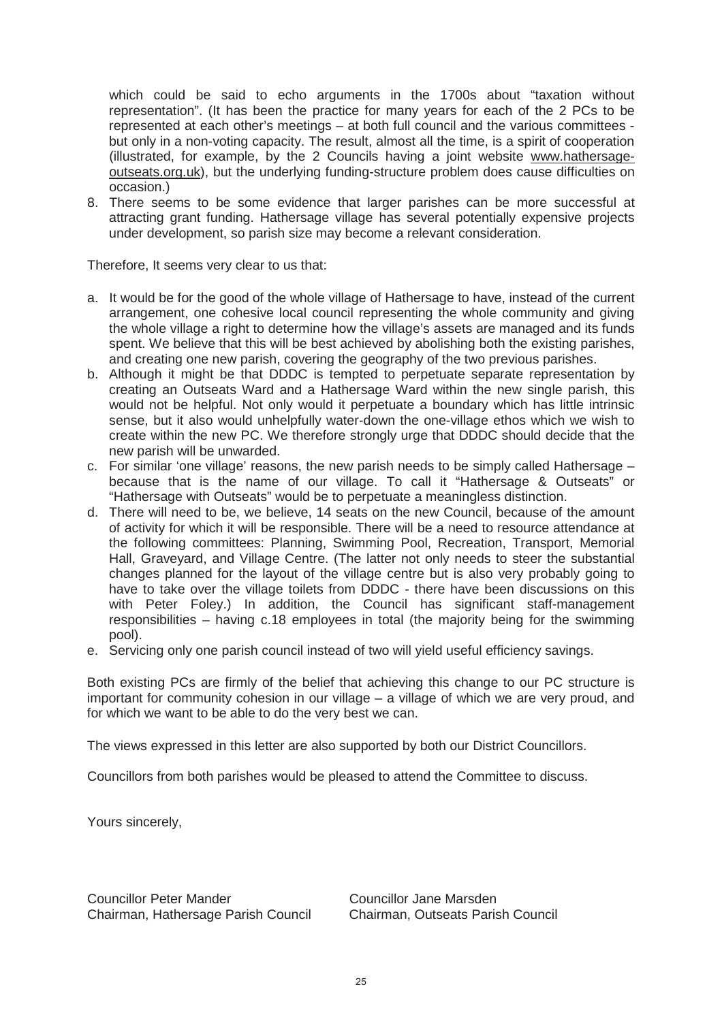which could be said to echo arguments in the 1700s about "taxation without representation". (It has been the practice for many years for each of the 2 PCs to be represented at each other's meetings – at both full council and the various committees but only in a non-voting capacity. The result, almost all the time, is a spirit of cooperation (illustrated, for example, by the 2 Councils having a joint website www.hathersageoutseats.org.uk), but the underlying funding-structure problem does cause difficulties on occasion.)

8. There seems to be some evidence that larger parishes can be more successful at attracting grant funding. Hathersage village has several potentially expensive projects under development, so parish size may become a relevant consideration.

Therefore, It seems very clear to us that:

- a. It would be for the good of the whole village of Hathersage to have, instead of the current arrangement, one cohesive local council representing the whole community and giving the whole village a right to determine how the village's assets are managed and its funds spent. We believe that this will be best achieved by abolishing both the existing parishes, and creating one new parish, covering the geography of the two previous parishes.
- b. Although it might be that DDDC is tempted to perpetuate separate representation by creating an Outseats Ward and a Hathersage Ward within the new single parish, this would not be helpful. Not only would it perpetuate a boundary which has little intrinsic sense, but it also would unhelpfully water-down the one-village ethos which we wish to create within the new PC. We therefore strongly urge that DDDC should decide that the new parish will be unwarded.
- c. For similar 'one village' reasons, the new parish needs to be simply called Hathersage because that is the name of our village. To call it "Hathersage & Outseats" or "Hathersage with Outseats" would be to perpetuate a meaningless distinction.
- d. There will need to be, we believe, 14 seats on the new Council, because of the amount of activity for which it will be responsible. There will be a need to resource attendance at the following committees: Planning, Swimming Pool, Recreation, Transport, Memorial Hall, Graveyard, and Village Centre. (The latter not only needs to steer the substantial changes planned for the layout of the village centre but is also very probably going to have to take over the village toilets from DDDC - there have been discussions on this with Peter Foley.) In addition, the Council has significant staff-management responsibilities – having c.18 employees in total (the majority being for the swimming pool).
- e. Servicing only one parish council instead of two will yield useful efficiency savings.

Both existing PCs are firmly of the belief that achieving this change to our PC structure is important for community cohesion in our village – a village of which we are very proud, and for which we want to be able to do the very best we can.

The views expressed in this letter are also supported by both our District Councillors.

Councillors from both parishes would be pleased to attend the Committee to discuss.

Yours sincerely,

Councillor Peter Mander Councillor Jane Marsden Chairman, Hathersage Parish Council Chairman, Outseats Parish Council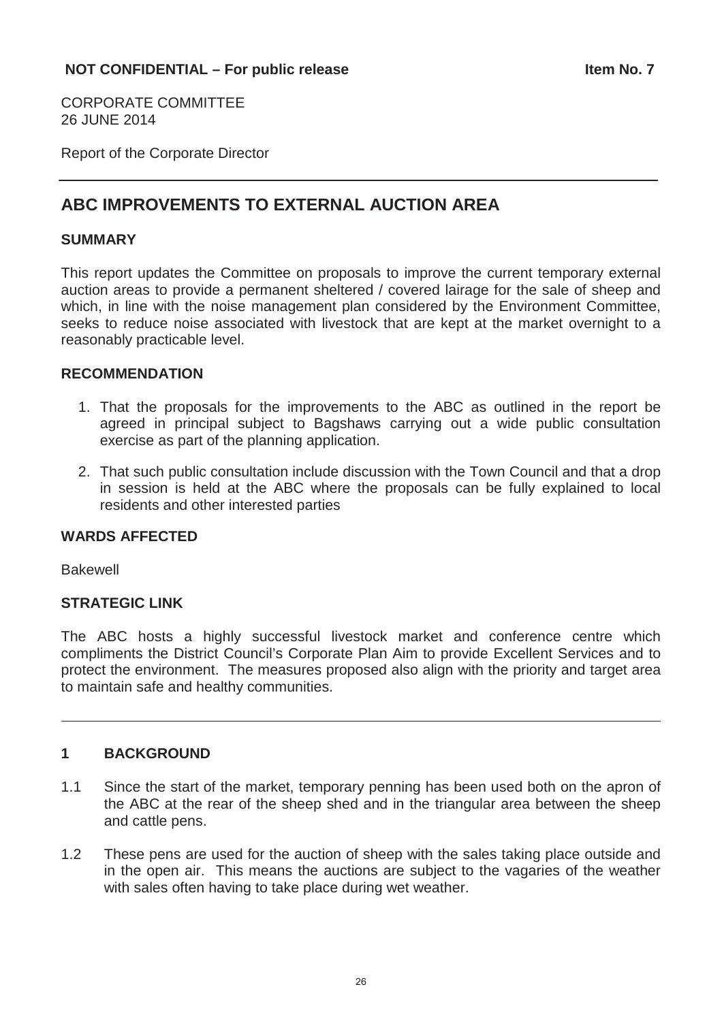CORPORATE COMMITTEE 26 JUNE 2014

Report of the Corporate Director

# **ABC IMPROVEMENTS TO EXTERNAL AUCTION AREA**

# **SUMMARY**

This report updates the Committee on proposals to improve the current temporary external auction areas to provide a permanent sheltered / covered lairage for the sale of sheep and which, in line with the noise management plan considered by the Environment Committee, seeks to reduce noise associated with livestock that are kept at the market overnight to a reasonably practicable level.

# **RECOMMENDATION**

- 1. That the proposals for the improvements to the ABC as outlined in the report be agreed in principal subject to Bagshaws carrying out a wide public consultation exercise as part of the planning application.
- 2. That such public consultation include discussion with the Town Council and that a drop in session is held at the ABC where the proposals can be fully explained to local residents and other interested parties

# **WARDS AFFECTED**

Bakewell

# **STRATEGIC LINK**

The ABC hosts a highly successful livestock market and conference centre which compliments the District Council's Corporate Plan Aim to provide Excellent Services and to protect the environment. The measures proposed also align with the priority and target area to maintain safe and healthy communities.

# **1 BACKGROUND**

- 1.1 Since the start of the market, temporary penning has been used both on the apron of the ABC at the rear of the sheep shed and in the triangular area between the sheep and cattle pens.
- 1.2 These pens are used for the auction of sheep with the sales taking place outside and in the open air. This means the auctions are subject to the vagaries of the weather with sales often having to take place during wet weather.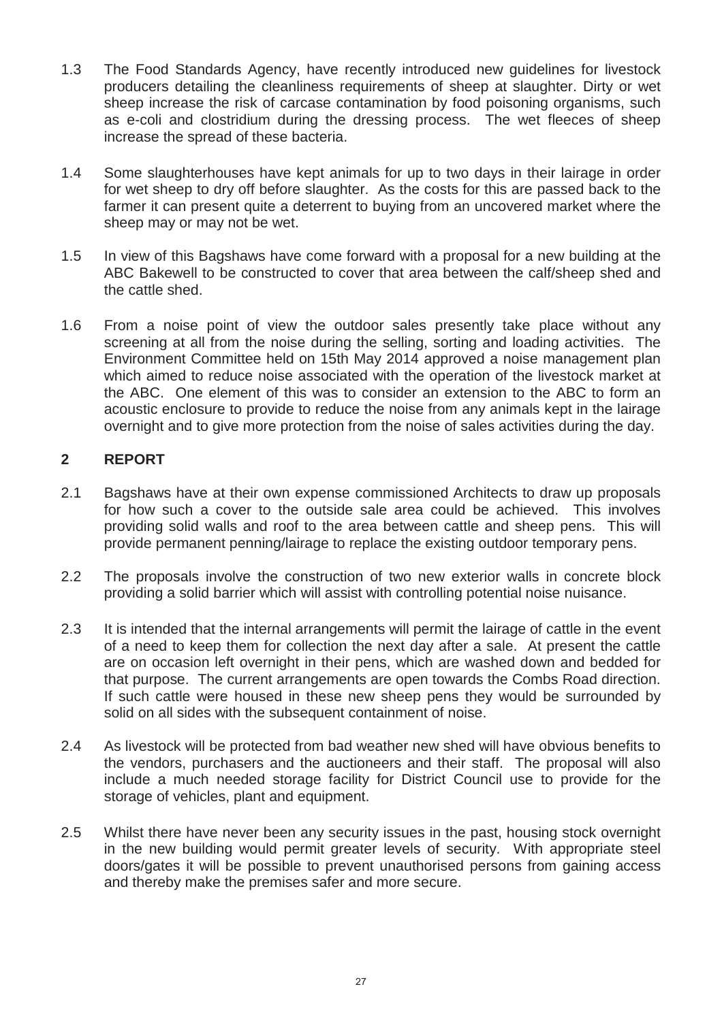- 1.3 The Food Standards Agency, have recently introduced new guidelines for livestock producers detailing the cleanliness requirements of sheep at slaughter. Dirty or wet sheep increase the risk of carcase contamination by food poisoning organisms, such as e-coli and clostridium during the dressing process. The wet fleeces of sheep increase the spread of these bacteria.
- 1.4 Some slaughterhouses have kept animals for up to two days in their lairage in order for wet sheep to dry off before slaughter. As the costs for this are passed back to the farmer it can present quite a deterrent to buying from an uncovered market where the sheep may or may not be wet.
- 1.5 In view of this Bagshaws have come forward with a proposal for a new building at the ABC Bakewell to be constructed to cover that area between the calf/sheep shed and the cattle shed.
- 1.6 From a noise point of view the outdoor sales presently take place without any screening at all from the noise during the selling, sorting and loading activities. The Environment Committee held on 15th May 2014 approved a noise management plan which aimed to reduce noise associated with the operation of the livestock market at the ABC. One element of this was to consider an extension to the ABC to form an acoustic enclosure to provide to reduce the noise from any animals kept in the lairage overnight and to give more protection from the noise of sales activities during the day.

# **2 REPORT**

- 2.1 Bagshaws have at their own expense commissioned Architects to draw up proposals for how such a cover to the outside sale area could be achieved. This involves providing solid walls and roof to the area between cattle and sheep pens. This will provide permanent penning/lairage to replace the existing outdoor temporary pens.
- 2.2 The proposals involve the construction of two new exterior walls in concrete block providing a solid barrier which will assist with controlling potential noise nuisance.
- 2.3 It is intended that the internal arrangements will permit the lairage of cattle in the event of a need to keep them for collection the next day after a sale. At present the cattle are on occasion left overnight in their pens, which are washed down and bedded for that purpose. The current arrangements are open towards the Combs Road direction. If such cattle were housed in these new sheep pens they would be surrounded by solid on all sides with the subsequent containment of noise.
- 2.4 As livestock will be protected from bad weather new shed will have obvious benefits to the vendors, purchasers and the auctioneers and their staff. The proposal will also include a much needed storage facility for District Council use to provide for the storage of vehicles, plant and equipment.
- 2.5 Whilst there have never been any security issues in the past, housing stock overnight in the new building would permit greater levels of security. With appropriate steel doors/gates it will be possible to prevent unauthorised persons from gaining access and thereby make the premises safer and more secure.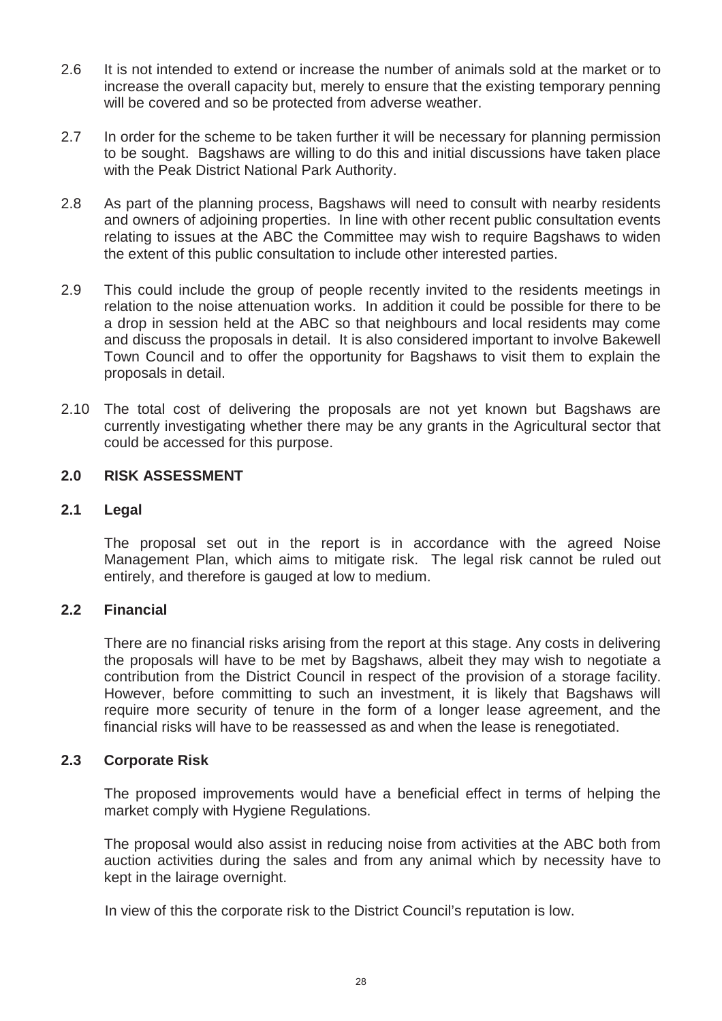- 2.6 It is not intended to extend or increase the number of animals sold at the market or to increase the overall capacity but, merely to ensure that the existing temporary penning will be covered and so be protected from adverse weather.
- 2.7 In order for the scheme to be taken further it will be necessary for planning permission to be sought. Bagshaws are willing to do this and initial discussions have taken place with the Peak District National Park Authority.
- 2.8 As part of the planning process, Bagshaws will need to consult with nearby residents and owners of adjoining properties. In line with other recent public consultation events relating to issues at the ABC the Committee may wish to require Bagshaws to widen the extent of this public consultation to include other interested parties.
- 2.9 This could include the group of people recently invited to the residents meetings in relation to the noise attenuation works. In addition it could be possible for there to be a drop in session held at the ABC so that neighbours and local residents may come and discuss the proposals in detail. It is also considered important to involve Bakewell Town Council and to offer the opportunity for Bagshaws to visit them to explain the proposals in detail.
- 2.10 The total cost of delivering the proposals are not yet known but Bagshaws are currently investigating whether there may be any grants in the Agricultural sector that could be accessed for this purpose.

# **2.0 RISK ASSESSMENT**

# **2.1 Legal**

The proposal set out in the report is in accordance with the agreed Noise Management Plan, which aims to mitigate risk. The legal risk cannot be ruled out entirely, and therefore is gauged at low to medium.

# **2.2 Financial**

There are no financial risks arising from the report at this stage. Any costs in delivering the proposals will have to be met by Bagshaws, albeit they may wish to negotiate a contribution from the District Council in respect of the provision of a storage facility. However, before committing to such an investment, it is likely that Bagshaws will require more security of tenure in the form of a longer lease agreement, and the financial risks will have to be reassessed as and when the lease is renegotiated.

# **2.3 Corporate Risk**

The proposed improvements would have a beneficial effect in terms of helping the market comply with Hygiene Regulations.

The proposal would also assist in reducing noise from activities at the ABC both from auction activities during the sales and from any animal which by necessity have to kept in the lairage overnight.

In view of this the corporate risk to the District Council's reputation is low.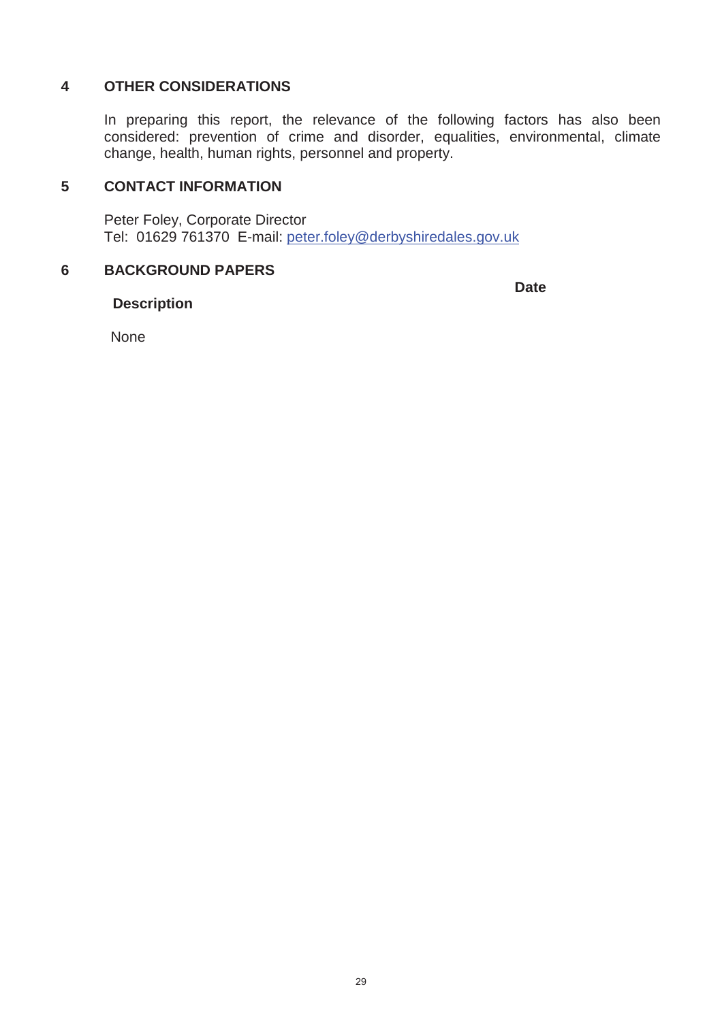# **4 OTHER CONSIDERATIONS**

In preparing this report, the relevance of the following factors has also been considered: prevention of crime and disorder, equalities, environmental, climate change, health, human rights, personnel and property.

# **5 CONTACT INFORMATION**

Peter Foley, Corporate Director Tel: 01629 761370 E-mail: peter.foley@derbyshiredales.gov.uk

## **6 BACKGROUND PAPERS**

**Date**

# **Description**

None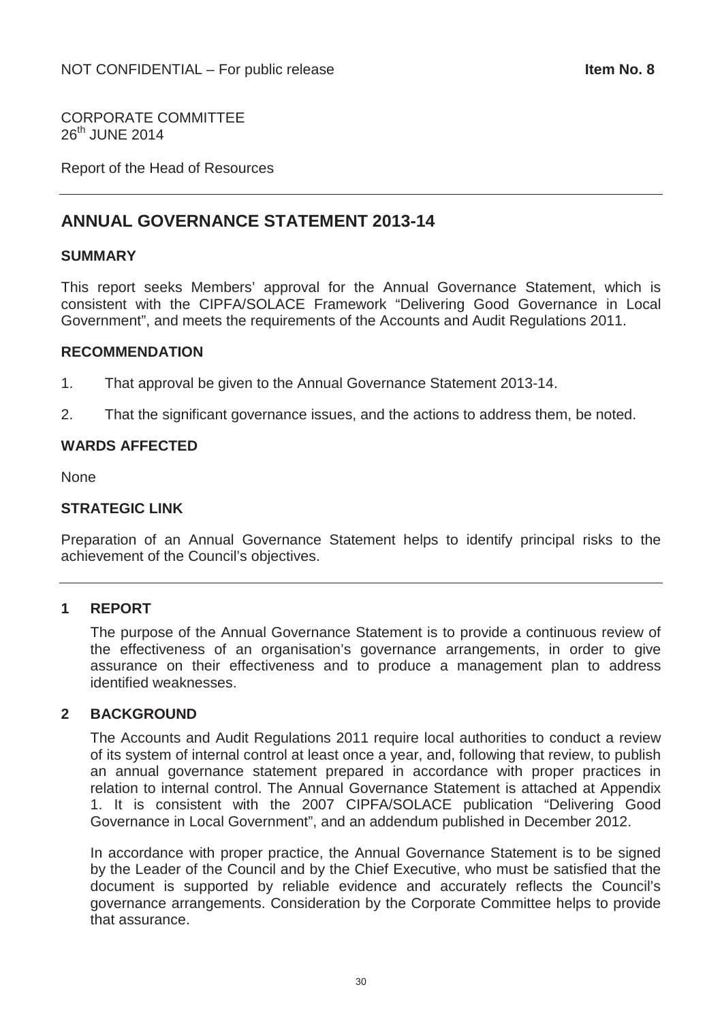CORPORATE COMMITTEE  $26^{th}$  JUNF  $2014$ 

Report of the Head of Resources

# **ANNUAL GOVERNANCE STATEMENT 2013-14**

## **SUMMARY**

This report seeks Members' approval for the Annual Governance Statement, which is consistent with the CIPFA/SOLACE Framework "Delivering Good Governance in Local Government", and meets the requirements of the Accounts and Audit Regulations 2011.

## **RECOMMENDATION**

- 1. That approval be given to the Annual Governance Statement 2013-14.
- 2. That the significant governance issues, and the actions to address them, be noted.

# **WARDS AFFECTED**

None

# **STRATEGIC LINK**

Preparation of an Annual Governance Statement helps to identify principal risks to the achievement of the Council's objectives.

# **1 REPORT**

The purpose of the Annual Governance Statement is to provide a continuous review of the effectiveness of an organisation's governance arrangements, in order to give assurance on their effectiveness and to produce a management plan to address identified weaknesses.

# **2 BACKGROUND**

The Accounts and Audit Regulations 2011 require local authorities to conduct a review of its system of internal control at least once a year, and, following that review, to publish an annual governance statement prepared in accordance with proper practices in relation to internal control. The Annual Governance Statement is attached at Appendix 1. It is consistent with the 2007 CIPFA/SOLACE publication "Delivering Good Governance in Local Government", and an addendum published in December 2012.

In accordance with proper practice, the Annual Governance Statement is to be signed by the Leader of the Council and by the Chief Executive, who must be satisfied that the document is supported by reliable evidence and accurately reflects the Council's governance arrangements. Consideration by the Corporate Committee helps to provide that assurance.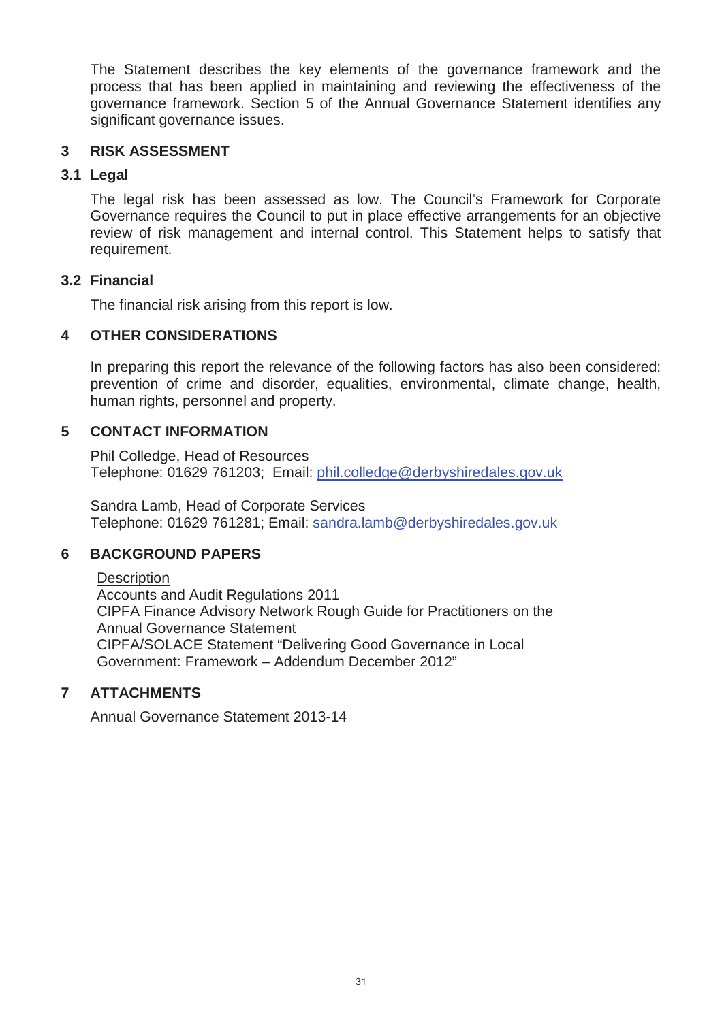The Statement describes the key elements of the governance framework and the process that has been applied in maintaining and reviewing the effectiveness of the governance framework. Section 5 of the Annual Governance Statement identifies any significant governance issues.

# **3 RISK ASSESSMENT**

# **3.1 Legal**

The legal risk has been assessed as low. The Council's Framework for Corporate Governance requires the Council to put in place effective arrangements for an objective review of risk management and internal control. This Statement helps to satisfy that requirement.

# **3.2 Financial**

The financial risk arising from this report is low.

# **4 OTHER CONSIDERATIONS**

In preparing this report the relevance of the following factors has also been considered: prevention of crime and disorder, equalities, environmental, climate change, health, human rights, personnel and property.

# **5 CONTACT INFORMATION**

Phil Colledge, Head of Resources Telephone: 01629 761203; Email: phil.colledge@derbyshiredales.gov.uk

Sandra Lamb, Head of Corporate Services Telephone: 01629 761281; Email: sandra.lamb@derbyshiredales.gov.uk

# **6 BACKGROUND PAPERS**

# **Description**

Accounts and Audit Regulations 2011 CIPFA Finance Advisory Network Rough Guide for Practitioners on the Annual Governance Statement CIPFA/SOLACE Statement "Delivering Good Governance in Local Government: Framework – Addendum December 2012"

# **7 ATTACHMENTS**

Annual Governance Statement 2013-14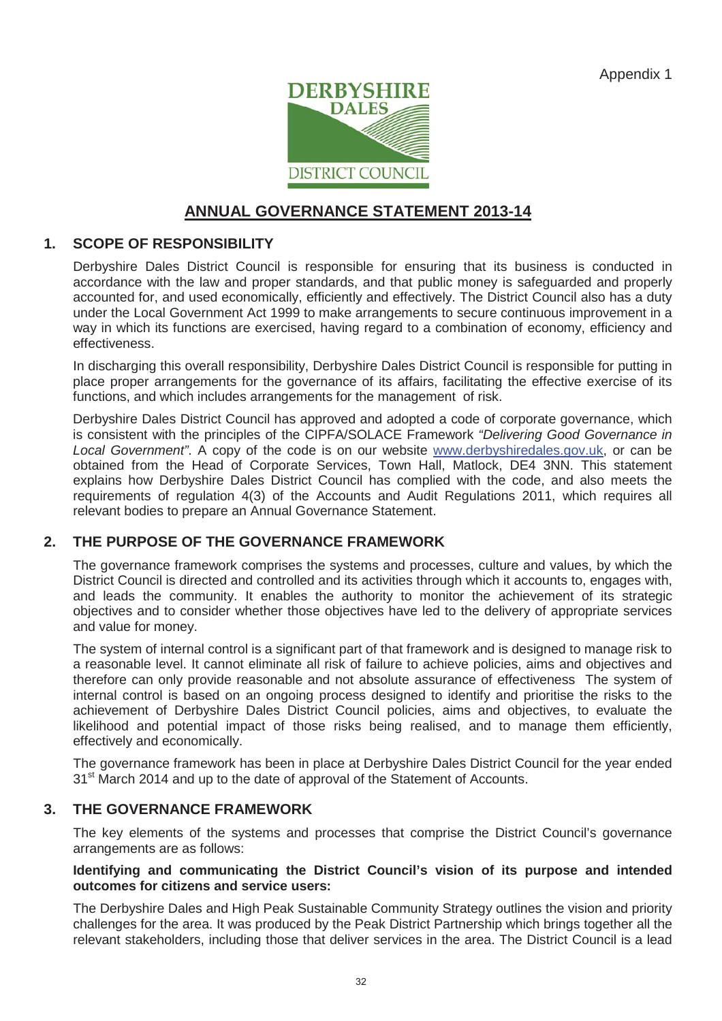Appendix 1



# **ANNUAL GOVERNANCE STATEMENT 2013-14**

# **1. SCOPE OF RESPONSIBILITY**

Derbyshire Dales District Council is responsible for ensuring that its business is conducted in accordance with the law and proper standards, and that public money is safeguarded and properly accounted for, and used economically, efficiently and effectively. The District Council also has a duty under the Local Government Act 1999 to make arrangements to secure continuous improvement in a way in which its functions are exercised, having regard to a combination of economy, efficiency and effectiveness.

In discharging this overall responsibility, Derbyshire Dales District Council is responsible for putting in place proper arrangements for the governance of its affairs, facilitating the effective exercise of its functions, and which includes arrangements for the management of risk.

Derbyshire Dales District Council has approved and adopted a code of corporate governance, which is consistent with the principles of the CIPFA/SOLACE Framework *"Delivering Good Governance in Local Government"*. A copy of the code is on our website www.derbyshiredales.gov.uk, or can be obtained from the Head of Corporate Services, Town Hall, Matlock, DE4 3NN. This statement explains how Derbyshire Dales District Council has complied with the code, and also meets the requirements of regulation 4(3) of the Accounts and Audit Regulations 2011, which requires all relevant bodies to prepare an Annual Governance Statement.

# **2. THE PURPOSE OF THE GOVERNANCE FRAMEWORK**

The governance framework comprises the systems and processes, culture and values, by which the District Council is directed and controlled and its activities through which it accounts to, engages with, and leads the community. It enables the authority to monitor the achievement of its strategic objectives and to consider whether those objectives have led to the delivery of appropriate services and value for money.

The system of internal control is a significant part of that framework and is designed to manage risk to a reasonable level. It cannot eliminate all risk of failure to achieve policies, aims and objectives and therefore can only provide reasonable and not absolute assurance of effectiveness The system of internal control is based on an ongoing process designed to identify and prioritise the risks to the achievement of Derbyshire Dales District Council policies, aims and objectives, to evaluate the likelihood and potential impact of those risks being realised, and to manage them efficiently, effectively and economically.

The governance framework has been in place at Derbyshire Dales District Council for the year ended 31<sup>st</sup> March 2014 and up to the date of approval of the Statement of Accounts.

# **3. THE GOVERNANCE FRAMEWORK**

The key elements of the systems and processes that comprise the District Council's governance arrangements are as follows:

#### **Identifying and communicating the District Council's vision of its purpose and intended outcomes for citizens and service users:**

The Derbyshire Dales and High Peak Sustainable Community Strategy outlines the vision and priority challenges for the area. It was produced by the Peak District Partnership which brings together all the relevant stakeholders, including those that deliver services in the area. The District Council is a lead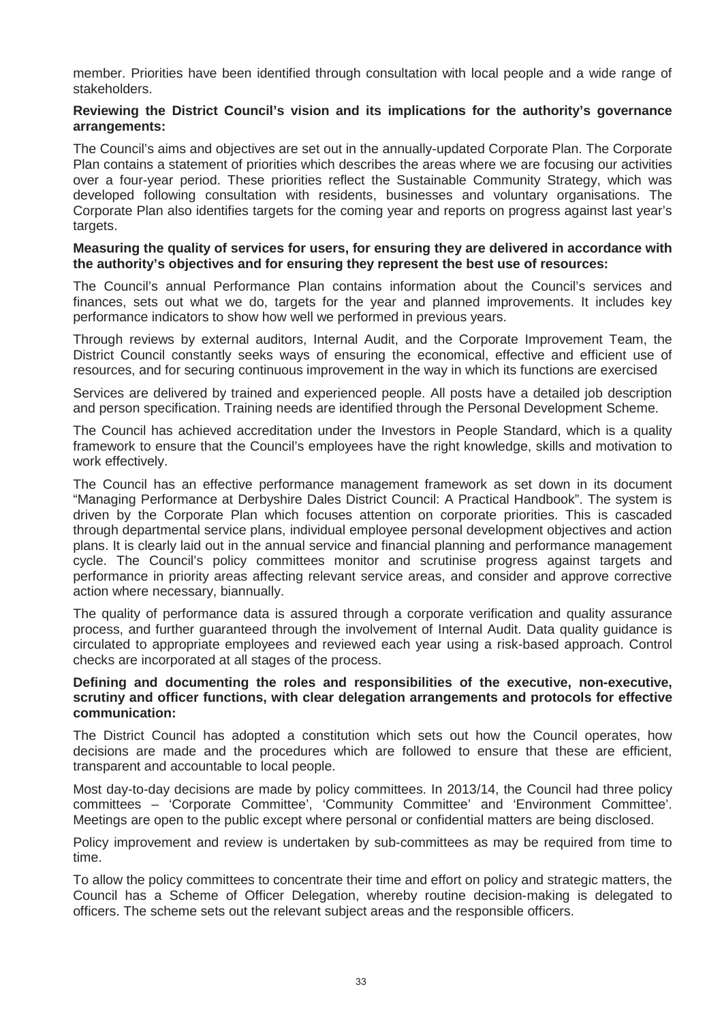member. Priorities have been identified through consultation with local people and a wide range of stakeholders.

#### **Reviewing the District Council's vision and its implications for the authority's governance arrangements:**

The Council's aims and objectives are set out in the annually-updated Corporate Plan. The Corporate Plan contains a statement of priorities which describes the areas where we are focusing our activities over a four-year period. These priorities reflect the Sustainable Community Strategy, which was developed following consultation with residents, businesses and voluntary organisations. The Corporate Plan also identifies targets for the coming year and reports on progress against last year's targets.

#### **Measuring the quality of services for users, for ensuring they are delivered in accordance with the authority's objectives and for ensuring they represent the best use of resources:**

The Council's annual Performance Plan contains information about the Council's services and finances, sets out what we do, targets for the year and planned improvements. It includes key performance indicators to show how well we performed in previous years.

Through reviews by external auditors, Internal Audit, and the Corporate Improvement Team, the District Council constantly seeks ways of ensuring the economical, effective and efficient use of resources, and for securing continuous improvement in the way in which its functions are exercised

Services are delivered by trained and experienced people. All posts have a detailed job description and person specification. Training needs are identified through the Personal Development Scheme.

The Council has achieved accreditation under the Investors in People Standard, which is a quality framework to ensure that the Council's employees have the right knowledge, skills and motivation to work effectively.

The Council has an effective performance management framework as set down in its document "Managing Performance at Derbyshire Dales District Council: A Practical Handbook". The system is driven by the Corporate Plan which focuses attention on corporate priorities. This is cascaded through departmental service plans, individual employee personal development objectives and action plans. It is clearly laid out in the annual service and financial planning and performance management cycle. The Council's policy committees monitor and scrutinise progress against targets and performance in priority areas affecting relevant service areas, and consider and approve corrective action where necessary, biannually.

The quality of performance data is assured through a corporate verification and quality assurance process, and further guaranteed through the involvement of Internal Audit. Data quality guidance is circulated to appropriate employees and reviewed each year using a risk-based approach. Control checks are incorporated at all stages of the process.

#### **Defining and documenting the roles and responsibilities of the executive, non-executive, scrutiny and officer functions, with clear delegation arrangements and protocols for effective communication:**

The District Council has adopted a constitution which sets out how the Council operates, how decisions are made and the procedures which are followed to ensure that these are efficient, transparent and accountable to local people.

Most day-to-day decisions are made by policy committees. In 2013/14, the Council had three policy committees – 'Corporate Committee', 'Community Committee' and 'Environment Committee'. Meetings are open to the public except where personal or confidential matters are being disclosed.

Policy improvement and review is undertaken by sub-committees as may be required from time to time.

To allow the policy committees to concentrate their time and effort on policy and strategic matters, the Council has a Scheme of Officer Delegation, whereby routine decision-making is delegated to officers. The scheme sets out the relevant subject areas and the responsible officers.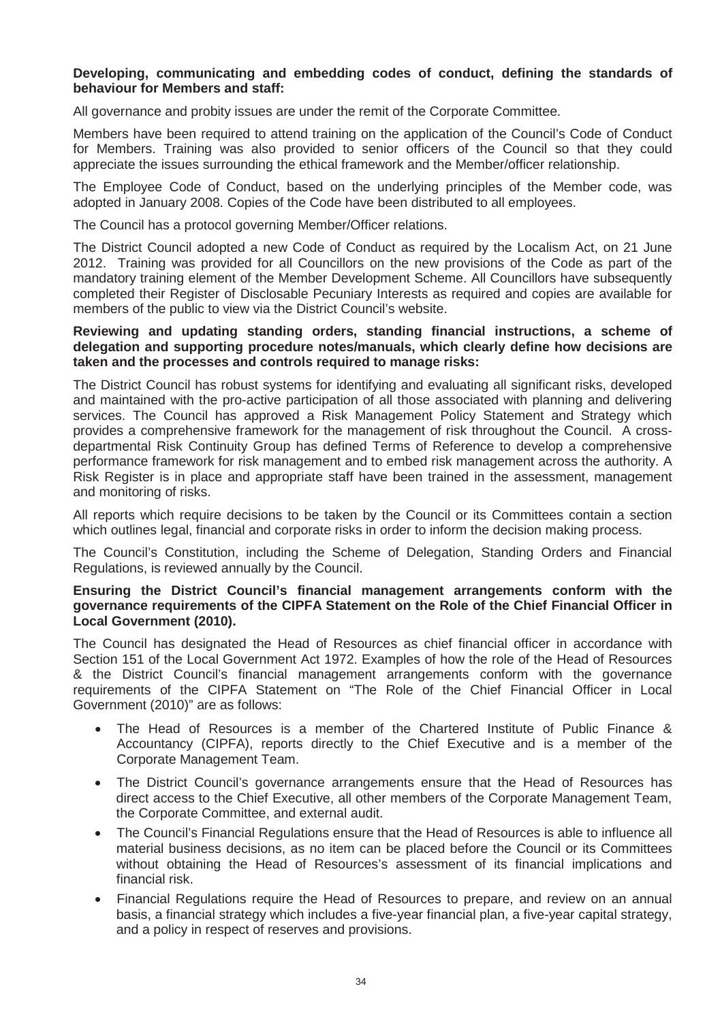#### **Developing, communicating and embedding codes of conduct, defining the standards of behaviour for Members and staff:**

All governance and probity issues are under the remit of the Corporate Committee.

Members have been required to attend training on the application of the Council's Code of Conduct for Members. Training was also provided to senior officers of the Council so that they could appreciate the issues surrounding the ethical framework and the Member/officer relationship.

The Employee Code of Conduct, based on the underlying principles of the Member code, was adopted in January 2008. Copies of the Code have been distributed to all employees.

The Council has a protocol governing Member/Officer relations.

The District Council adopted a new Code of Conduct as required by the Localism Act, on 21 June 2012. Training was provided for all Councillors on the new provisions of the Code as part of the mandatory training element of the Member Development Scheme. All Councillors have subsequently completed their Register of Disclosable Pecuniary Interests as required and copies are available for members of the public to view via the District Council's website.

#### **Reviewing and updating standing orders, standing financial instructions, a scheme of delegation and supporting procedure notes/manuals, which clearly define how decisions are taken and the processes and controls required to manage risks:**

The District Council has robust systems for identifying and evaluating all significant risks, developed and maintained with the pro-active participation of all those associated with planning and delivering services. The Council has approved a Risk Management Policy Statement and Strategy which provides a comprehensive framework for the management of risk throughout the Council. A crossdepartmental Risk Continuity Group has defined Terms of Reference to develop a comprehensive performance framework for risk management and to embed risk management across the authority. A Risk Register is in place and appropriate staff have been trained in the assessment, management and monitoring of risks.

All reports which require decisions to be taken by the Council or its Committees contain a section which outlines legal, financial and corporate risks in order to inform the decision making process.

The Council's Constitution, including the Scheme of Delegation, Standing Orders and Financial Regulations, is reviewed annually by the Council.

#### **Ensuring the District Council's financial management arrangements conform with the governance requirements of the CIPFA Statement on the Role of the Chief Financial Officer in Local Government (2010).**

The Council has designated the Head of Resources as chief financial officer in accordance with Section 151 of the Local Government Act 1972. Examples of how the role of the Head of Resources & the District Council's financial management arrangements conform with the governance requirements of the CIPFA Statement on "The Role of the Chief Financial Officer in Local Government (2010)" are as follows:

- x The Head of Resources is a member of the Chartered Institute of Public Finance & Accountancy (CIPFA), reports directly to the Chief Executive and is a member of the Corporate Management Team.
- The District Council's governance arrangements ensure that the Head of Resources has direct access to the Chief Executive, all other members of the Corporate Management Team, the Corporate Committee, and external audit.
- The Council's Financial Regulations ensure that the Head of Resources is able to influence all material business decisions, as no item can be placed before the Council or its Committees without obtaining the Head of Resources's assessment of its financial implications and financial risk.
- Financial Regulations require the Head of Resources to prepare, and review on an annual basis, a financial strategy which includes a five-year financial plan, a five-year capital strategy, and a policy in respect of reserves and provisions.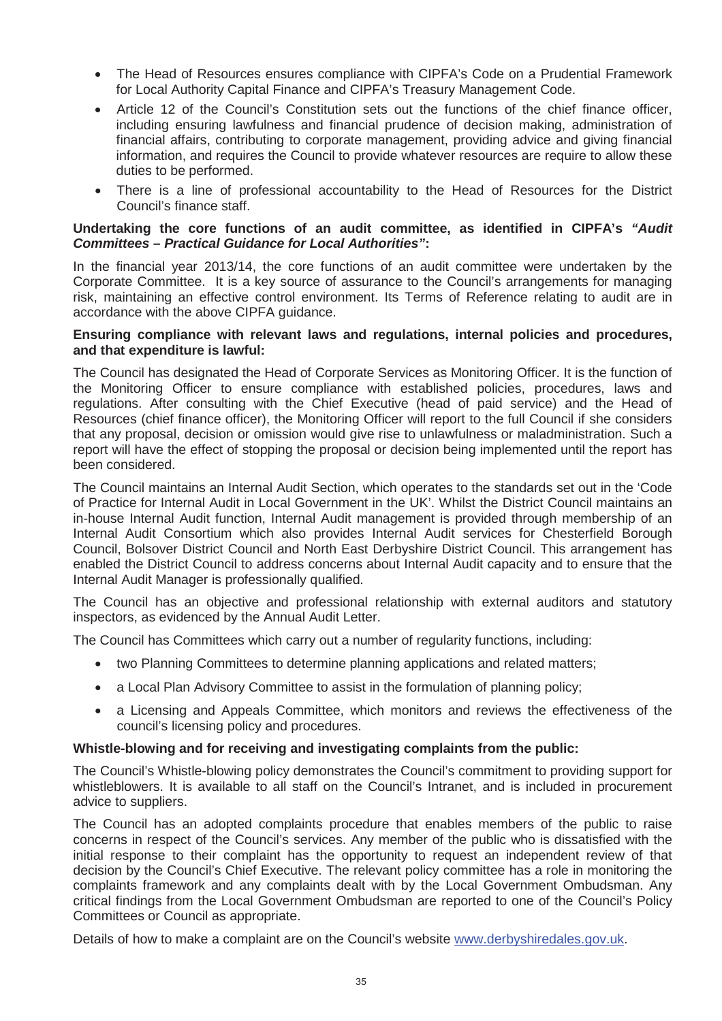- x The Head of Resources ensures compliance with CIPFA's Code on a Prudential Framework for Local Authority Capital Finance and CIPFA's Treasury Management Code.
- Article 12 of the Council's Constitution sets out the functions of the chief finance officer, including ensuring lawfulness and financial prudence of decision making, administration of financial affairs, contributing to corporate management, providing advice and giving financial information, and requires the Council to provide whatever resources are require to allow these duties to be performed.
- There is a line of professional accountability to the Head of Resources for the District Council's finance staff.

### **Undertaking the core functions of an audit committee, as identified in CIPFA's** *"Audit Committees – Practical Guidance for Local Authorities"***:**

In the financial year 2013/14, the core functions of an audit committee were undertaken by the Corporate Committee. It is a key source of assurance to the Council's arrangements for managing risk, maintaining an effective control environment. Its Terms of Reference relating to audit are in accordance with the above CIPFA guidance.

#### **Ensuring compliance with relevant laws and regulations, internal policies and procedures, and that expenditure is lawful:**

The Council has designated the Head of Corporate Services as Monitoring Officer. It is the function of the Monitoring Officer to ensure compliance with established policies, procedures, laws and regulations. After consulting with the Chief Executive (head of paid service) and the Head of Resources (chief finance officer), the Monitoring Officer will report to the full Council if she considers that any proposal, decision or omission would give rise to unlawfulness or maladministration. Such a report will have the effect of stopping the proposal or decision being implemented until the report has been considered.

The Council maintains an Internal Audit Section, which operates to the standards set out in the 'Code of Practice for Internal Audit in Local Government in the UK'. Whilst the District Council maintains an in-house Internal Audit function, Internal Audit management is provided through membership of an Internal Audit Consortium which also provides Internal Audit services for Chesterfield Borough Council, Bolsover District Council and North East Derbyshire District Council. This arrangement has enabled the District Council to address concerns about Internal Audit capacity and to ensure that the Internal Audit Manager is professionally qualified.

The Council has an objective and professional relationship with external auditors and statutory inspectors, as evidenced by the Annual Audit Letter.

The Council has Committees which carry out a number of regularity functions, including:

- two Planning Committees to determine planning applications and related matters;
- a Local Plan Advisory Committee to assist in the formulation of planning policy;
- a Licensing and Appeals Committee, which monitors and reviews the effectiveness of the council's licensing policy and procedures.

#### **Whistle-blowing and for receiving and investigating complaints from the public:**

The Council's Whistle-blowing policy demonstrates the Council's commitment to providing support for whistleblowers. It is available to all staff on the Council's Intranet, and is included in procurement advice to suppliers.

The Council has an adopted complaints procedure that enables members of the public to raise concerns in respect of the Council's services. Any member of the public who is dissatisfied with the initial response to their complaint has the opportunity to request an independent review of that decision by the Council's Chief Executive. The relevant policy committee has a role in monitoring the complaints framework and any complaints dealt with by the Local Government Ombudsman. Any critical findings from the Local Government Ombudsman are reported to one of the Council's Policy Committees or Council as appropriate.

Details of how to make a complaint are on the Council's website www.derbyshiredales.gov.uk.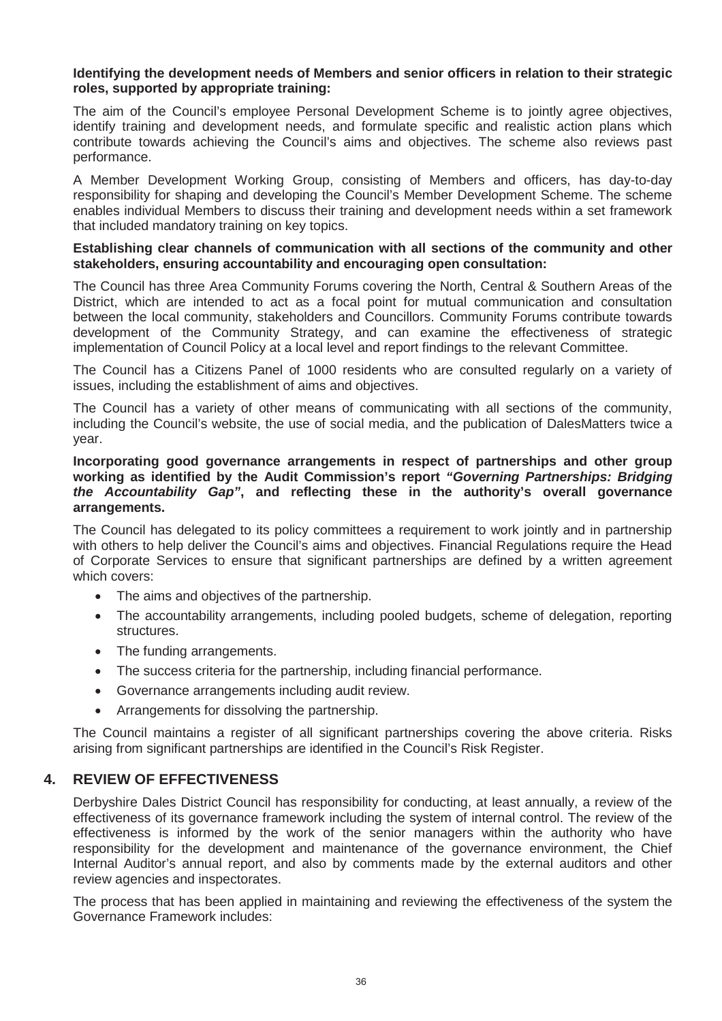#### **Identifying the development needs of Members and senior officers in relation to their strategic roles, supported by appropriate training:**

The aim of the Council's employee Personal Development Scheme is to jointly agree objectives, identify training and development needs, and formulate specific and realistic action plans which contribute towards achieving the Council's aims and objectives. The scheme also reviews past performance.

A Member Development Working Group, consisting of Members and officers, has day-to-day responsibility for shaping and developing the Council's Member Development Scheme. The scheme enables individual Members to discuss their training and development needs within a set framework that included mandatory training on key topics.

#### **Establishing clear channels of communication with all sections of the community and other stakeholders, ensuring accountability and encouraging open consultation:**

The Council has three Area Community Forums covering the North, Central & Southern Areas of the District, which are intended to act as a focal point for mutual communication and consultation between the local community, stakeholders and Councillors. Community Forums contribute towards development of the Community Strategy, and can examine the effectiveness of strategic implementation of Council Policy at a local level and report findings to the relevant Committee.

The Council has a Citizens Panel of 1000 residents who are consulted regularly on a variety of issues, including the establishment of aims and objectives.

The Council has a variety of other means of communicating with all sections of the community, including the Council's website, the use of social media, and the publication of DalesMatters twice a year.

#### **Incorporating good governance arrangements in respect of partnerships and other group working as identified by the Audit Commission's report** *"Governing Partnerships: Bridging the Accountability Gap"***, and reflecting these in the authority's overall governance arrangements.**

The Council has delegated to its policy committees a requirement to work jointly and in partnership with others to help deliver the Council's aims and objectives. Financial Regulations require the Head of Corporate Services to ensure that significant partnerships are defined by a written agreement which covers:

- The aims and objectives of the partnership.
- The accountability arrangements, including pooled budgets, scheme of delegation, reporting structures.
- The funding arrangements.
- The success criteria for the partnership, including financial performance.
- Governance arrangements including audit review.
- Arrangements for dissolving the partnership.

The Council maintains a register of all significant partnerships covering the above criteria. Risks arising from significant partnerships are identified in the Council's Risk Register.

# **4. REVIEW OF EFFECTIVENESS**

Derbyshire Dales District Council has responsibility for conducting, at least annually, a review of the effectiveness of its governance framework including the system of internal control. The review of the effectiveness is informed by the work of the senior managers within the authority who have responsibility for the development and maintenance of the governance environment, the Chief Internal Auditor's annual report, and also by comments made by the external auditors and other review agencies and inspectorates.

The process that has been applied in maintaining and reviewing the effectiveness of the system the Governance Framework includes: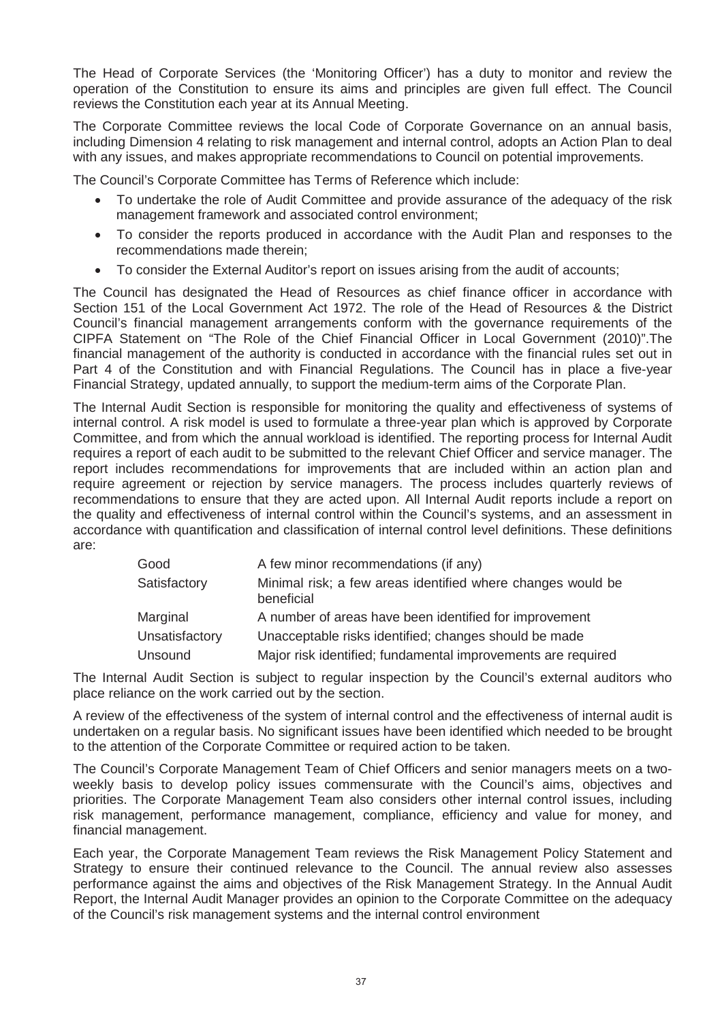The Head of Corporate Services (the 'Monitoring Officer') has a duty to monitor and review the operation of the Constitution to ensure its aims and principles are given full effect. The Council reviews the Constitution each year at its Annual Meeting.

The Corporate Committee reviews the local Code of Corporate Governance on an annual basis, including Dimension 4 relating to risk management and internal control, adopts an Action Plan to deal with any issues, and makes appropriate recommendations to Council on potential improvements.

The Council's Corporate Committee has Terms of Reference which include:

- x To undertake the role of Audit Committee and provide assurance of the adequacy of the risk management framework and associated control environment;
- To consider the reports produced in accordance with the Audit Plan and responses to the recommendations made therein;
- x To consider the External Auditor's report on issues arising from the audit of accounts;

The Council has designated the Head of Resources as chief finance officer in accordance with Section 151 of the Local Government Act 1972. The role of the Head of Resources & the District Council's financial management arrangements conform with the governance requirements of the CIPFA Statement on "The Role of the Chief Financial Officer in Local Government (2010)".The financial management of the authority is conducted in accordance with the financial rules set out in Part 4 of the Constitution and with Financial Regulations. The Council has in place a five-year Financial Strategy, updated annually, to support the medium-term aims of the Corporate Plan.

The Internal Audit Section is responsible for monitoring the quality and effectiveness of systems of internal control. A risk model is used to formulate a three-year plan which is approved by Corporate Committee, and from which the annual workload is identified. The reporting process for Internal Audit requires a report of each audit to be submitted to the relevant Chief Officer and service manager. The report includes recommendations for improvements that are included within an action plan and require agreement or rejection by service managers. The process includes quarterly reviews of recommendations to ensure that they are acted upon. All Internal Audit reports include a report on the quality and effectiveness of internal control within the Council's systems, and an assessment in accordance with quantification and classification of internal control level definitions. These definitions are:

| Good           | A few minor recommendations (if any)                                      |
|----------------|---------------------------------------------------------------------------|
| Satisfactory   | Minimal risk; a few areas identified where changes would be<br>beneficial |
| Marginal       | A number of areas have been identified for improvement                    |
| Unsatisfactory | Unacceptable risks identified; changes should be made                     |
| Unsound        | Major risk identified; fundamental improvements are required              |

The Internal Audit Section is subject to regular inspection by the Council's external auditors who place reliance on the work carried out by the section.

A review of the effectiveness of the system of internal control and the effectiveness of internal audit is undertaken on a regular basis. No significant issues have been identified which needed to be brought to the attention of the Corporate Committee or required action to be taken.

The Council's Corporate Management Team of Chief Officers and senior managers meets on a twoweekly basis to develop policy issues commensurate with the Council's aims, objectives and priorities. The Corporate Management Team also considers other internal control issues, including risk management, performance management, compliance, efficiency and value for money, and financial management.

Each year, the Corporate Management Team reviews the Risk Management Policy Statement and Strategy to ensure their continued relevance to the Council. The annual review also assesses performance against the aims and objectives of the Risk Management Strategy. In the Annual Audit Report, the Internal Audit Manager provides an opinion to the Corporate Committee on the adequacy of the Council's risk management systems and the internal control environment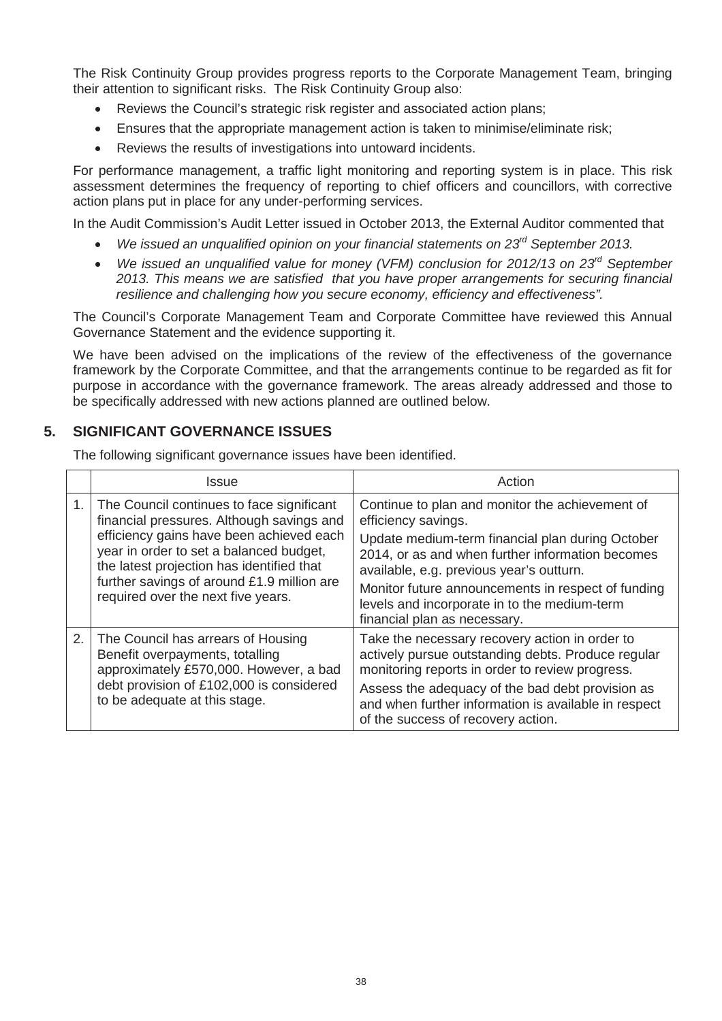The Risk Continuity Group provides progress reports to the Corporate Management Team, bringing their attention to significant risks. The Risk Continuity Group also:

- Reviews the Council's strategic risk register and associated action plans;
- Ensures that the appropriate management action is taken to minimise/eliminate risk;
- Reviews the results of investigations into untoward incidents.

For performance management, a traffic light monitoring and reporting system is in place. This risk assessment determines the frequency of reporting to chief officers and councillors, with corrective action plans put in place for any under-performing services.

In the Audit Commission's Audit Letter issued in October 2013, the External Auditor commented that

- x *We issued an unqualified opinion on your financial statements on 23rd September 2013.*
- x *We issued an unqualified value for money (VFM) conclusion for 2012/13 on 23rd September 2013. This means we are satisfied that you have proper arrangements for securing financial resilience and challenging how you secure economy, efficiency and effectiveness".*

The Council's Corporate Management Team and Corporate Committee have reviewed this Annual Governance Statement and the evidence supporting it.

We have been advised on the implications of the review of the effectiveness of the governance framework by the Corporate Committee, and that the arrangements continue to be regarded as fit for purpose in accordance with the governance framework. The areas already addressed and those to be specifically addressed with new actions planned are outlined below.

# **5. SIGNIFICANT GOVERNANCE ISSUES**

The following significant governance issues have been identified.

|    | Issue                                                                                                                                                                                                                                                                                                          | Action                                                                                                                                                                                                                                                                                                                                                           |  |  |
|----|----------------------------------------------------------------------------------------------------------------------------------------------------------------------------------------------------------------------------------------------------------------------------------------------------------------|------------------------------------------------------------------------------------------------------------------------------------------------------------------------------------------------------------------------------------------------------------------------------------------------------------------------------------------------------------------|--|--|
| 1. | The Council continues to face significant<br>financial pressures. Although savings and<br>efficiency gains have been achieved each<br>year in order to set a balanced budget,<br>the latest projection has identified that<br>further savings of around £1.9 million are<br>required over the next five years. | Continue to plan and monitor the achievement of<br>efficiency savings.<br>Update medium-term financial plan during October<br>2014, or as and when further information becomes<br>available, e.g. previous year's outturn.<br>Monitor future announcements in respect of funding<br>levels and incorporate in to the medium-term<br>financial plan as necessary. |  |  |
| 2. | The Council has arrears of Housing<br>Benefit overpayments, totalling<br>approximately £570,000. However, a bad<br>debt provision of £102,000 is considered<br>to be adequate at this stage.                                                                                                                   | Take the necessary recovery action in order to<br>actively pursue outstanding debts. Produce regular<br>monitoring reports in order to review progress.<br>Assess the adequacy of the bad debt provision as<br>and when further information is available in respect<br>of the success of recovery action.                                                        |  |  |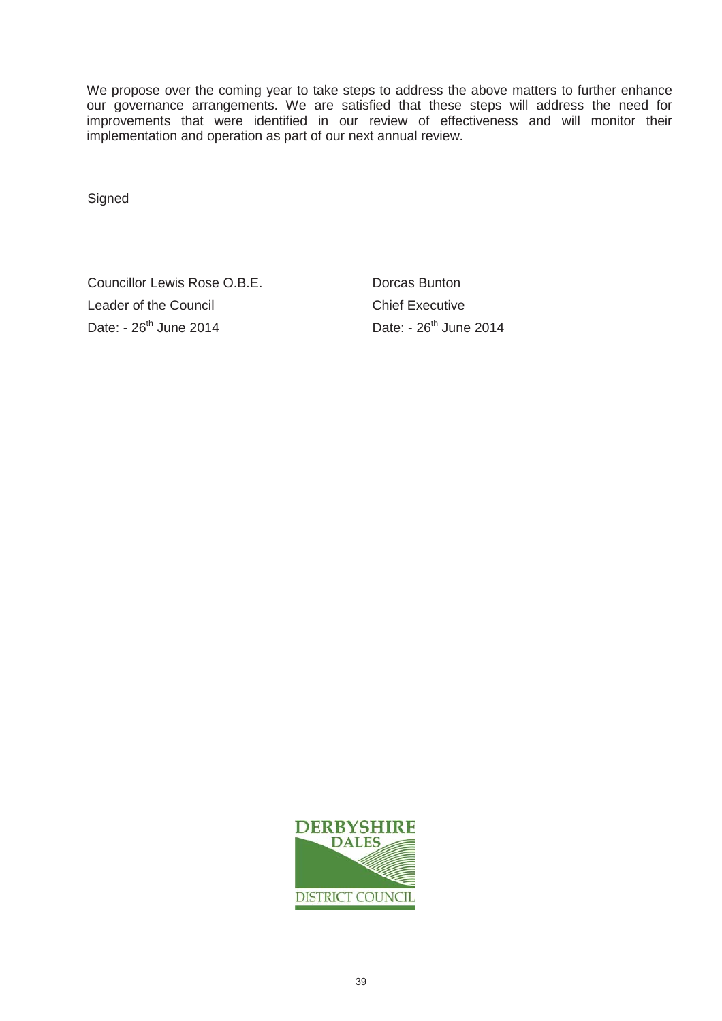We propose over the coming year to take steps to address the above matters to further enhance our governance arrangements. We are satisfied that these steps will address the need for improvements that were identified in our review of effectiveness and will monitor their implementation and operation as part of our next annual review.

Signed

Councillor Lewis Rose O.B.E. Dorcas Bunton Leader of the Council Chief Executive Date: - 26<sup>th</sup> June 2014 Date: - 26<sup>th</sup> June 2014

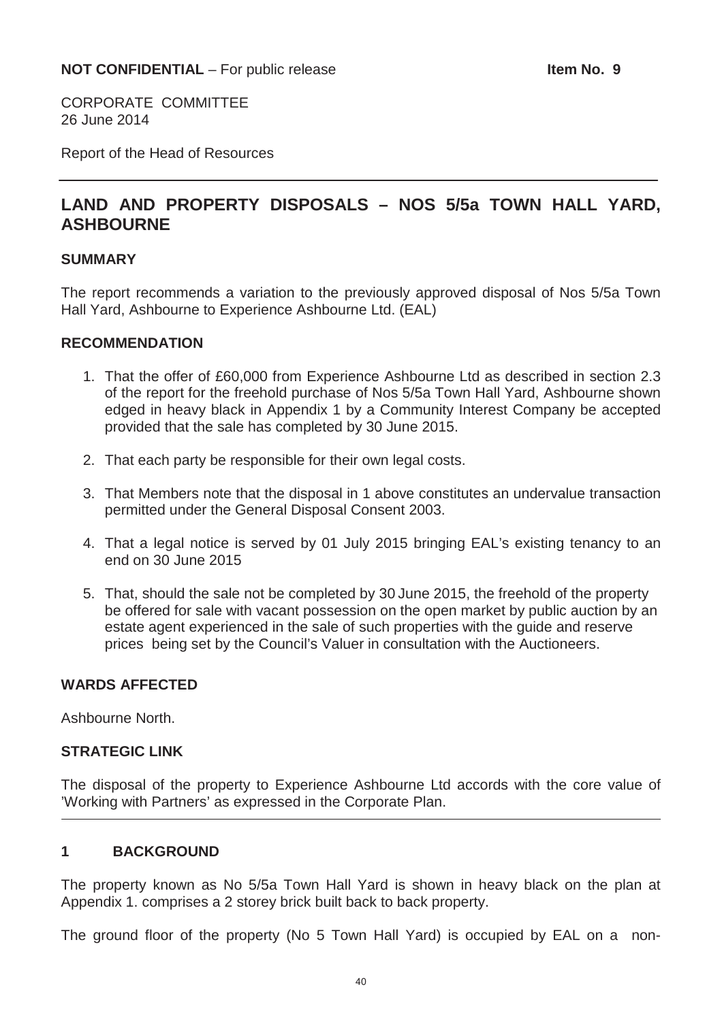CORPORATE COMMITTEE 26 June 2014

Report of the Head of Resources

# **LAND AND PROPERTY DISPOSALS – NOS 5/5a TOWN HALL YARD, ASHBOURNE**

#### **SUMMARY**

The report recommends a variation to the previously approved disposal of Nos 5/5a Town Hall Yard, Ashbourne to Experience Ashbourne Ltd. (EAL)

#### **RECOMMENDATION**

- 1. That the offer of £60,000 from Experience Ashbourne Ltd as described in section 2.3 of the report for the freehold purchase of Nos 5/5a Town Hall Yard, Ashbourne shown edged in heavy black in Appendix 1 by a Community Interest Company be accepted provided that the sale has completed by 30 June 2015.
- 2. That each party be responsible for their own legal costs.
- 3. That Members note that the disposal in 1 above constitutes an undervalue transaction permitted under the General Disposal Consent 2003.
- 4. That a legal notice is served by 01 July 2015 bringing EAL's existing tenancy to an end on 30 June 2015
- 5. That, should the sale not be completed by 30 June 2015, the freehold of the property be offered for sale with vacant possession on the open market by public auction by an estate agent experienced in the sale of such properties with the guide and reserve prices being set by the Council's Valuer in consultation with the Auctioneers.

# **WARDS AFFECTED**

Ashbourne North.

# **STRATEGIC LINK**

The disposal of the property to Experience Ashbourne Ltd accords with the core value of 'Working with Partners' as expressed in the Corporate Plan.

# **1 BACKGROUND**

The property known as No 5/5a Town Hall Yard is shown in heavy black on the plan at Appendix 1. comprises a 2 storey brick built back to back property.

The ground floor of the property (No 5 Town Hall Yard) is occupied by EAL on a non-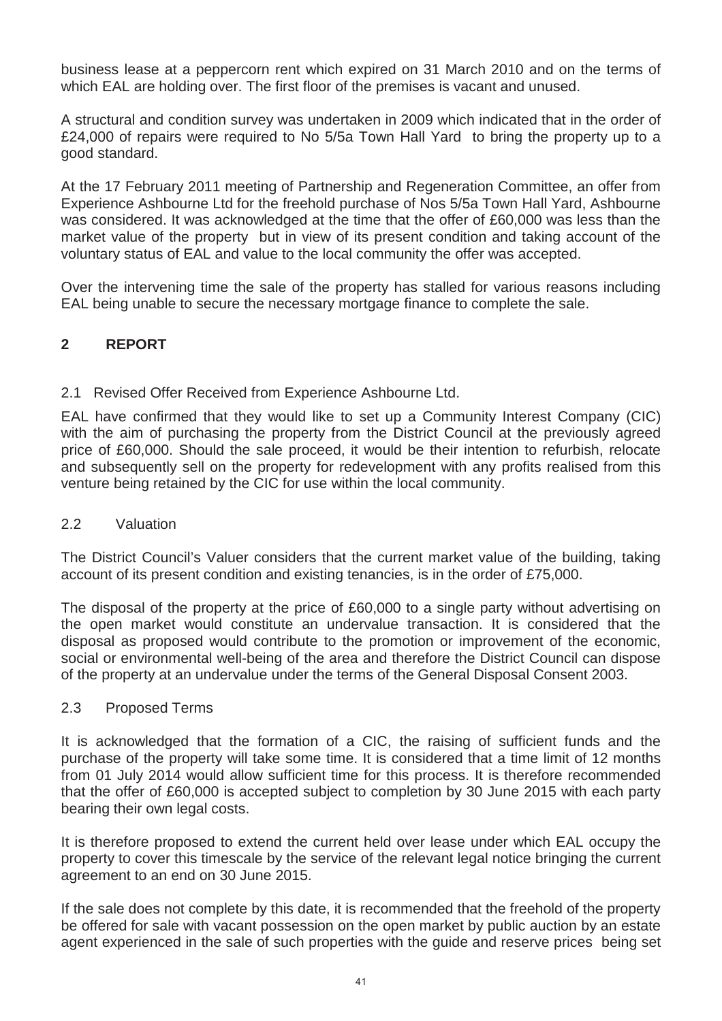business lease at a peppercorn rent which expired on 31 March 2010 and on the terms of which EAL are holding over. The first floor of the premises is vacant and unused.

A structural and condition survey was undertaken in 2009 which indicated that in the order of £24,000 of repairs were required to No 5/5a Town Hall Yard to bring the property up to a good standard.

At the 17 February 2011 meeting of Partnership and Regeneration Committee, an offer from Experience Ashbourne Ltd for the freehold purchase of Nos 5/5a Town Hall Yard, Ashbourne was considered. It was acknowledged at the time that the offer of £60,000 was less than the market value of the property but in view of its present condition and taking account of the voluntary status of EAL and value to the local community the offer was accepted.

Over the intervening time the sale of the property has stalled for various reasons including EAL being unable to secure the necessary mortgage finance to complete the sale.

# **2 REPORT**

# 2.1 Revised Offer Received from Experience Ashbourne Ltd.

EAL have confirmed that they would like to set up a Community Interest Company (CIC) with the aim of purchasing the property from the District Council at the previously agreed price of £60,000. Should the sale proceed, it would be their intention to refurbish, relocate and subsequently sell on the property for redevelopment with any profits realised from this venture being retained by the CIC for use within the local community.

# 2.2 Valuation

The District Council's Valuer considers that the current market value of the building, taking account of its present condition and existing tenancies, is in the order of £75,000.

The disposal of the property at the price of £60,000 to a single party without advertising on the open market would constitute an undervalue transaction. It is considered that the disposal as proposed would contribute to the promotion or improvement of the economic, social or environmental well-being of the area and therefore the District Council can dispose of the property at an undervalue under the terms of the General Disposal Consent 2003.

# 2.3 Proposed Terms

It is acknowledged that the formation of a CIC, the raising of sufficient funds and the purchase of the property will take some time. It is considered that a time limit of 12 months from 01 July 2014 would allow sufficient time for this process. It is therefore recommended that the offer of £60,000 is accepted subject to completion by 30 June 2015 with each party bearing their own legal costs.

It is therefore proposed to extend the current held over lease under which EAL occupy the property to cover this timescale by the service of the relevant legal notice bringing the current agreement to an end on 30 June 2015.

If the sale does not complete by this date, it is recommended that the freehold of the property be offered for sale with vacant possession on the open market by public auction by an estate agent experienced in the sale of such properties with the guide and reserve prices being set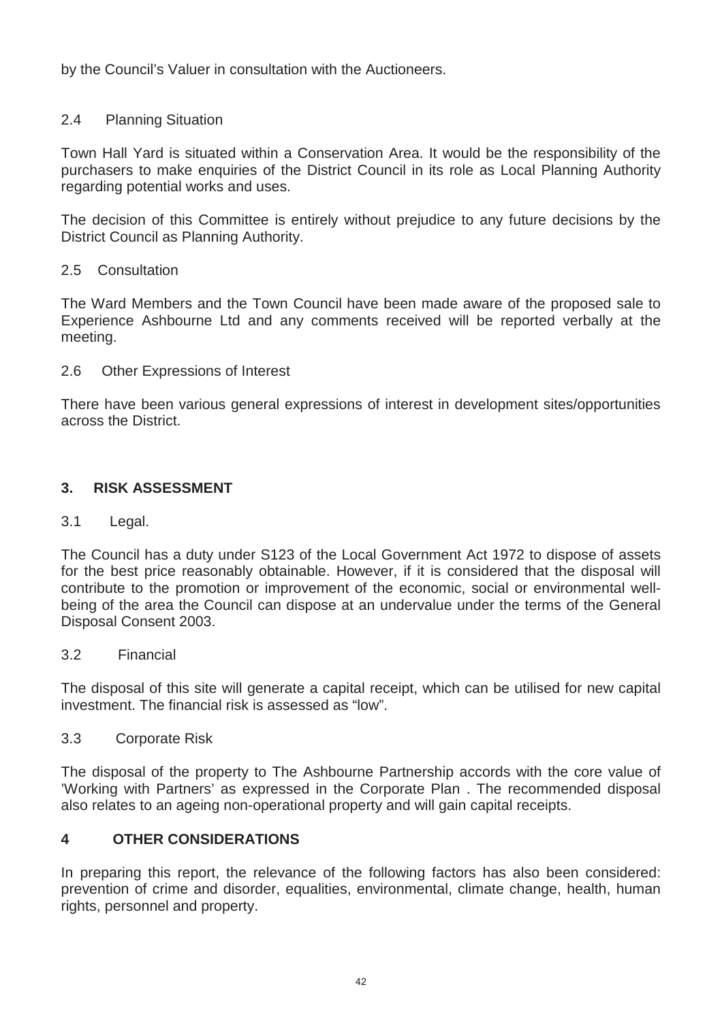by the Council's Valuer in consultation with the Auctioneers.

# 2.4 Planning Situation

Town Hall Yard is situated within a Conservation Area. It would be the responsibility of the purchasers to make enquiries of the District Council in its role as Local Planning Authority regarding potential works and uses.

The decision of this Committee is entirely without prejudice to any future decisions by the District Council as Planning Authority.

#### 2.5 Consultation

The Ward Members and the Town Council have been made aware of the proposed sale to Experience Ashbourne Ltd and any comments received will be reported verbally at the meeting.

# 2.6 Other Expressions of Interest

There have been various general expressions of interest in development sites/opportunities across the District.

# **3. RISK ASSESSMENT**

# 3.1 Legal.

The Council has a duty under S123 of the Local Government Act 1972 to dispose of assets for the best price reasonably obtainable. However, if it is considered that the disposal will contribute to the promotion or improvement of the economic, social or environmental wellbeing of the area the Council can dispose at an undervalue under the terms of the General Disposal Consent 2003.

#### 3.2 Financial

The disposal of this site will generate a capital receipt, which can be utilised for new capital investment. The financial risk is assessed as "low".

# 3.3 Corporate Risk

The disposal of the property to The Ashbourne Partnership accords with the core value of 'Working with Partners' as expressed in the Corporate Plan . The recommended disposal also relates to an ageing non-operational property and will gain capital receipts.

# **4 OTHER CONSIDERATIONS**

In preparing this report, the relevance of the following factors has also been considered: prevention of crime and disorder, equalities, environmental, climate change, health, human rights, personnel and property.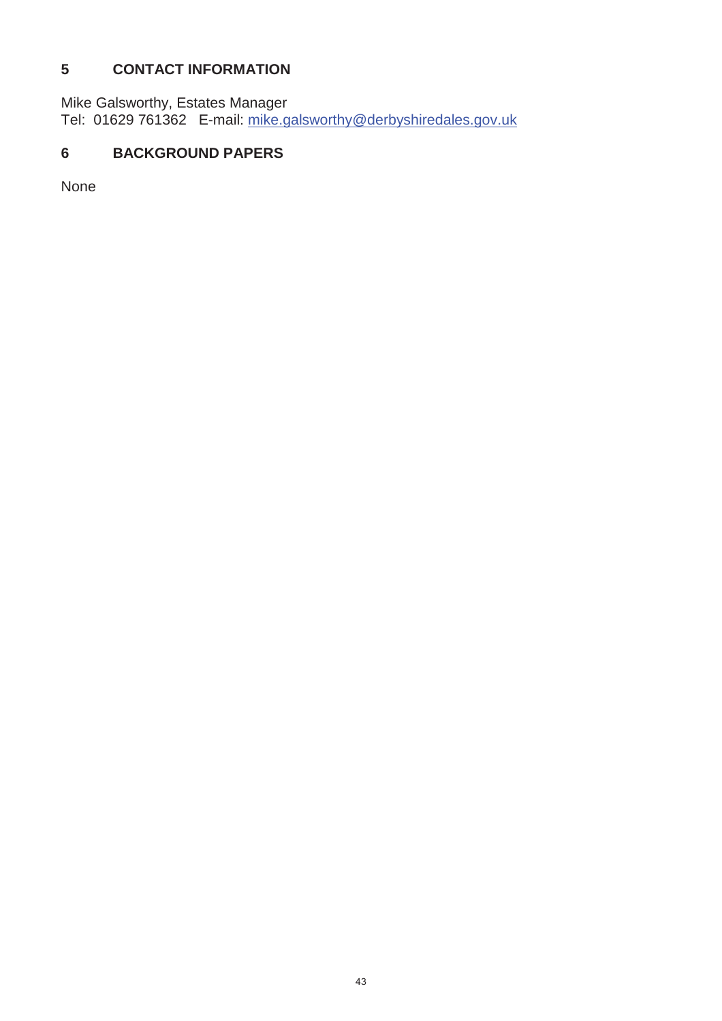# **5 CONTACT INFORMATION**

Mike Galsworthy, Estates Manager Tel: 01629 761362 E-mail: mike.galsworthy@derbyshiredales.gov.uk

# **6 BACKGROUND PAPERS**

None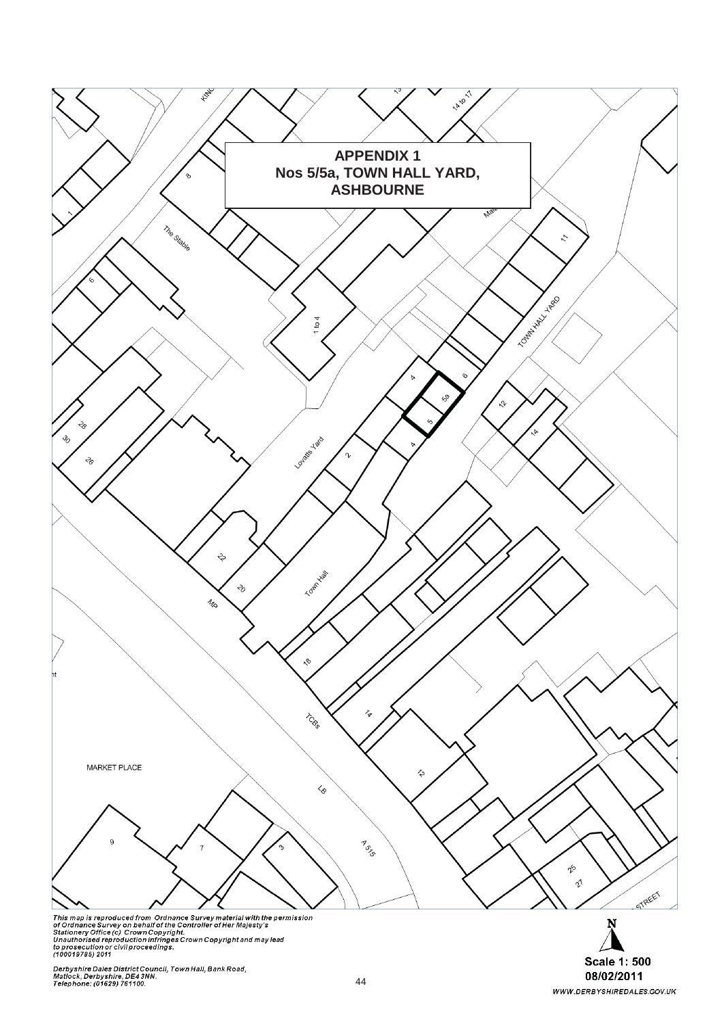

Derbyshire Dales District Council, Town Hall, Bank Road,<br>Matlock, Derbyshire, DE4 3NN.<br>Telephone: (01629) 761100.

**Scale 1: 500**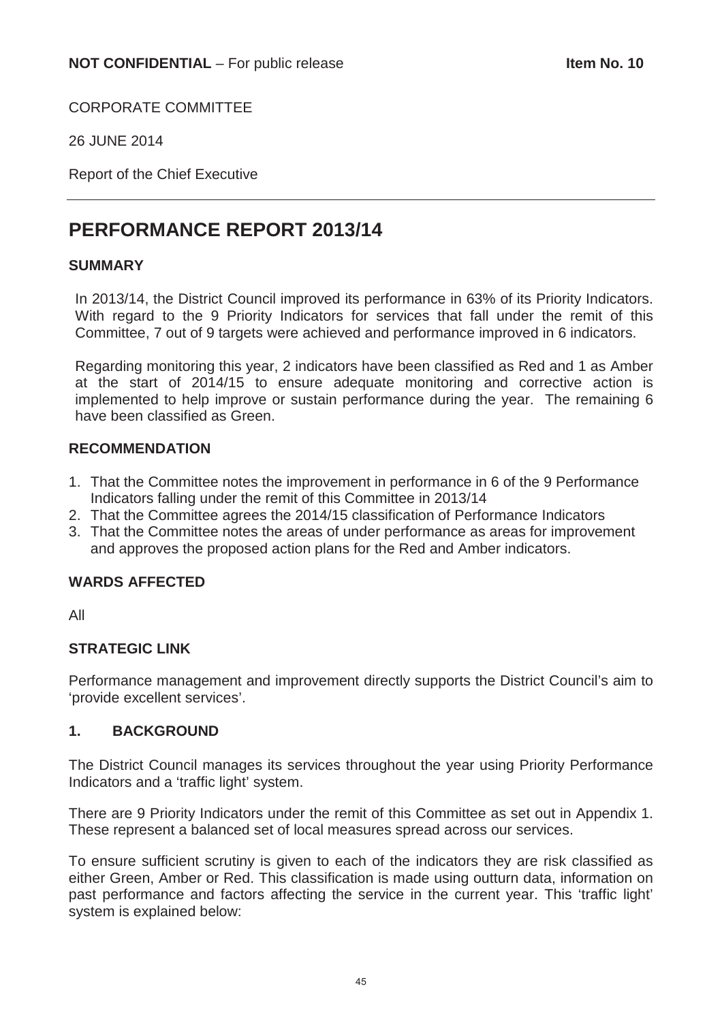CORPORATE COMMITTEE

26 JUNE 2014

Report of the Chief Executive

# **PERFORMANCE REPORT 2013/14**

# **SUMMARY**

In 2013/14, the District Council improved its performance in 63% of its Priority Indicators. With regard to the 9 Priority Indicators for services that fall under the remit of this Committee, 7 out of 9 targets were achieved and performance improved in 6 indicators.

Regarding monitoring this year, 2 indicators have been classified as Red and 1 as Amber at the start of 2014/15 to ensure adequate monitoring and corrective action is implemented to help improve or sustain performance during the year. The remaining 6 have been classified as Green.

# **RECOMMENDATION**

- 1. That the Committee notes the improvement in performance in 6 of the 9 Performance Indicators falling under the remit of this Committee in 2013/14
- 2. That the Committee agrees the 2014/15 classification of Performance Indicators
- 3. That the Committee notes the areas of under performance as areas for improvement and approves the proposed action plans for the Red and Amber indicators.

# **WARDS AFFECTED**

All

# **STRATEGIC LINK**

Performance management and improvement directly supports the District Council's aim to 'provide excellent services'.

# **1. BACKGROUND**

The District Council manages its services throughout the year using Priority Performance Indicators and a 'traffic light' system.

There are 9 Priority Indicators under the remit of this Committee as set out in Appendix 1. These represent a balanced set of local measures spread across our services.

To ensure sufficient scrutiny is given to each of the indicators they are risk classified as either Green, Amber or Red. This classification is made using outturn data, information on past performance and factors affecting the service in the current year. This 'traffic light' system is explained below: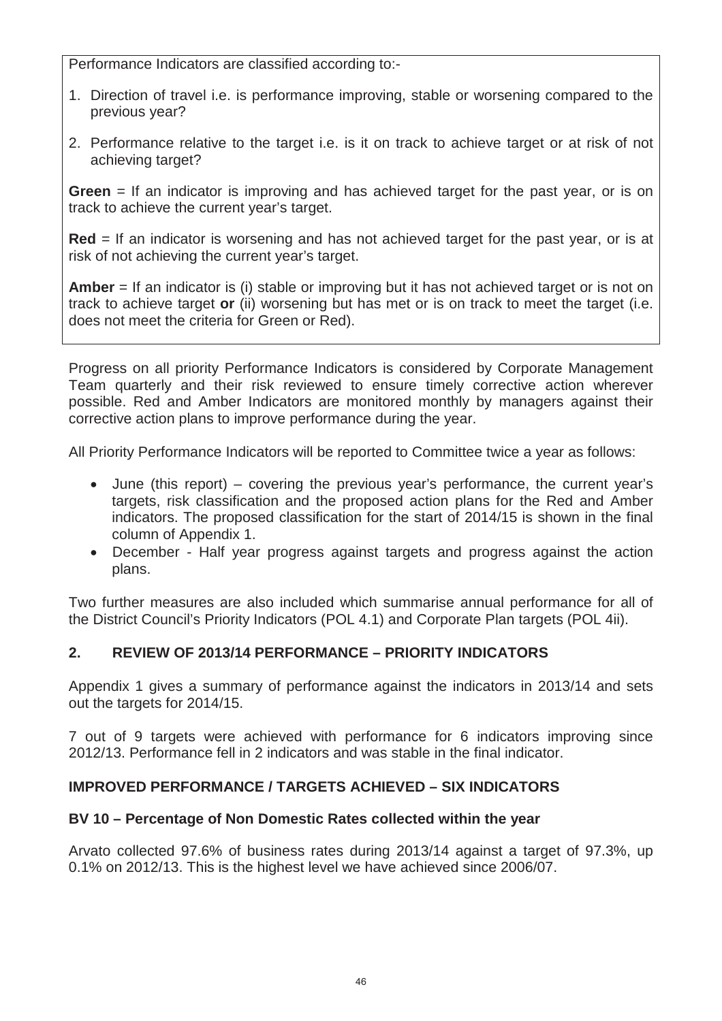Performance Indicators are classified according to:-

- 1. Direction of travel i.e. is performance improving, stable or worsening compared to the previous year?
- 2. Performance relative to the target i.e. is it on track to achieve target or at risk of not achieving target?

**Green** = If an indicator is improving and has achieved target for the past year, or is on track to achieve the current year's target.

**Red** = If an indicator is worsening and has not achieved target for the past year, or is at risk of not achieving the current year's target.

**Amber** = If an indicator is (i) stable or improving but it has not achieved target or is not on track to achieve target **or** (ii) worsening but has met or is on track to meet the target (i.e. does not meet the criteria for Green or Red).

Progress on all priority Performance Indicators is considered by Corporate Management Team quarterly and their risk reviewed to ensure timely corrective action wherever possible. Red and Amber Indicators are monitored monthly by managers against their corrective action plans to improve performance during the year.

All Priority Performance Indicators will be reported to Committee twice a year as follows:

- $\bullet$  June (this report) covering the previous year's performance, the current year's targets, risk classification and the proposed action plans for the Red and Amber indicators. The proposed classification for the start of 2014/15 is shown in the final column of Appendix 1.
- December Half year progress against targets and progress against the action plans.

Two further measures are also included which summarise annual performance for all of the District Council's Priority Indicators (POL 4.1) and Corporate Plan targets (POL 4ii).

# **2. REVIEW OF 2013/14 PERFORMANCE – PRIORITY INDICATORS**

Appendix 1 gives a summary of performance against the indicators in 2013/14 and sets out the targets for 2014/15.

7 out of 9 targets were achieved with performance for 6 indicators improving since 2012/13. Performance fell in 2 indicators and was stable in the final indicator.

# **IMPROVED PERFORMANCE / TARGETS ACHIEVED – SIX INDICATORS**

# **BV 10 – Percentage of Non Domestic Rates collected within the year**

Arvato collected 97.6% of business rates during 2013/14 against a target of 97.3%, up 0.1% on 2012/13. This is the highest level we have achieved since 2006/07.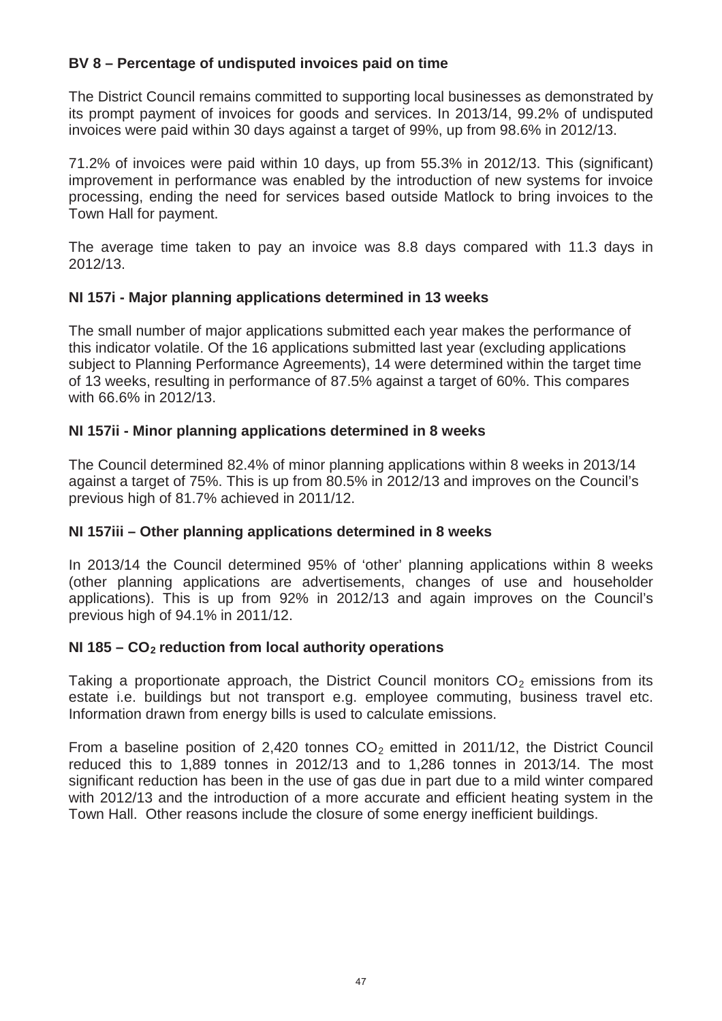# **BV 8 – Percentage of undisputed invoices paid on time**

The District Council remains committed to supporting local businesses as demonstrated by its prompt payment of invoices for goods and services. In 2013/14, 99.2% of undisputed invoices were paid within 30 days against a target of 99%, up from 98.6% in 2012/13.

71.2% of invoices were paid within 10 days, up from 55.3% in 2012/13. This (significant) improvement in performance was enabled by the introduction of new systems for invoice processing, ending the need for services based outside Matlock to bring invoices to the Town Hall for payment.

The average time taken to pay an invoice was 8.8 days compared with 11.3 days in 2012/13.

# **NI 157i - Major planning applications determined in 13 weeks**

The small number of major applications submitted each year makes the performance of this indicator volatile. Of the 16 applications submitted last year (excluding applications subject to Planning Performance Agreements), 14 were determined within the target time of 13 weeks, resulting in performance of 87.5% against a target of 60%. This compares with 66.6% in 2012/13.

# **NI 157ii - Minor planning applications determined in 8 weeks**

The Council determined 82.4% of minor planning applications within 8 weeks in 2013/14 against a target of 75%. This is up from 80.5% in 2012/13 and improves on the Council's previous high of 81.7% achieved in 2011/12.

# **NI 157iii – Other planning applications determined in 8 weeks**

In 2013/14 the Council determined 95% of 'other' planning applications within 8 weeks (other planning applications are advertisements, changes of use and householder applications). This is up from 92% in 2012/13 and again improves on the Council's previous high of 94.1% in 2011/12.

# **NI 185 – CO2 reduction from local authority operations**

Taking a proportionate approach, the District Council monitors  $CO<sub>2</sub>$  emissions from its estate i.e. buildings but not transport e.g. employee commuting, business travel etc. Information drawn from energy bills is used to calculate emissions.

From a baseline position of 2,420 tonnes  $CO<sub>2</sub>$  emitted in 2011/12, the District Council reduced this to 1,889 tonnes in 2012/13 and to 1,286 tonnes in 2013/14. The most significant reduction has been in the use of gas due in part due to a mild winter compared with 2012/13 and the introduction of a more accurate and efficient heating system in the Town Hall. Other reasons include the closure of some energy inefficient buildings.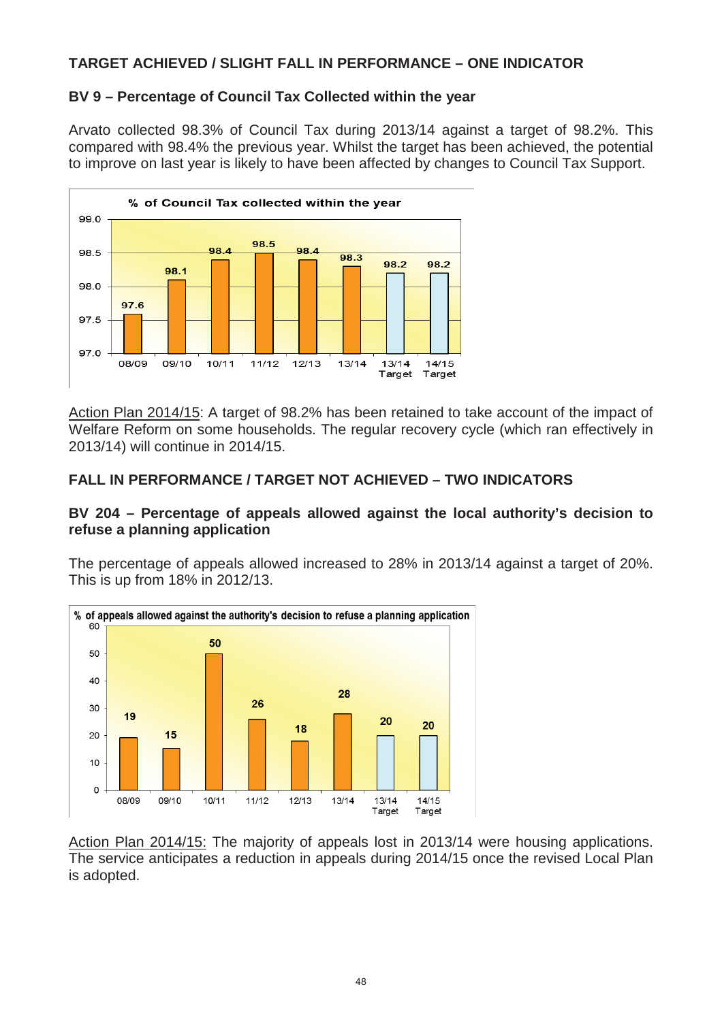# **TARGET ACHIEVED / SLIGHT FALL IN PERFORMANCE – ONE INDICATOR**

# **BV 9 – Percentage of Council Tax Collected within the year**

Arvato collected 98.3% of Council Tax during 2013/14 against a target of 98.2%. This compared with 98.4% the previous year. Whilst the target has been achieved, the potential to improve on last year is likely to have been affected by changes to Council Tax Support.



Action Plan 2014/15: A target of 98.2% has been retained to take account of the impact of Welfare Reform on some households. The regular recovery cycle (which ran effectively in 2013/14) will continue in 2014/15.

# **FALL IN PERFORMANCE / TARGET NOT ACHIEVED – TWO INDICATORS**

# **BV 204 – Percentage of appeals allowed against the local authority's decision to refuse a planning application**

The percentage of appeals allowed increased to 28% in 2013/14 against a target of 20%. This is up from 18% in 2012/13.



Action Plan 2014/15: The majority of appeals lost in 2013/14 were housing applications. The service anticipates a reduction in appeals during 2014/15 once the revised Local Plan is adopted.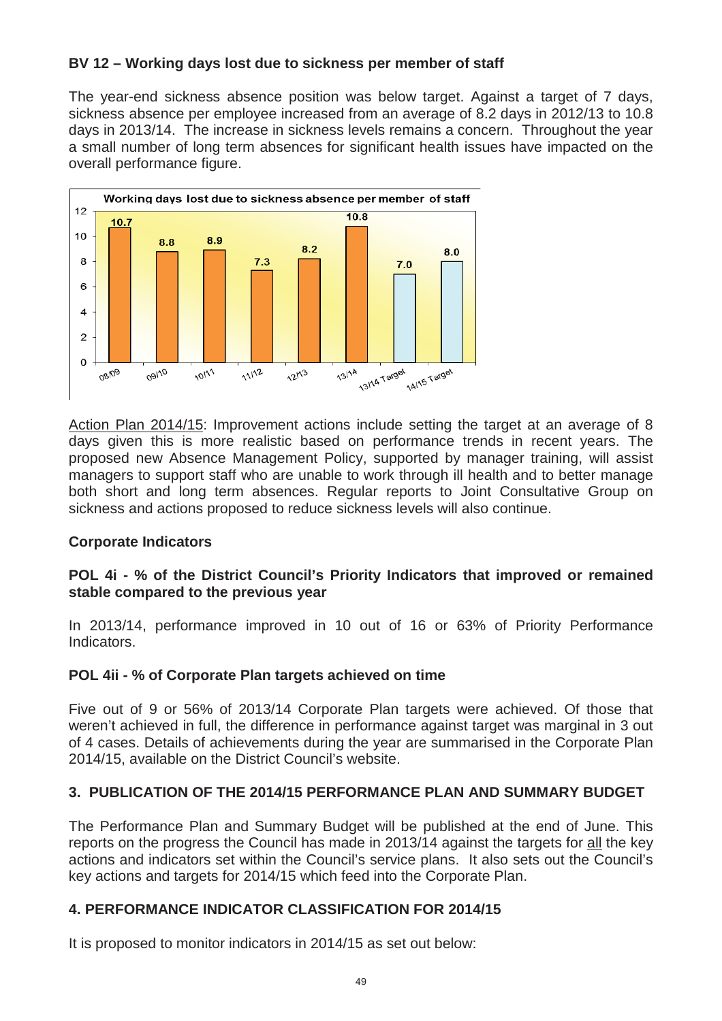# **BV 12 – Working days lost due to sickness per member of staff**

The year-end sickness absence position was below target. Against a target of 7 days, sickness absence per employee increased from an average of 8.2 days in 2012/13 to 10.8 days in 2013/14. The increase in sickness levels remains a concern. Throughout the year a small number of long term absences for significant health issues have impacted on the overall performance figure.



Action Plan 2014/15: Improvement actions include setting the target at an average of 8 days given this is more realistic based on performance trends in recent years. The proposed new Absence Management Policy, supported by manager training, will assist managers to support staff who are unable to work through ill health and to better manage both short and long term absences. Regular reports to Joint Consultative Group on sickness and actions proposed to reduce sickness levels will also continue.

# **Corporate Indicators**

# **POL 4i - % of the District Council's Priority Indicators that improved or remained stable compared to the previous year**

In 2013/14, performance improved in 10 out of 16 or 63% of Priority Performance Indicators.

# **POL 4ii - % of Corporate Plan targets achieved on time**

Five out of 9 or 56% of 2013/14 Corporate Plan targets were achieved. Of those that weren't achieved in full, the difference in performance against target was marginal in 3 out of 4 cases. Details of achievements during the year are summarised in the Corporate Plan 2014/15, available on the District Council's website.

# **3. PUBLICATION OF THE 2014/15 PERFORMANCE PLAN AND SUMMARY BUDGET**

The Performance Plan and Summary Budget will be published at the end of June. This reports on the progress the Council has made in 2013/14 against the targets for all the key actions and indicators set within the Council's service plans. It also sets out the Council's key actions and targets for 2014/15 which feed into the Corporate Plan.

# **4. PERFORMANCE INDICATOR CLASSIFICATION FOR 2014/15**

It is proposed to monitor indicators in 2014/15 as set out below: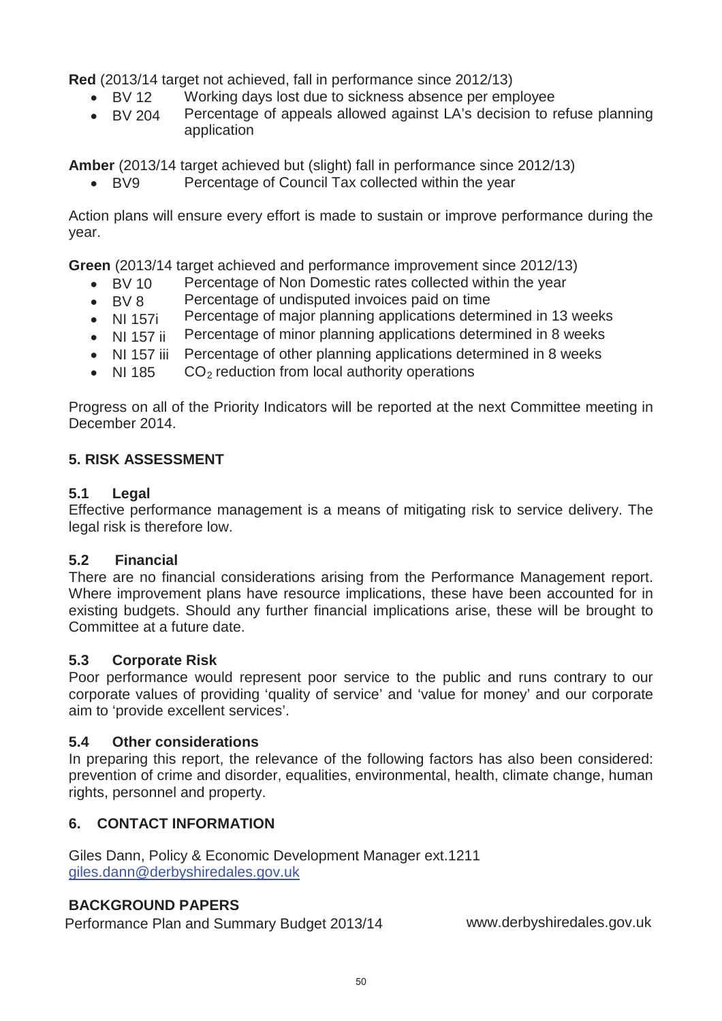**Red** (2013/14 target not achieved, fall in performance since 2012/13)

- $\bullet$  BV 12 Working days lost due to sickness absence per employee
- $\bullet$  BV 204 Percentage of appeals allowed against LA's decision to refuse planning application

**Amber** (2013/14 target achieved but (slight) fall in performance since 2012/13)

• BV9 Percentage of Council Tax collected within the year

Action plans will ensure every effort is made to sustain or improve performance during the year.

**Green** (2013/14 target achieved and performance improvement since 2012/13)

- $\bullet$  BV 10 Percentage of Non Domestic rates collected within the year
- $\bullet$  BV 8 Percentage of undisputed invoices paid on time
- $\bullet$  NI 157i Percentage of major planning applications determined in 13 weeks
- $\bullet$  NI 157 ii Percentage of minor planning applications determined in 8 weeks
- NI 157 iii Percentage of other planning applications determined in 8 weeks
- $\bullet$  NI 185  $CO<sub>2</sub>$  reduction from local authority operations

Progress on all of the Priority Indicators will be reported at the next Committee meeting in December 2014.

# **5. RISK ASSESSMENT**

# **5.1 Legal**

Effective performance management is a means of mitigating risk to service delivery. The legal risk is therefore low.

# **5.2 Financial**

There are no financial considerations arising from the Performance Management report. Where improvement plans have resource implications, these have been accounted for in existing budgets. Should any further financial implications arise, these will be brought to Committee at a future date.

# **5.3 Corporate Risk**

Poor performance would represent poor service to the public and runs contrary to our corporate values of providing 'quality of service' and 'value for money' and our corporate aim to 'provide excellent services'.

# **5.4 Other considerations**

In preparing this report, the relevance of the following factors has also been considered: prevention of crime and disorder, equalities, environmental, health, climate change, human rights, personnel and property.

# **6. CONTACT INFORMATION**

Giles Dann, Policy & Economic Development Manager ext.1211 giles.dann@derbyshiredales.gov.uk

# **BACKGROUND PAPERS**

Performance Plan and Summary Budget 2013/14 www.derbyshiredales.gov.uk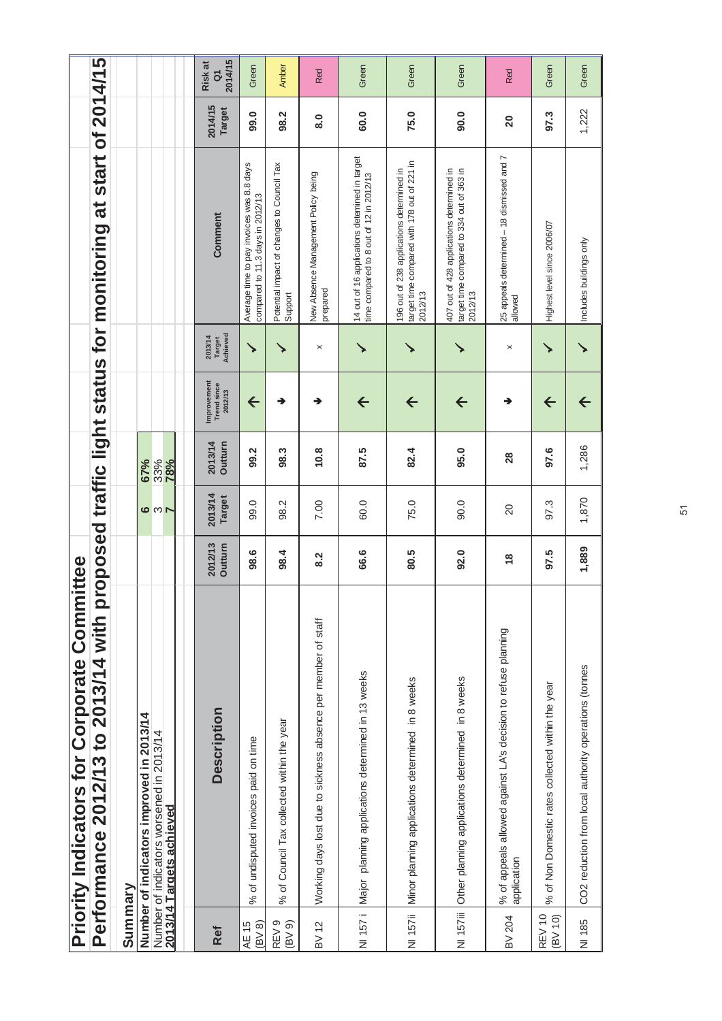|                                                    |                                                                 |         |                                          |                                                                      | 2014/15<br>Risk at<br>$\overline{a}$         | Green                                                                         | Amber                                                 | Red                                                           | Green                                                                                     | Green                                                                                               | Green                                                                                             | Red                                                                          | Green                                             | Green                                                |
|----------------------------------------------------|-----------------------------------------------------------------|---------|------------------------------------------|----------------------------------------------------------------------|----------------------------------------------|-------------------------------------------------------------------------------|-------------------------------------------------------|---------------------------------------------------------------|-------------------------------------------------------------------------------------------|-----------------------------------------------------------------------------------------------------|---------------------------------------------------------------------------------------------------|------------------------------------------------------------------------------|---------------------------------------------------|------------------------------------------------------|
|                                                    |                                                                 |         |                                          |                                                                      | 2014/15<br><b>Target</b>                     | 99.0                                                                          | 98.2                                                  | $\overline{8}.0$                                              | 60.0                                                                                      | 75.0                                                                                                | 90.0                                                                                              | $\overline{20}$                                                              | 97.3                                              | 1,222                                                |
|                                                    | roposed traffic light status for monitoring at start of 2014/15 |         |                                          |                                                                      | Comment                                      | Average time to pay invoices was 8.8 days<br>compared to 11.3 days in 2012/13 | Potential impact of changes to Council Tax<br>Support | New Absence Management Policy being<br>prepared               | 14 out of 16 applications deternined in target<br>time compared to 8 out of 12 in 2012/13 | target time compared with 178 out of 221 in<br>196 out of 238 applications determined in<br>2012/13 | 407 out of 428 applications determined in<br>target time compared to 334 out of 363 in<br>2012/13 | 25 appeals determined - 18 dismissed and 7<br>allowed                        | Highest level since 2006/07                       | Includes buildings only                              |
|                                                    |                                                                 |         |                                          |                                                                      | Target<br>Achieved<br>2013/14                | ↘                                                                             | ↘                                                     | $\times$                                                      | ↘                                                                                         | ↘                                                                                                   | ↘                                                                                                 | $\pmb{\times}$                                                               | ↘                                                 |                                                      |
|                                                    |                                                                 |         |                                          |                                                                      | Improvement<br><b>Trend since</b><br>2012/13 | $\leftarrow$                                                                  | →                                                     | →                                                             | $\leftarrow$                                                                              | $\leftarrow$                                                                                        | $\leftarrow$                                                                                      | →                                                                            | $\leftarrow$                                      | $\leftarrow$                                         |
|                                                    |                                                                 |         | 67%                                      | 33%<br>78%                                                           | 2013/14<br>Outturn                           | 99.2                                                                          | 98.3                                                  | 10.8                                                          | 87.5                                                                                      | 82.4                                                                                                | 95.0                                                                                              | 28                                                                           | 97.6                                              | 1,286                                                |
|                                                    |                                                                 |         |                                          | $\frac{1}{2}$                                                        | 2013/14<br><b>Target</b>                     | 99.0                                                                          | 98.2                                                  | 7.00                                                          | 60.0                                                                                      | 75.0                                                                                                | 90.0                                                                                              | 20                                                                           | 97.3                                              | 1,870                                                |
|                                                    |                                                                 |         |                                          |                                                                      | 2012/13<br><b>Outturn</b>                    | 98.6                                                                          | 98.4                                                  | 8.2                                                           | 66.6                                                                                      | 80.5                                                                                                | 92.0                                                                                              | $\frac{8}{3}$                                                                | 97.5                                              | 1,889                                                |
| <b>Priority Indicators for Corporate Committee</b> | Performance 2012/13 to 2013/14 with p                           |         | Number of indicators improved in 2013/14 | Number of indicators worsened in 2013/14<br>2013/14 Targets achieved | <b>Description</b>                           | % of undisputed invoices paid on time                                         | % of Council Tax collected within the year            | Working days lost due to sickness absence per member of staff | NI 157 i Major planning applications determined in 13 weeks                               | NI 157ii   Minor planning applications determined in 8 weeks                                        | Other planning applications determined in 8 weeks                                                 | % of appeals allowed against LA's decision to refuse planning<br>application | % of Non Domestic rates collected within the year | CO2 reduction from local authority operations (tomes |
|                                                    |                                                                 | Summary |                                          |                                                                      | Ref                                          | (BV 8)<br>AE 15                                                               | REV <sub>9</sub><br>(BV9)                             | BV 12                                                         |                                                                                           |                                                                                                     | NI 157iii                                                                                         | BV 204                                                                       | <b>REV 10</b><br>(BV 10)                          | NI 185                                               |

51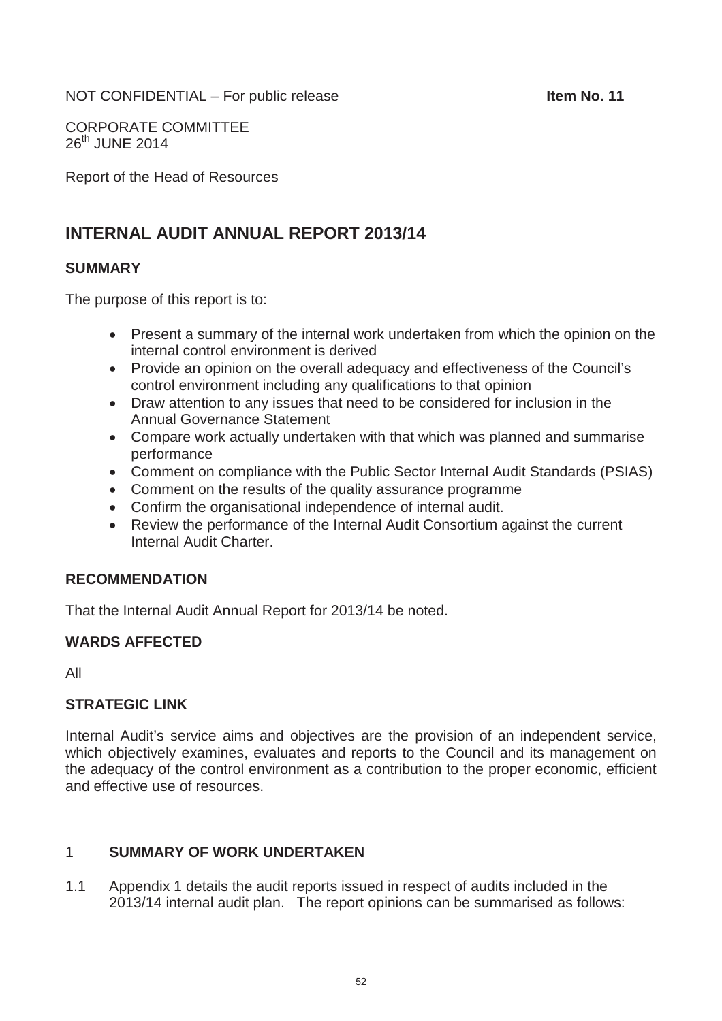#### NOT CONFIDENTIAL – For public release **International State of the Item No. 11**

CORPORATE COMMITTEE 26<sup>th</sup> JUNE 2014

Report of the Head of Resources

# **INTERNAL AUDIT ANNUAL REPORT 2013/14**

#### **SUMMARY**

The purpose of this report is to:

- Present a summary of the internal work undertaken from which the opinion on the internal control environment is derived
- Provide an opinion on the overall adequacy and effectiveness of the Council's control environment including any qualifications to that opinion
- Draw attention to any issues that need to be considered for inclusion in the Annual Governance Statement
- Compare work actually undertaken with that which was planned and summarise performance
- Comment on compliance with the Public Sector Internal Audit Standards (PSIAS)
- Comment on the results of the quality assurance programme
- Confirm the organisational independence of internal audit.
- Review the performance of the Internal Audit Consortium against the current Internal Audit Charter.

# **RECOMMENDATION**

That the Internal Audit Annual Report for 2013/14 be noted.

# **WARDS AFFECTED**

All

# **STRATEGIC LINK**

Internal Audit's service aims and objectives are the provision of an independent service, which objectively examines, evaluates and reports to the Council and its management on the adequacy of the control environment as a contribution to the proper economic, efficient and effective use of resources.

#### 1 **SUMMARY OF WORK UNDERTAKEN**

1.1 Appendix 1 details the audit reports issued in respect of audits included in the 2013/14 internal audit plan. The report opinions can be summarised as follows: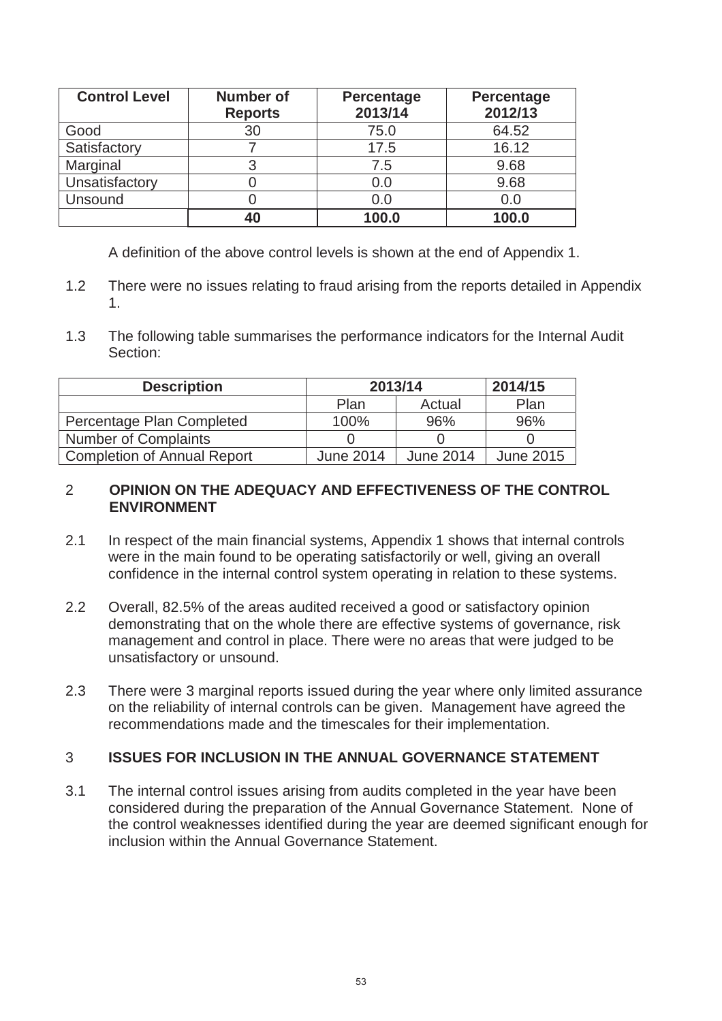| <b>Control Level</b> | <b>Number of</b><br><b>Reports</b> | <b>Percentage</b><br>2013/14 | <b>Percentage</b><br>2012/13 |
|----------------------|------------------------------------|------------------------------|------------------------------|
| Good                 | 30                                 | 75.0                         | 64.52                        |
| Satisfactory         |                                    | 17.5                         | 16.12                        |
| Marginal             |                                    | 7.5                          | 9.68                         |
| Unsatisfactory       |                                    | 0.0                          | 9.68                         |
| Unsound              |                                    | 0.0                          | 0.0                          |
|                      | 40                                 | 100.0                        | 100.0                        |

A definition of the above control levels is shown at the end of Appendix 1.

- 1.2 There were no issues relating to fraud arising from the reports detailed in Appendix 1.
- 1.3 The following table summarises the performance indicators for the Internal Audit Section:

| <b>Description</b>                 | 2013/14          | 2014/15   |                  |
|------------------------------------|------------------|-----------|------------------|
|                                    | Plan             | Actual    | Plan             |
| Percentage Plan Completed          | 100%             | 96%       | 96%              |
| <b>Number of Complaints</b>        |                  |           |                  |
| <b>Completion of Annual Report</b> | <b>June 2014</b> | June 2014 | <b>June 2015</b> |

# 2 **OPINION ON THE ADEQUACY AND EFFECTIVENESS OF THE CONTROL ENVIRONMENT**

- 2.1 In respect of the main financial systems, Appendix 1 shows that internal controls were in the main found to be operating satisfactorily or well, giving an overall confidence in the internal control system operating in relation to these systems.
- 2.2 Overall, 82.5% of the areas audited received a good or satisfactory opinion demonstrating that on the whole there are effective systems of governance, risk management and control in place. There were no areas that were judged to be unsatisfactory or unsound.
- 2.3 There were 3 marginal reports issued during the year where only limited assurance on the reliability of internal controls can be given. Management have agreed the recommendations made and the timescales for their implementation.

# 3 **ISSUES FOR INCLUSION IN THE ANNUAL GOVERNANCE STATEMENT**

3.1 The internal control issues arising from audits completed in the year have been considered during the preparation of the Annual Governance Statement. None of the control weaknesses identified during the year are deemed significant enough for inclusion within the Annual Governance Statement.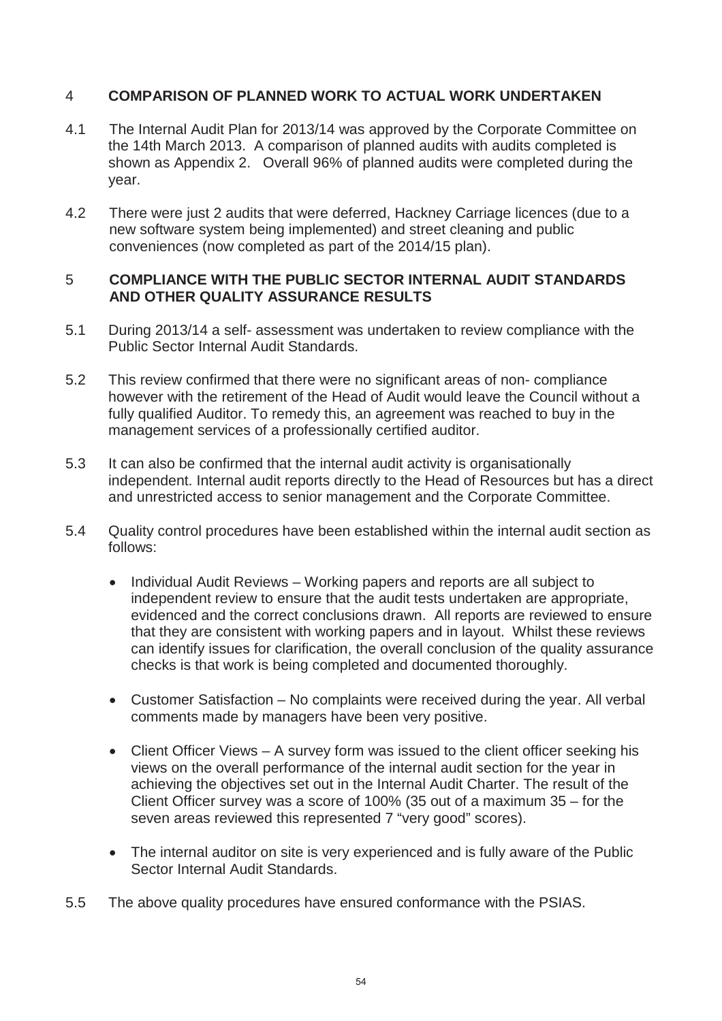# 4 **COMPARISON OF PLANNED WORK TO ACTUAL WORK UNDERTAKEN**

- 4.1 The Internal Audit Plan for 2013/14 was approved by the Corporate Committee on the 14th March 2013. A comparison of planned audits with audits completed is shown as Appendix 2. Overall 96% of planned audits were completed during the year.
- 4.2 There were just 2 audits that were deferred, Hackney Carriage licences (due to a new software system being implemented) and street cleaning and public conveniences (now completed as part of the 2014/15 plan).

# 5 **COMPLIANCE WITH THE PUBLIC SECTOR INTERNAL AUDIT STANDARDS AND OTHER QUALITY ASSURANCE RESULTS**

- 5.1 During 2013/14 a self- assessment was undertaken to review compliance with the Public Sector Internal Audit Standards.
- 5.2 This review confirmed that there were no significant areas of non- compliance however with the retirement of the Head of Audit would leave the Council without a fully qualified Auditor. To remedy this, an agreement was reached to buy in the management services of a professionally certified auditor.
- 5.3 It can also be confirmed that the internal audit activity is organisationally independent. Internal audit reports directly to the Head of Resources but has a direct and unrestricted access to senior management and the Corporate Committee.
- 5.4 Quality control procedures have been established within the internal audit section as follows:
	- Individual Audit Reviews Working papers and reports are all subject to independent review to ensure that the audit tests undertaken are appropriate, evidenced and the correct conclusions drawn. All reports are reviewed to ensure that they are consistent with working papers and in layout. Whilst these reviews can identify issues for clarification, the overall conclusion of the quality assurance checks is that work is being completed and documented thoroughly.
	- Customer Satisfaction No complaints were received during the year. All verbal comments made by managers have been very positive.
	- $\bullet$  Client Officer Views A survey form was issued to the client officer seeking his views on the overall performance of the internal audit section for the year in achieving the objectives set out in the Internal Audit Charter. The result of the Client Officer survey was a score of 100% (35 out of a maximum 35 – for the seven areas reviewed this represented 7 "very good" scores).
	- The internal auditor on site is very experienced and is fully aware of the Public Sector Internal Audit Standards.
- 5.5 The above quality procedures have ensured conformance with the PSIAS.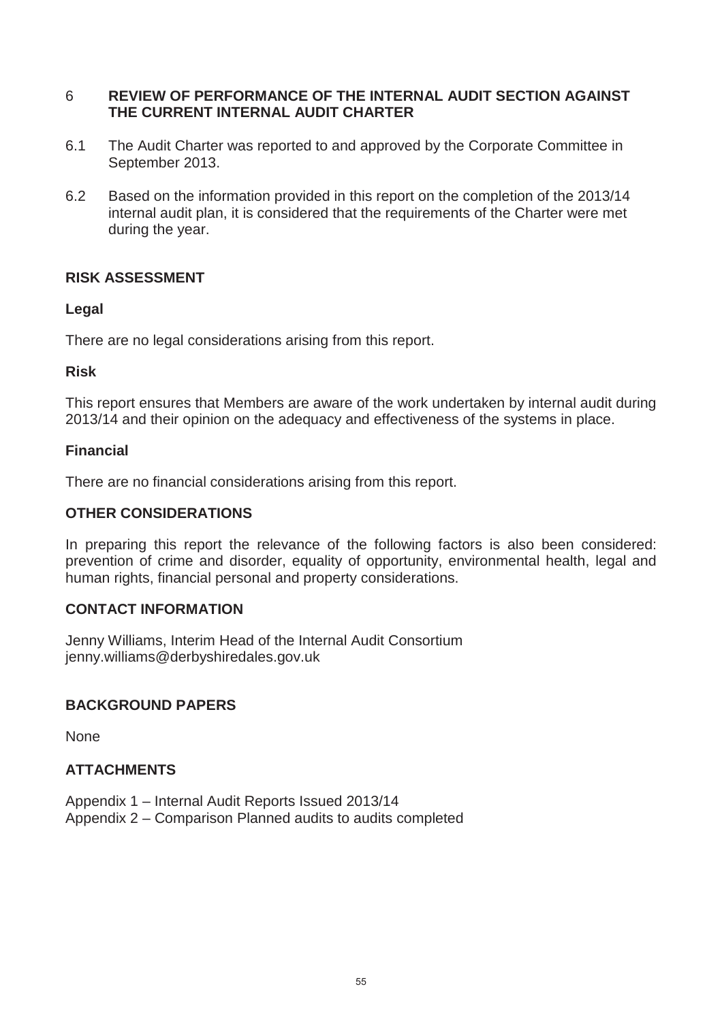# 6 **REVIEW OF PERFORMANCE OF THE INTERNAL AUDIT SECTION AGAINST THE CURRENT INTERNAL AUDIT CHARTER**

- 6.1 The Audit Charter was reported to and approved by the Corporate Committee in September 2013.
- 6.2 Based on the information provided in this report on the completion of the 2013/14 internal audit plan, it is considered that the requirements of the Charter were met during the year.

# **RISK ASSESSMENT**

# **Legal**

There are no legal considerations arising from this report.

# **Risk**

This report ensures that Members are aware of the work undertaken by internal audit during 2013/14 and their opinion on the adequacy and effectiveness of the systems in place.

# **Financial**

There are no financial considerations arising from this report.

# **OTHER CONSIDERATIONS**

In preparing this report the relevance of the following factors is also been considered: prevention of crime and disorder, equality of opportunity, environmental health, legal and human rights, financial personal and property considerations.

# **CONTACT INFORMATION**

Jenny Williams, Interim Head of the Internal Audit Consortium jenny.williams@derbyshiredales.gov.uk

# **BACKGROUND PAPERS**

None

# **ATTACHMENTS**

Appendix 1 – Internal Audit Reports Issued 2013/14 Appendix 2 – Comparison Planned audits to audits completed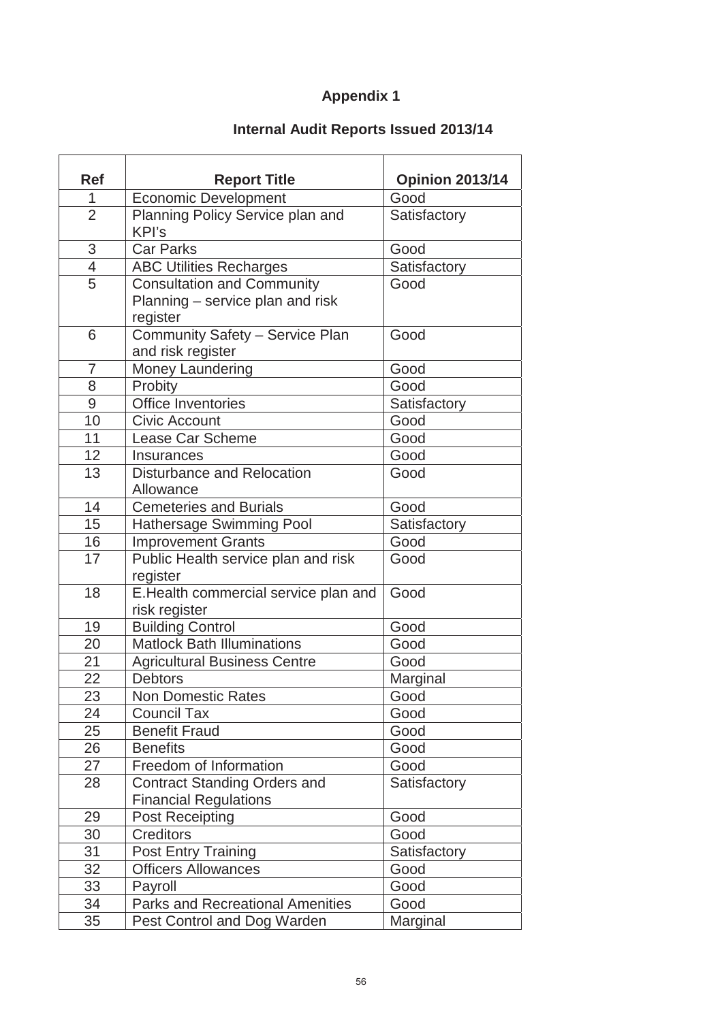# **Appendix 1**

# **Internal Audit Reports Issued 2013/14**

| <b>Ref</b>               | <b>Report Title</b>                                                               | <b>Opinion 2013/14</b> |
|--------------------------|-----------------------------------------------------------------------------------|------------------------|
| 1                        | <b>Economic Development</b>                                                       | Good                   |
| $\overline{2}$           | Planning Policy Service plan and<br>KPI's                                         | Satisfactory           |
| $\mathfrak{S}$           | <b>Car Parks</b>                                                                  | Good                   |
| $\overline{\mathcal{A}}$ | <b>ABC Utilities Recharges</b>                                                    | Satisfactory           |
| $\overline{5}$           | <b>Consultation and Community</b><br>Planning – service plan and risk<br>register | Good                   |
| 6                        | Community Safety - Service Plan<br>and risk register                              | Good                   |
| $\overline{7}$           | Money Laundering                                                                  | Good                   |
| 8                        | Probity                                                                           | Good                   |
| 9                        | <b>Office Inventories</b>                                                         | Satisfactory           |
| 10                       | <b>Civic Account</b>                                                              | Good                   |
| 11                       | Lease Car Scheme                                                                  | Good                   |
| 12                       | Insurances                                                                        | Good                   |
| 13                       | Disturbance and Relocation<br>Allowance                                           | Good                   |
| 14                       | <b>Cemeteries and Burials</b>                                                     | Good                   |
| 15                       | Hathersage Swimming Pool                                                          | Satisfactory           |
| 16                       | <b>Improvement Grants</b>                                                         | Good                   |
| 17                       | Public Health service plan and risk<br>register                                   | Good                   |
| 18                       | E.Health commercial service plan and<br>risk register                             | Good                   |
| 19                       | <b>Building Control</b>                                                           | Good                   |
| $\overline{20}$          | <b>Matlock Bath Illuminations</b>                                                 | Good                   |
| 21                       | <b>Agricultural Business Centre</b>                                               | Good                   |
| 22                       | <b>Debtors</b>                                                                    | Marginal               |
| 23                       | <b>Non Domestic Rates</b>                                                         | Good                   |
| 24                       | <b>Council Tax</b>                                                                | Good                   |
| 25                       | <b>Benefit Fraud</b>                                                              | Good                   |
| 26                       | <b>Benefits</b>                                                                   | Good                   |
| 27                       | Freedom of Information                                                            | Good                   |
| 28                       | <b>Contract Standing Orders and</b><br><b>Financial Regulations</b>               | Satisfactory           |
| 29                       | <b>Post Receipting</b>                                                            | Good                   |
| 30                       | <b>Creditors</b>                                                                  | Good                   |
| 31                       | <b>Post Entry Training</b>                                                        | Satisfactory           |
| 32                       | <b>Officers Allowances</b>                                                        | Good                   |
| 33                       | Payroll                                                                           | Good                   |
| 34                       | <b>Parks and Recreational Amenities</b>                                           | Good                   |
| 35                       | Pest Control and Dog Warden                                                       | Marginal               |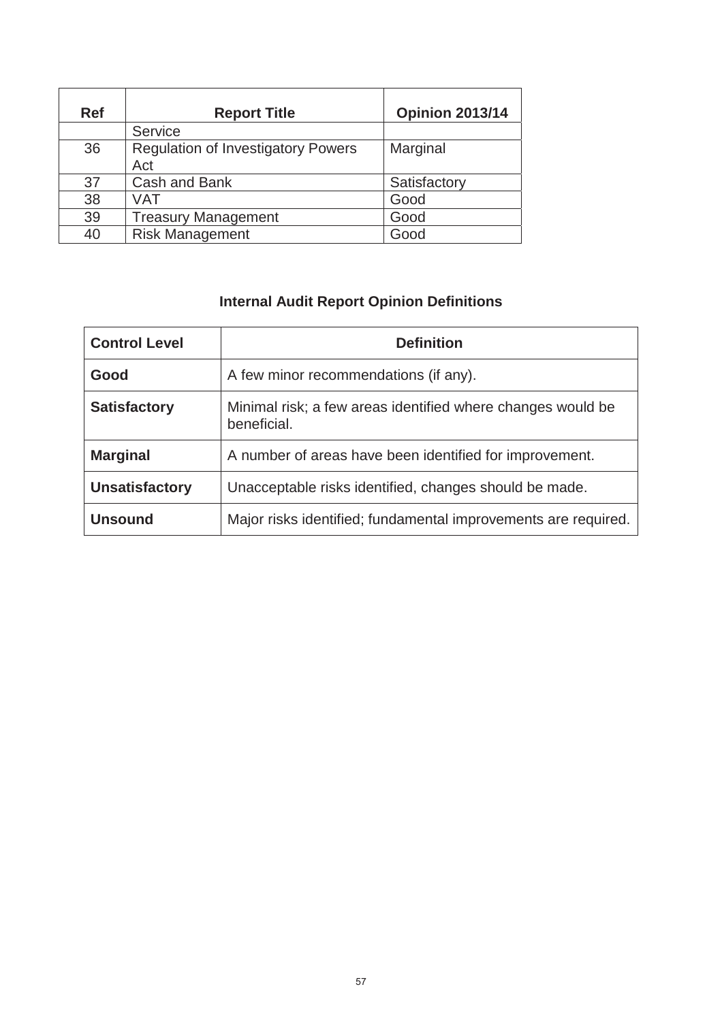| <b>Ref</b> | <b>Report Title</b>                              | <b>Opinion 2013/14</b> |
|------------|--------------------------------------------------|------------------------|
|            | Service                                          |                        |
| 36         | <b>Regulation of Investigatory Powers</b><br>Act | Marginal               |
| 37         | Cash and Bank                                    | Satisfactory           |
| 38         | VAT                                              | Good                   |
| 39         | <b>Treasury Management</b>                       | Good                   |
| 40         | <b>Risk Management</b>                           | Good                   |

# **Internal Audit Report Opinion Definitions**

| <b>Control Level</b>  | <b>Definition</b>                                                          |
|-----------------------|----------------------------------------------------------------------------|
| Good                  | A few minor recommendations (if any).                                      |
| <b>Satisfactory</b>   | Minimal risk; a few areas identified where changes would be<br>beneficial. |
| <b>Marginal</b>       | A number of areas have been identified for improvement.                    |
| <b>Unsatisfactory</b> | Unacceptable risks identified, changes should be made.                     |
| <b>Unsound</b>        | Major risks identified; fundamental improvements are required.             |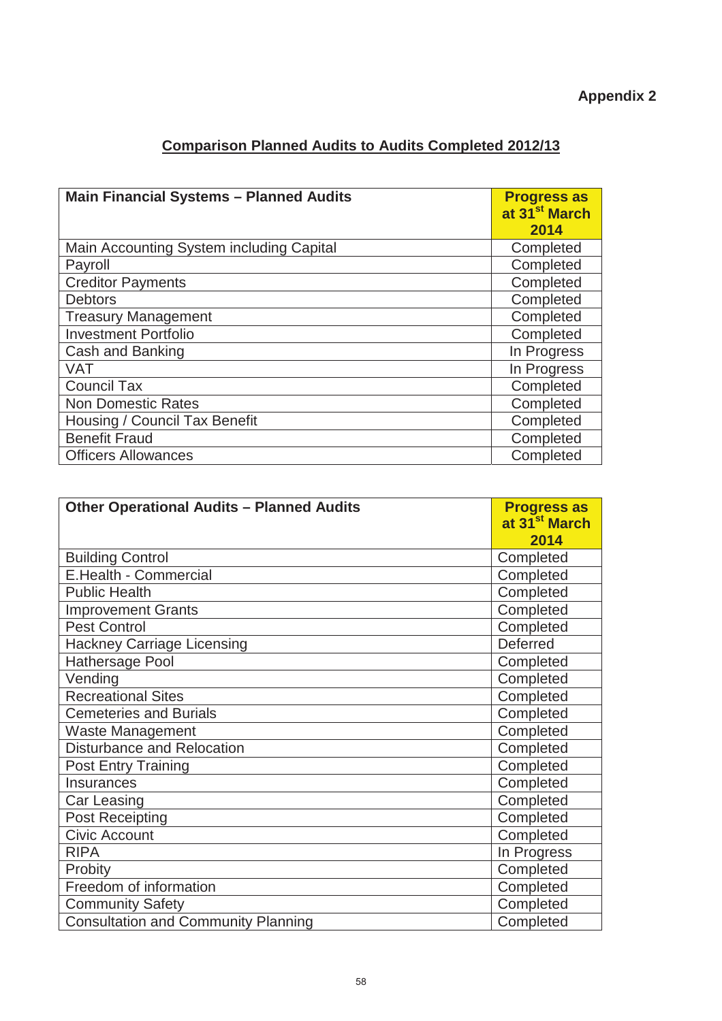| <b>Comparison Planned Audits to Audits Completed 2012/13</b> |  |  |
|--------------------------------------------------------------|--|--|
|                                                              |  |  |

| <b>Main Financial Systems - Planned Audits</b> | <b>Progress as</b><br>at 31 <sup>st</sup> March<br>2014 |
|------------------------------------------------|---------------------------------------------------------|
| Main Accounting System including Capital       | Completed                                               |
| Payroll                                        | Completed                                               |
| <b>Creditor Payments</b>                       | Completed                                               |
| <b>Debtors</b>                                 | Completed                                               |
| <b>Treasury Management</b>                     | Completed                                               |
| <b>Investment Portfolio</b>                    | Completed                                               |
| Cash and Banking                               | In Progress                                             |
| <b>VAT</b>                                     | In Progress                                             |
| <b>Council Tax</b>                             | Completed                                               |
| <b>Non Domestic Rates</b>                      | Completed                                               |
| Housing / Council Tax Benefit                  | Completed                                               |
| <b>Benefit Fraud</b>                           | Completed                                               |
| <b>Officers Allowances</b>                     | Completed                                               |

| <b>Other Operational Audits - Planned Audits</b> | <b>Progress as</b><br>at 31 <sup>st</sup> March |
|--------------------------------------------------|-------------------------------------------------|
|                                                  | 2014                                            |
| <b>Building Control</b>                          | Completed                                       |
| <b>E.Health - Commercial</b>                     | Completed                                       |
| <b>Public Health</b>                             | Completed                                       |
| <b>Improvement Grants</b>                        | Completed                                       |
| <b>Pest Control</b>                              | Completed                                       |
| <b>Hackney Carriage Licensing</b>                | <b>Deferred</b>                                 |
| Hathersage Pool                                  | Completed                                       |
| Vending                                          | Completed                                       |
| <b>Recreational Sites</b>                        | Completed                                       |
| <b>Cemeteries and Burials</b>                    | Completed                                       |
| <b>Waste Management</b>                          | Completed                                       |
| <b>Disturbance and Relocation</b>                | Completed                                       |
| <b>Post Entry Training</b>                       | Completed                                       |
| Insurances                                       | Completed                                       |
| Car Leasing                                      | Completed                                       |
| <b>Post Receipting</b>                           | Completed                                       |
| <b>Civic Account</b>                             | Completed                                       |
| <b>RIPA</b>                                      | In Progress                                     |
| Probity                                          | Completed                                       |
| Freedom of information                           | Completed                                       |
| <b>Community Safety</b>                          | Completed                                       |
| <b>Consultation and Community Planning</b>       | Completed                                       |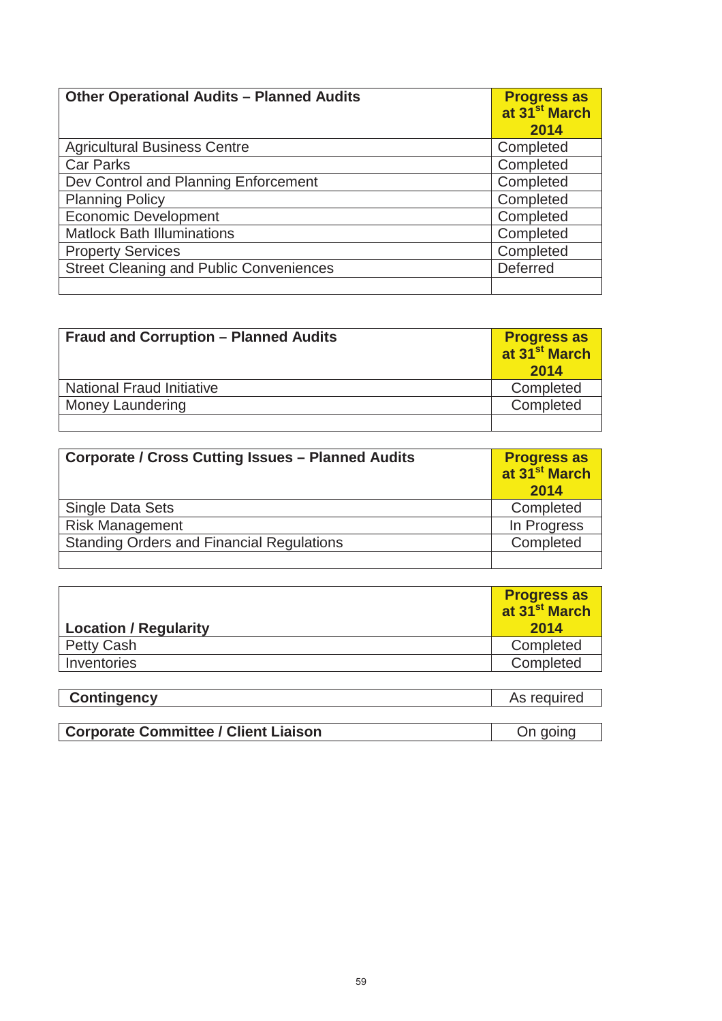| <b>Other Operational Audits - Planned Audits</b> | <b>Progress as</b><br>at 31 <sup>st</sup> March<br>2014 |
|--------------------------------------------------|---------------------------------------------------------|
| <b>Agricultural Business Centre</b>              | Completed                                               |
| <b>Car Parks</b>                                 | Completed                                               |
| Dev Control and Planning Enforcement             | Completed                                               |
| <b>Planning Policy</b>                           | Completed                                               |
| <b>Economic Development</b>                      | Completed                                               |
| <b>Matlock Bath Illuminations</b>                | Completed                                               |
| <b>Property Services</b>                         | Completed                                               |
| <b>Street Cleaning and Public Conveniences</b>   | <b>Deferred</b>                                         |
|                                                  |                                                         |

| <b>Fraud and Corruption - Planned Audits</b> | <b>Progress as<br/>at 31<sup>st</sup> March</b><br>2014 |
|----------------------------------------------|---------------------------------------------------------|
| <b>National Fraud Initiative</b>             | Completed                                               |
| <b>Money Laundering</b>                      | Completed                                               |
|                                              |                                                         |

| <b>Corporate / Cross Cutting Issues - Planned Audits</b> | <b>Progress as<br/>at 31<sup>st</sup> March</b><br>2014 |
|----------------------------------------------------------|---------------------------------------------------------|
| Single Data Sets                                         | Completed                                               |
| <b>Risk Management</b>                                   | In Progress                                             |
| <b>Standing Orders and Financial Regulations</b>         | Completed                                               |
|                                                          |                                                         |

| <b>Location / Regularity</b> | <b>Progress as</b><br>at 31 <sup>st</sup> March<br>2014 |
|------------------------------|---------------------------------------------------------|
| <b>Petty Cash</b>            | Completed                                               |
| Inventories                  | Completed                                               |
|                              |                                                         |
| <b>Contingency</b>           | As required                                             |

| <b>Corporate Committee / Client Liaison</b> |  |
|---------------------------------------------|--|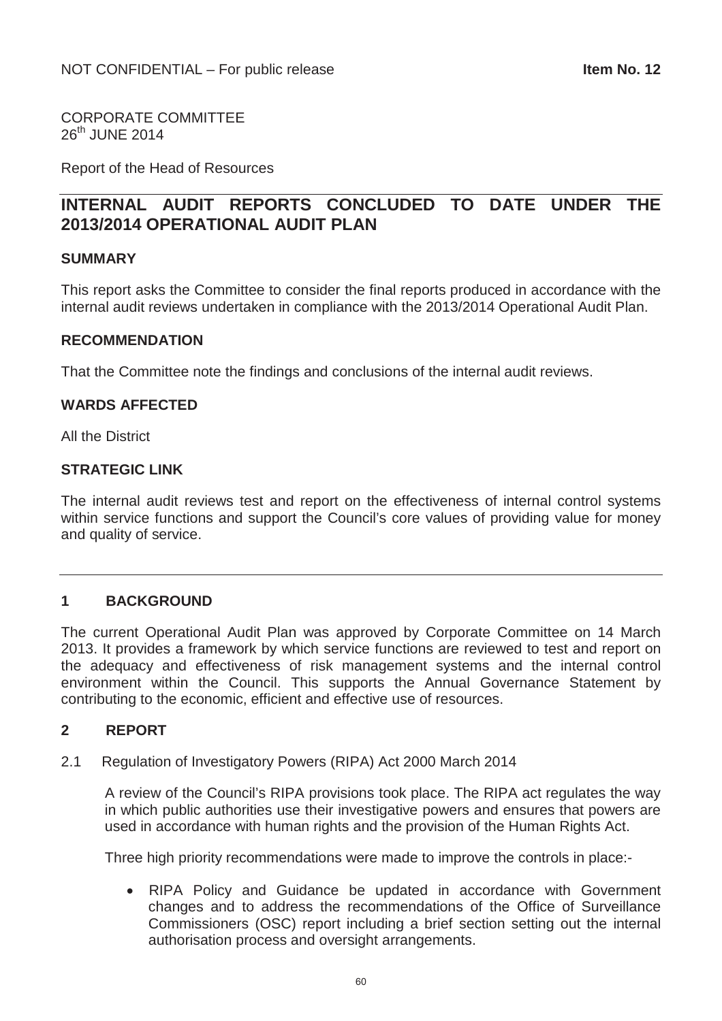CORPORATE COMMITTEE 26<sup>th</sup> JUNE 2014

Report of the Head of Resources

# **INTERNAL AUDIT REPORTS CONCLUDED TO DATE UNDER THE 2013/2014 OPERATIONAL AUDIT PLAN**

#### **SUMMARY**

This report asks the Committee to consider the final reports produced in accordance with the internal audit reviews undertaken in compliance with the 2013/2014 Operational Audit Plan.

#### **RECOMMENDATION**

That the Committee note the findings and conclusions of the internal audit reviews.

#### **WARDS AFFECTED**

All the District

#### **STRATEGIC LINK**

The internal audit reviews test and report on the effectiveness of internal control systems within service functions and support the Council's core values of providing value for money and quality of service.

# **1 BACKGROUND**

The current Operational Audit Plan was approved by Corporate Committee on 14 March 2013. It provides a framework by which service functions are reviewed to test and report on the adequacy and effectiveness of risk management systems and the internal control environment within the Council. This supports the Annual Governance Statement by contributing to the economic, efficient and effective use of resources.

# **2 REPORT**

2.1 Regulation of Investigatory Powers (RIPA) Act 2000 March 2014

A review of the Council's RIPA provisions took place. The RIPA act regulates the way in which public authorities use their investigative powers and ensures that powers are used in accordance with human rights and the provision of the Human Rights Act.

Three high priority recommendations were made to improve the controls in place:-

• RIPA Policy and Guidance be updated in accordance with Government changes and to address the recommendations of the Office of Surveillance Commissioners (OSC) report including a brief section setting out the internal authorisation process and oversight arrangements.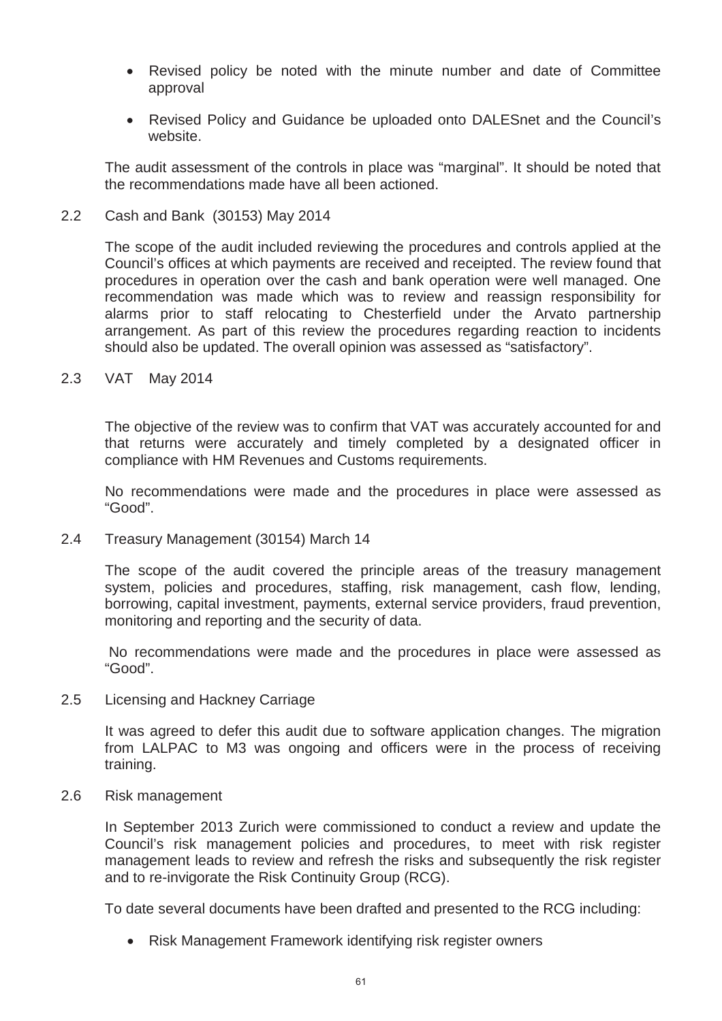- Revised policy be noted with the minute number and date of Committee approval
- Revised Policy and Guidance be uploaded onto DALESnet and the Council's website.

The audit assessment of the controls in place was "marginal". It should be noted that the recommendations made have all been actioned.

2.2 Cash and Bank (30153) May 2014

The scope of the audit included reviewing the procedures and controls applied at the Council's offices at which payments are received and receipted. The review found that procedures in operation over the cash and bank operation were well managed. One recommendation was made which was to review and reassign responsibility for alarms prior to staff relocating to Chesterfield under the Arvato partnership arrangement. As part of this review the procedures regarding reaction to incidents should also be updated. The overall opinion was assessed as "satisfactory".

2.3 VAT May 2014

The objective of the review was to confirm that VAT was accurately accounted for and that returns were accurately and timely completed by a designated officer in compliance with HM Revenues and Customs requirements.

No recommendations were made and the procedures in place were assessed as "Good".

2.4 Treasury Management (30154) March 14

The scope of the audit covered the principle areas of the treasury management system, policies and procedures, staffing, risk management, cash flow, lending, borrowing, capital investment, payments, external service providers, fraud prevention, monitoring and reporting and the security of data.

No recommendations were made and the procedures in place were assessed as "Good".

2.5 Licensing and Hackney Carriage

It was agreed to defer this audit due to software application changes. The migration from LALPAC to M3 was ongoing and officers were in the process of receiving training.

2.6 Risk management

In September 2013 Zurich were commissioned to conduct a review and update the Council's risk management policies and procedures, to meet with risk register management leads to review and refresh the risks and subsequently the risk register and to re-invigorate the Risk Continuity Group (RCG).

To date several documents have been drafted and presented to the RCG including:

• Risk Management Framework identifying risk register owners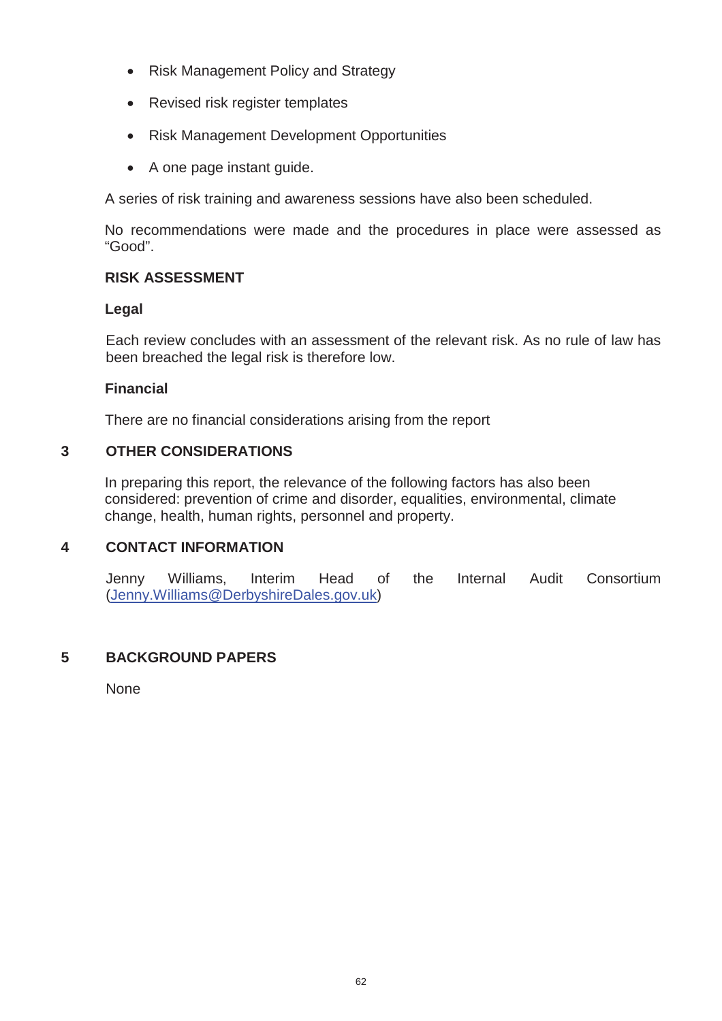- Risk Management Policy and Strategy
- Revised risk register templates
- Risk Management Development Opportunities
- A one page instant guide.

A series of risk training and awareness sessions have also been scheduled.

No recommendations were made and the procedures in place were assessed as "Good".

# **RISK ASSESSMENT**

# **Legal**

 Each review concludes with an assessment of the relevant risk. As no rule of law has been breached the legal risk is therefore low.

# **Financial**

There are no financial considerations arising from the report

# **3 OTHER CONSIDERATIONS**

In preparing this report, the relevance of the following factors has also been considered: prevention of crime and disorder, equalities, environmental, climate change, health, human rights, personnel and property.

# **4 CONTACT INFORMATION**

Jenny Williams, Interim Head of the Internal Audit Consortium (Jenny.Williams@DerbyshireDales.gov.uk)

# **5 BACKGROUND PAPERS**

None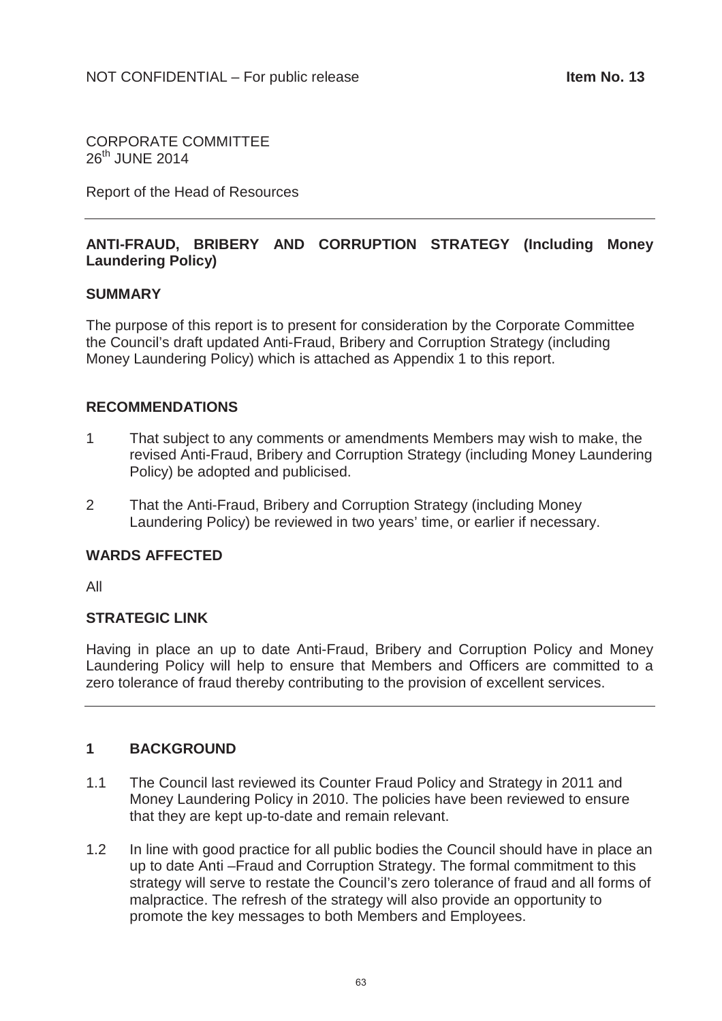CORPORATE COMMITTEE  $26<sup>th</sup>$  JUNE 2014

Report of the Head of Resources

# **ANTI-FRAUD, BRIBERY AND CORRUPTION STRATEGY (Including Money Laundering Policy)**

#### **SUMMARY**

The purpose of this report is to present for consideration by the Corporate Committee the Council's draft updated Anti-Fraud, Bribery and Corruption Strategy (including Money Laundering Policy) which is attached as Appendix 1 to this report.

#### **RECOMMENDATIONS**

- 1 That subject to any comments or amendments Members may wish to make, the revised Anti-Fraud, Bribery and Corruption Strategy (including Money Laundering Policy) be adopted and publicised.
- 2 That the Anti-Fraud, Bribery and Corruption Strategy (including Money Laundering Policy) be reviewed in two years' time, or earlier if necessary.

#### **WARDS AFFECTED**

All

#### **STRATEGIC LINK**

Having in place an up to date Anti-Fraud, Bribery and Corruption Policy and Money Laundering Policy will help to ensure that Members and Officers are committed to a zero tolerance of fraud thereby contributing to the provision of excellent services.

# **1 BACKGROUND**

- 1.1 The Council last reviewed its Counter Fraud Policy and Strategy in 2011 and Money Laundering Policy in 2010. The policies have been reviewed to ensure that they are kept up-to-date and remain relevant.
- 1.2 In line with good practice for all public bodies the Council should have in place an up to date Anti –Fraud and Corruption Strategy. The formal commitment to this strategy will serve to restate the Council's zero tolerance of fraud and all forms of malpractice. The refresh of the strategy will also provide an opportunity to promote the key messages to both Members and Employees.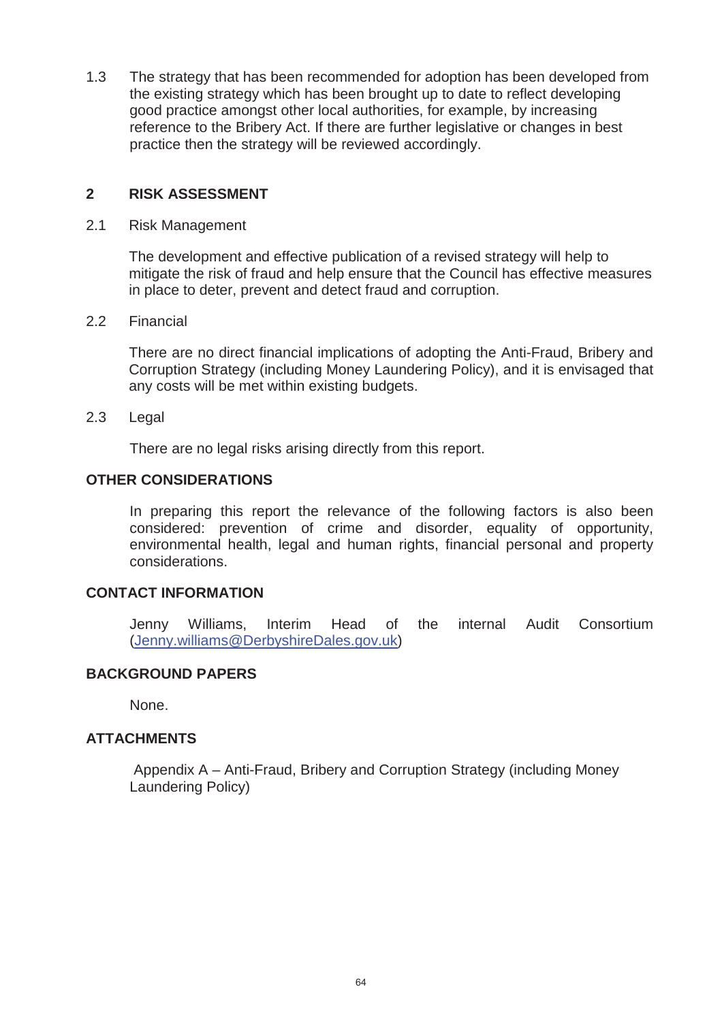1.3 The strategy that has been recommended for adoption has been developed from the existing strategy which has been brought up to date to reflect developing good practice amongst other local authorities, for example, by increasing reference to the Bribery Act. If there are further legislative or changes in best practice then the strategy will be reviewed accordingly.

# **2 RISK ASSESSMENT**

2.1 Risk Management

The development and effective publication of a revised strategy will help to mitigate the risk of fraud and help ensure that the Council has effective measures in place to deter, prevent and detect fraud and corruption.

2.2 Financial

There are no direct financial implications of adopting the Anti-Fraud, Bribery and Corruption Strategy (including Money Laundering Policy), and it is envisaged that any costs will be met within existing budgets.

2.3 Legal

There are no legal risks arising directly from this report.

# **OTHER CONSIDERATIONS**

In preparing this report the relevance of the following factors is also been considered: prevention of crime and disorder, equality of opportunity, environmental health, legal and human rights, financial personal and property considerations.

# **CONTACT INFORMATION**

Jenny Williams, Interim Head of the internal Audit Consortium (Jenny.williams@DerbyshireDales.gov.uk)

# **BACKGROUND PAPERS**

None.

# **ATTACHMENTS**

Appendix A – Anti-Fraud, Bribery and Corruption Strategy (including Money Laundering Policy)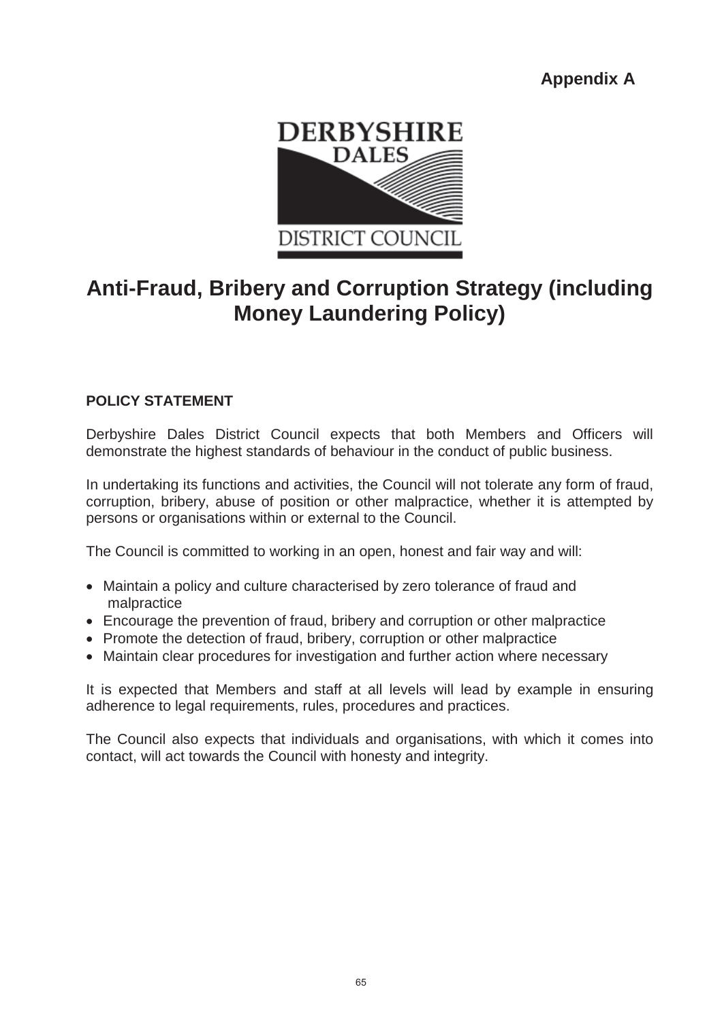**Appendix A**



# **Anti-Fraud, Bribery and Corruption Strategy (including Money Laundering Policy)**

# **POLICY STATEMENT**

Derbyshire Dales District Council expects that both Members and Officers will demonstrate the highest standards of behaviour in the conduct of public business.

In undertaking its functions and activities, the Council will not tolerate any form of fraud, corruption, bribery, abuse of position or other malpractice, whether it is attempted by persons or organisations within or external to the Council.

The Council is committed to working in an open, honest and fair way and will:

- Maintain a policy and culture characterised by zero tolerance of fraud and malpractice
- Encourage the prevention of fraud, bribery and corruption or other malpractice
- Promote the detection of fraud, bribery, corruption or other malpractice
- Maintain clear procedures for investigation and further action where necessary

It is expected that Members and staff at all levels will lead by example in ensuring adherence to legal requirements, rules, procedures and practices.

The Council also expects that individuals and organisations, with which it comes into contact, will act towards the Council with honesty and integrity.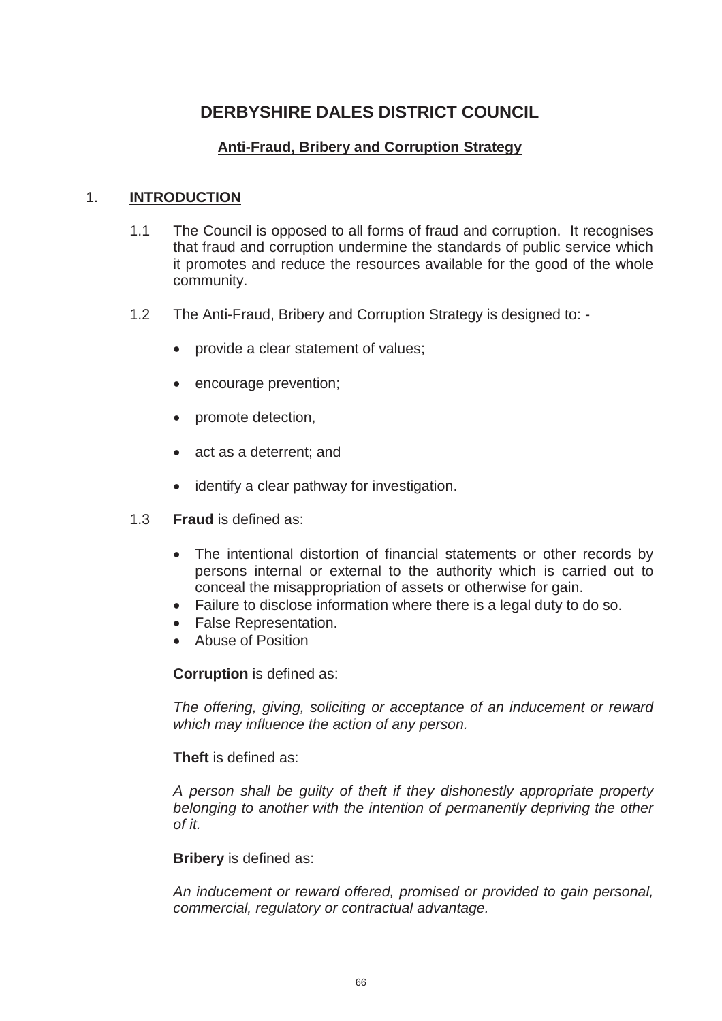# **DERBYSHIRE DALES DISTRICT COUNCIL**

# **Anti-Fraud, Bribery and Corruption Strategy**

# 1. **INTRODUCTION**

- 1.1 The Council is opposed to all forms of fraud and corruption. It recognises that fraud and corruption undermine the standards of public service which it promotes and reduce the resources available for the good of the whole community.
- 1.2 The Anti-Fraud, Bribery and Corruption Strategy is designed to:
	- provide a clear statement of values;
	- encourage prevention;
	- promote detection,
	- act as a deterrent: and
	- identify a clear pathway for investigation.
- 1.3 **Fraud** is defined as:
	- The intentional distortion of financial statements or other records by persons internal or external to the authority which is carried out to conceal the misappropriation of assets or otherwise for gain.
	- $\bullet$  Failure to disclose information where there is a legal duty to do so.
	- False Representation.
	- Abuse of Position

**Corruption** is defined as:

*The offering, giving, soliciting or acceptance of an inducement or reward which may influence the action of any person.*

**Theft** is defined as:

*A person shall be guilty of theft if they dishonestly appropriate property belonging to another with the intention of permanently depriving the other of it.*

#### **Bribery** is defined as:

*An inducement or reward offered, promised or provided to gain personal, commercial, regulatory or contractual advantage.*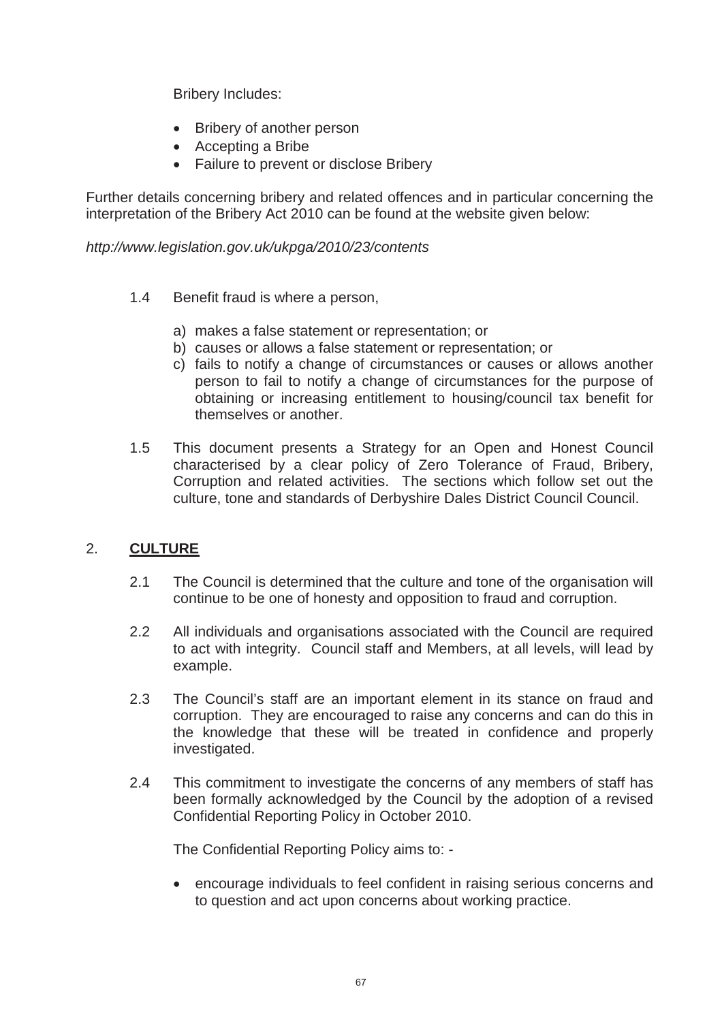Bribery Includes:

- Bribery of another person
- $\bullet$  Accepting a Bribe
- Failure to prevent or disclose Bribery

Further details concerning bribery and related offences and in particular concerning the interpretation of the Bribery Act 2010 can be found at the website given below:

# *http://www.legislation.gov.uk/ukpga/2010/23/contents*

- 1.4 Benefit fraud is where a person,
	- a) makes a false statement or representation; or
	- b) causes or allows a false statement or representation; or
	- c) fails to notify a change of circumstances or causes or allows another person to fail to notify a change of circumstances for the purpose of obtaining or increasing entitlement to housing/council tax benefit for themselves or another.
- 1.5 This document presents a Strategy for an Open and Honest Council characterised by a clear policy of Zero Tolerance of Fraud, Bribery, Corruption and related activities. The sections which follow set out the culture, tone and standards of Derbyshire Dales District Council Council.

# 2. **CULTURE**

- 2.1 The Council is determined that the culture and tone of the organisation will continue to be one of honesty and opposition to fraud and corruption.
- 2.2 All individuals and organisations associated with the Council are required to act with integrity. Council staff and Members, at all levels, will lead by example.
- 2.3 The Council's staff are an important element in its stance on fraud and corruption. They are encouraged to raise any concerns and can do this in the knowledge that these will be treated in confidence and properly investigated.
- 2.4 This commitment to investigate the concerns of any members of staff has been formally acknowledged by the Council by the adoption of a revised Confidential Reporting Policy in October 2010.

The Confidential Reporting Policy aims to: -

• encourage individuals to feel confident in raising serious concerns and to question and act upon concerns about working practice.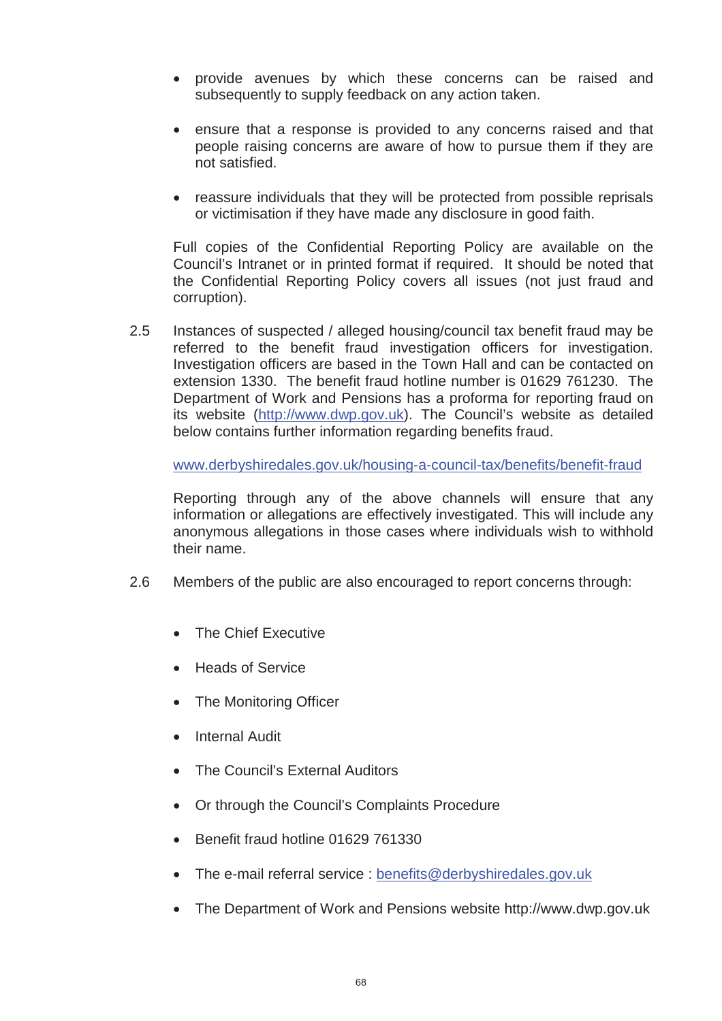- provide avenues by which these concerns can be raised and subsequently to supply feedback on any action taken.
- ensure that a response is provided to any concerns raised and that people raising concerns are aware of how to pursue them if they are not satisfied.
- reassure individuals that they will be protected from possible reprisals or victimisation if they have made any disclosure in good faith.

Full copies of the Confidential Reporting Policy are available on the Council's Intranet or in printed format if required. It should be noted that the Confidential Reporting Policy covers all issues (not just fraud and corruption).

2.5 Instances of suspected / alleged housing/council tax benefit fraud may be referred to the benefit fraud investigation officers for investigation. Investigation officers are based in the Town Hall and can be contacted on extension 1330. The benefit fraud hotline number is 01629 761230. The Department of Work and Pensions has a proforma for reporting fraud on its website (http://www.dwp.gov.uk). The Council's website as detailed below contains further information regarding benefits fraud.

www.derbyshiredales.gov.uk/housing-a-council-tax/benefits/benefit-fraud

Reporting through any of the above channels will ensure that any information or allegations are effectively investigated. This will include any anonymous allegations in those cases where individuals wish to withhold their name.

- 2.6 Members of the public are also encouraged to report concerns through:
	- The Chief Executive
	- Heads of Service
	- The Monitoring Officer
	- Internal Audit
	- The Council's External Auditors
	- Or through the Council's Complaints Procedure
	- Benefit fraud hotline 01629 761330
	- $\bullet$  The e-mail referral service : benefits@derbyshiredales.gov.uk
	- The Department of Work and Pensions website http://www.dwp.gov.uk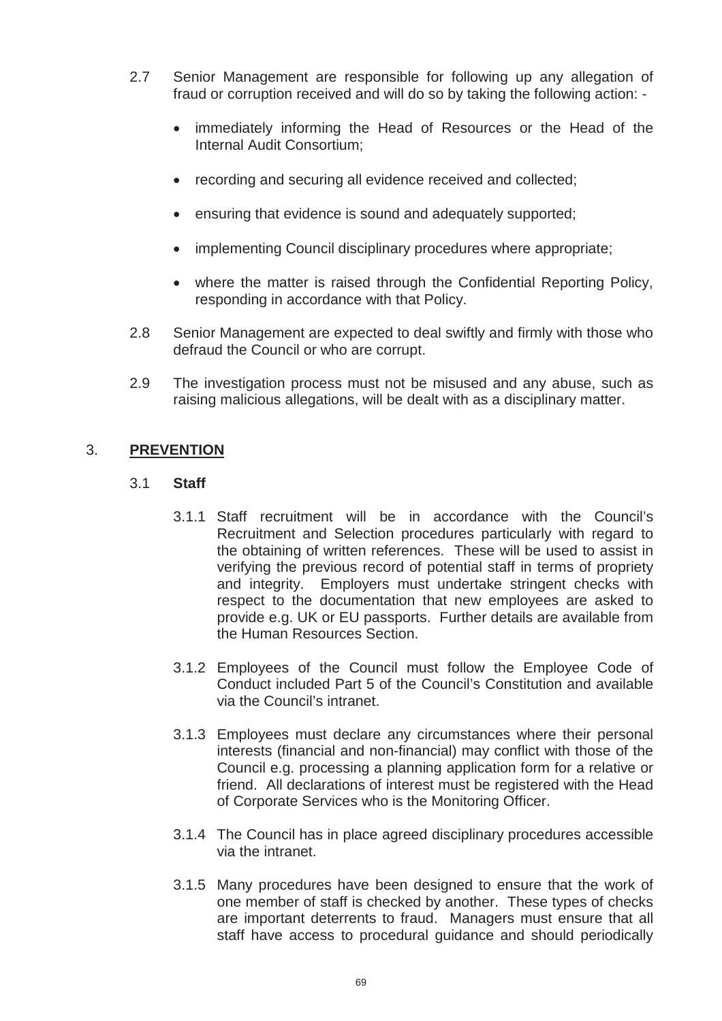- 2.7 Senior Management are responsible for following up any allegation of fraud or corruption received and will do so by taking the following action: -
	- immediately informing the Head of Resources or the Head of the Internal Audit Consortium;
	- recording and securing all evidence received and collected;
	- ensuring that evidence is sound and adequately supported;
	- implementing Council disciplinary procedures where appropriate;
	- where the matter is raised through the Confidential Reporting Policy, responding in accordance with that Policy.
- 2.8 Senior Management are expected to deal swiftly and firmly with those who defraud the Council or who are corrupt.
- 2.9 The investigation process must not be misused and any abuse, such as raising malicious allegations, will be dealt with as a disciplinary matter.

# 3. **PREVENTION**

#### 3.1 **Staff**

- 3.1.1 Staff recruitment will be in accordance with the Council's Recruitment and Selection procedures particularly with regard to the obtaining of written references. These will be used to assist in verifying the previous record of potential staff in terms of propriety and integrity. Employers must undertake stringent checks with respect to the documentation that new employees are asked to provide e.g. UK or EU passports. Further details are available from the Human Resources Section.
- 3.1.2 Employees of the Council must follow the Employee Code of Conduct included Part 5 of the Council's Constitution and available via the Council's intranet.
- 3.1.3 Employees must declare any circumstances where their personal interests (financial and non-financial) may conflict with those of the Council e.g. processing a planning application form for a relative or friend. All declarations of interest must be registered with the Head of Corporate Services who is the Monitoring Officer.
- 3.1.4 The Council has in place agreed disciplinary procedures accessible via the intranet.
- 3.1.5 Many procedures have been designed to ensure that the work of one member of staff is checked by another. These types of checks are important deterrents to fraud. Managers must ensure that all staff have access to procedural guidance and should periodically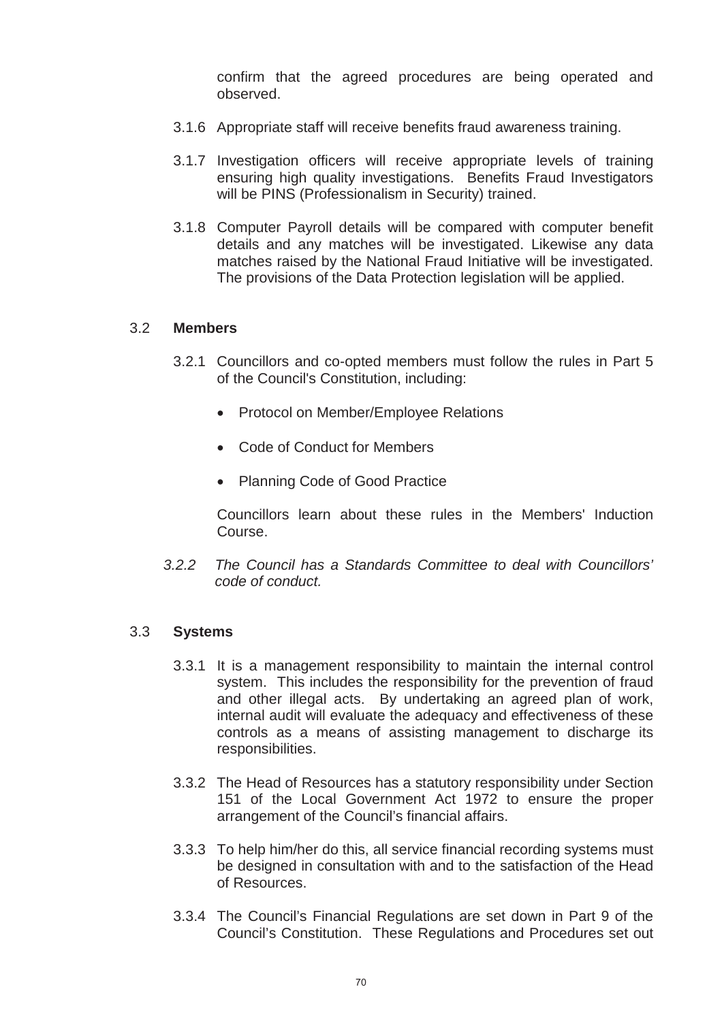confirm that the agreed procedures are being operated and observed.

- 3.1.6 Appropriate staff will receive benefits fraud awareness training.
- 3.1.7 Investigation officers will receive appropriate levels of training ensuring high quality investigations. Benefits Fraud Investigators will be PINS (Professionalism in Security) trained.
- 3.1.8 Computer Payroll details will be compared with computer benefit details and any matches will be investigated. Likewise any data matches raised by the National Fraud Initiative will be investigated. The provisions of the Data Protection legislation will be applied.

#### 3.2 **Members**

- 3.2.1 Councillors and co-opted members must follow the rules in Part 5 of the Council's Constitution, including:
	- Protocol on Member/Employee Relations
	- Code of Conduct for Members
	- Planning Code of Good Practice

Councillors learn about these rules in the Members' Induction Course.

*3.2.2 The Council has a Standards Committee to deal with Councillors' code of conduct.*

#### 3.3 **Systems**

- 3.3.1 It is a management responsibility to maintain the internal control system. This includes the responsibility for the prevention of fraud and other illegal acts. By undertaking an agreed plan of work, internal audit will evaluate the adequacy and effectiveness of these controls as a means of assisting management to discharge its responsibilities.
- 3.3.2 The Head of Resources has a statutory responsibility under Section 151 of the Local Government Act 1972 to ensure the proper arrangement of the Council's financial affairs.
- 3.3.3 To help him/her do this, all service financial recording systems must be designed in consultation with and to the satisfaction of the Head of Resources.
- 3.3.4 The Council's Financial Regulations are set down in Part 9 of the Council's Constitution. These Regulations and Procedures set out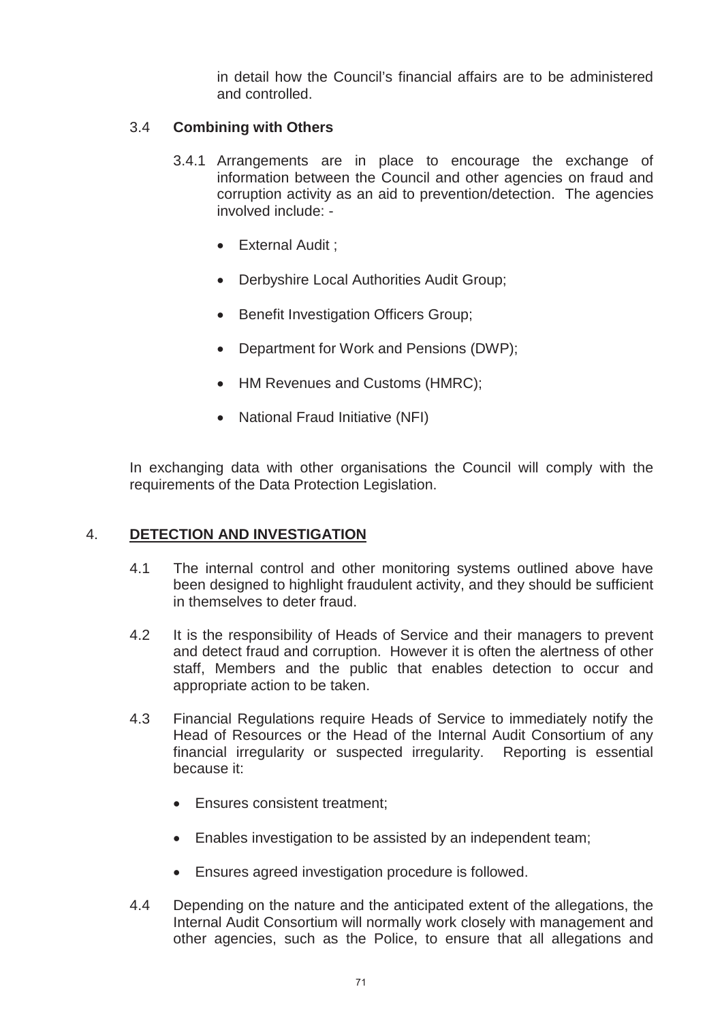in detail how the Council's financial affairs are to be administered and controlled.

# 3.4 **Combining with Others**

- 3.4.1 Arrangements are in place to encourage the exchange of information between the Council and other agencies on fraud and corruption activity as an aid to prevention/detection. The agencies involved include: -
	- External Audit :
	- Derbyshire Local Authorities Audit Group;
	- **•** Benefit Investigation Officers Group:
	- Department for Work and Pensions (DWP);
	- HM Revenues and Customs (HMRC);
	- National Fraud Initiative (NFI)

In exchanging data with other organisations the Council will comply with the requirements of the Data Protection Legislation.

# 4. **DETECTION AND INVESTIGATION**

- 4.1 The internal control and other monitoring systems outlined above have been designed to highlight fraudulent activity, and they should be sufficient in themselves to deter fraud.
- 4.2 It is the responsibility of Heads of Service and their managers to prevent and detect fraud and corruption. However it is often the alertness of other staff, Members and the public that enables detection to occur and appropriate action to be taken.
- 4.3 Financial Regulations require Heads of Service to immediately notify the Head of Resources or the Head of the Internal Audit Consortium of any financial irregularity or suspected irregularity. Reporting is essential because it:
	- Ensures consistent treatment:
	- Enables investigation to be assisted by an independent team;
	- Ensures agreed investigation procedure is followed.
- 4.4 Depending on the nature and the anticipated extent of the allegations, the Internal Audit Consortium will normally work closely with management and other agencies, such as the Police, to ensure that all allegations and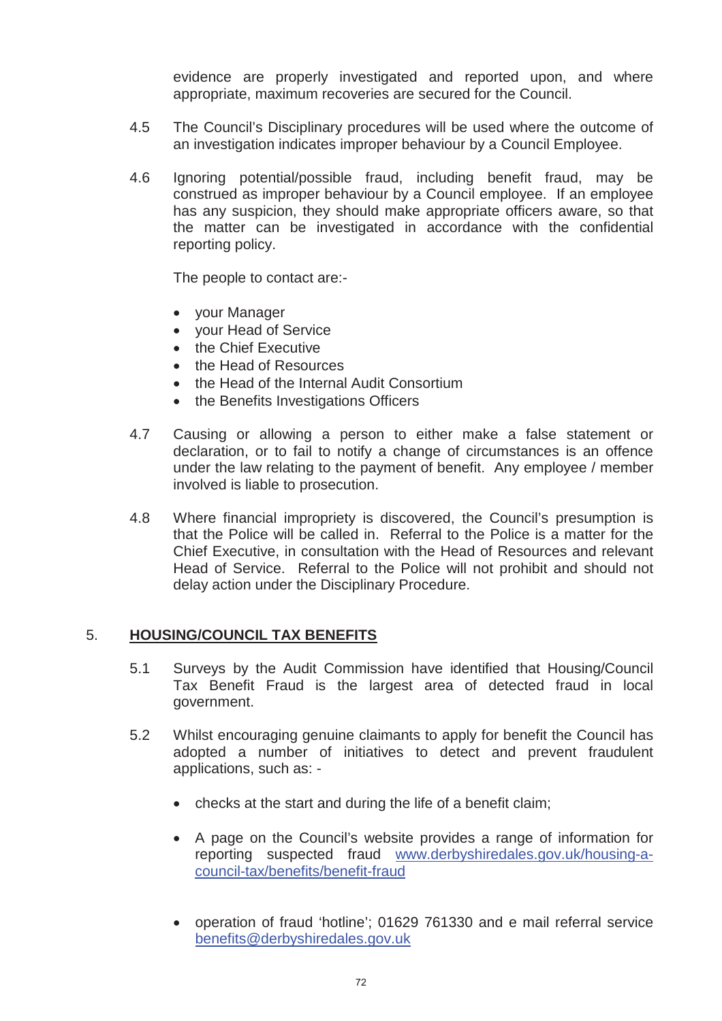evidence are properly investigated and reported upon, and where appropriate, maximum recoveries are secured for the Council.

- 4.5 The Council's Disciplinary procedures will be used where the outcome of an investigation indicates improper behaviour by a Council Employee.
- 4.6 Ignoring potential/possible fraud, including benefit fraud, may be construed as improper behaviour by a Council employee. If an employee has any suspicion, they should make appropriate officers aware, so that the matter can be investigated in accordance with the confidential reporting policy.

The people to contact are:-

- your Manager
- your Head of Service
- the Chief Executive
- the Head of Resources
- the Head of the Internal Audit Consortium
- the Benefits Investigations Officers
- 4.7 Causing or allowing a person to either make a false statement or declaration, or to fail to notify a change of circumstances is an offence under the law relating to the payment of benefit. Any employee / member involved is liable to prosecution.
- 4.8 Where financial impropriety is discovered, the Council's presumption is that the Police will be called in. Referral to the Police is a matter for the Chief Executive, in consultation with the Head of Resources and relevant Head of Service. Referral to the Police will not prohibit and should not delay action under the Disciplinary Procedure.

# 5. **HOUSING/COUNCIL TAX BENEFITS**

- 5.1 Surveys by the Audit Commission have identified that Housing/Council Tax Benefit Fraud is the largest area of detected fraud in local government.
- 5.2 Whilst encouraging genuine claimants to apply for benefit the Council has adopted a number of initiatives to detect and prevent fraudulent applications, such as: -
	- $\bullet$  checks at the start and during the life of a benefit claim;
	- A page on the Council's website provides a range of information for reporting suspected fraud www.derbyshiredales.gov.uk/housing-acouncil-tax/benefits/benefit-fraud
	- x operation of fraud 'hotline'; 01629 761330 and e mail referral service benefits@derbyshiredales.gov.uk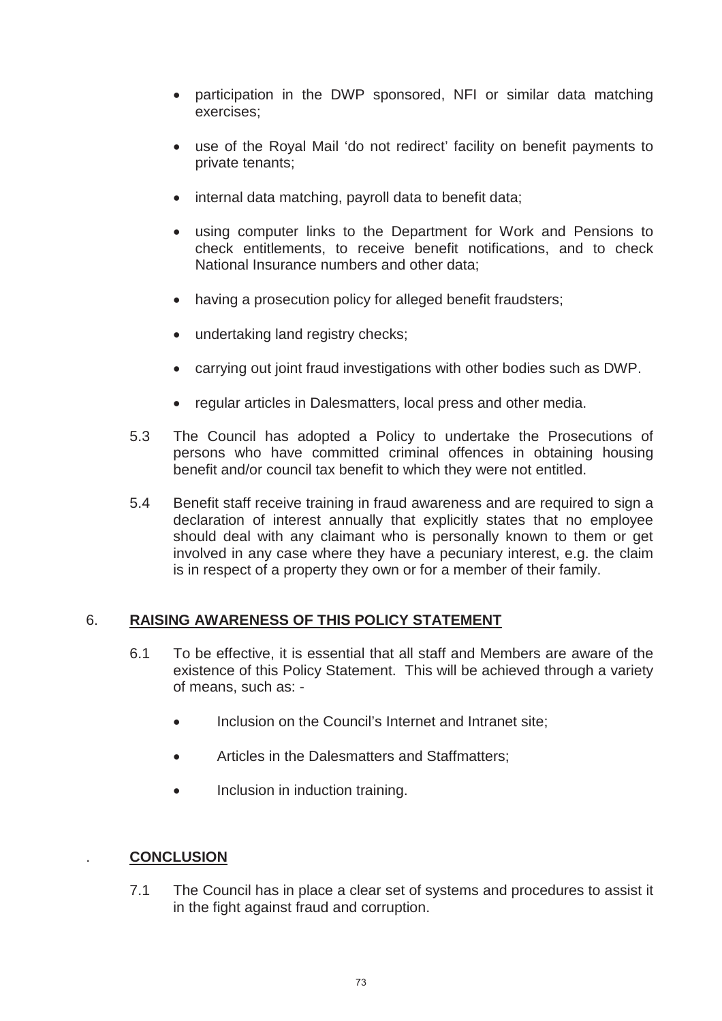- participation in the DWP sponsored, NFI or similar data matching exercises;
- use of the Royal Mail 'do not redirect' facility on benefit payments to private tenants;
- internal data matching, payroll data to benefit data;
- using computer links to the Department for Work and Pensions to check entitlements, to receive benefit notifications, and to check National Insurance numbers and other data;
- having a prosecution policy for alleged benefit fraudsters;
- undertaking land registry checks;
- carrying out joint fraud investigations with other bodies such as DWP.
- regular articles in Dalesmatters, local press and other media.
- 5.3 The Council has adopted a Policy to undertake the Prosecutions of persons who have committed criminal offences in obtaining housing benefit and/or council tax benefit to which they were not entitled.
- 5.4 Benefit staff receive training in fraud awareness and are required to sign a declaration of interest annually that explicitly states that no employee should deal with any claimant who is personally known to them or get involved in any case where they have a pecuniary interest, e.g. the claim is in respect of a property they own or for a member of their family.

### 6. **RAISING AWARENESS OF THIS POLICY STATEMENT**

- 6.1 To be effective, it is essential that all staff and Members are aware of the existence of this Policy Statement. This will be achieved through a variety of means, such as: -
	- Inclusion on the Council's Internet and Intranet site;
	- Articles in the Dalesmatters and Staffmatters;
	- Inclusion in induction training.

### . **CONCLUSION**

7.1 The Council has in place a clear set of systems and procedures to assist it in the fight against fraud and corruption.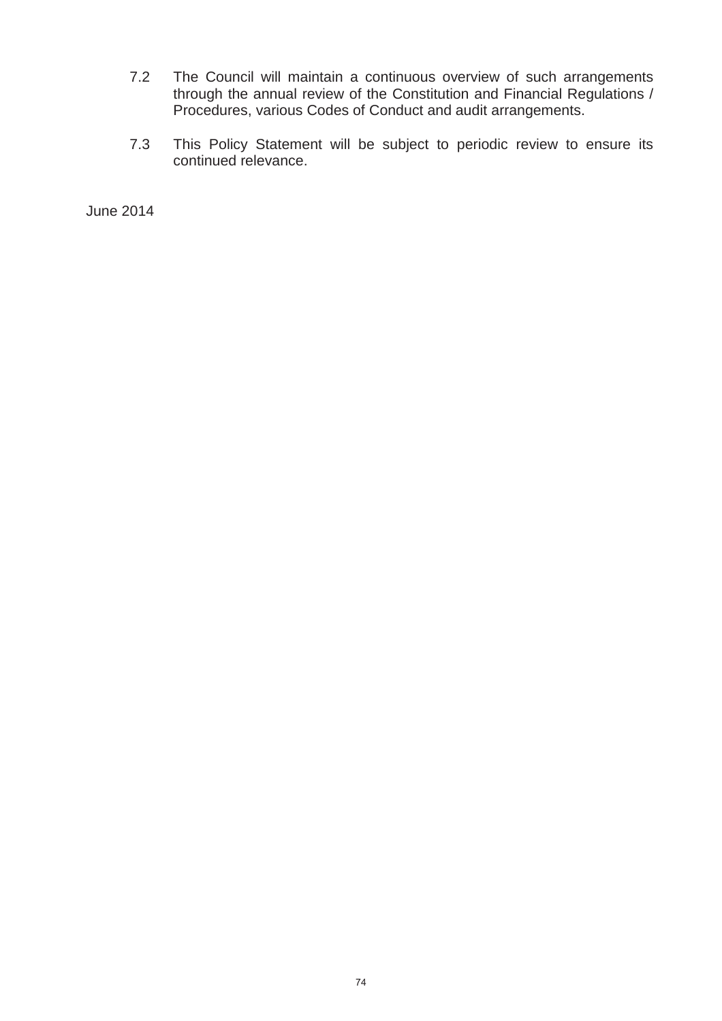- 7.2 The Council will maintain a continuous overview of such arrangements through the annual review of the Constitution and Financial Regulations / Procedures, various Codes of Conduct and audit arrangements.
- 7.3 This Policy Statement will be subject to periodic review to ensure its continued relevance.

June 2014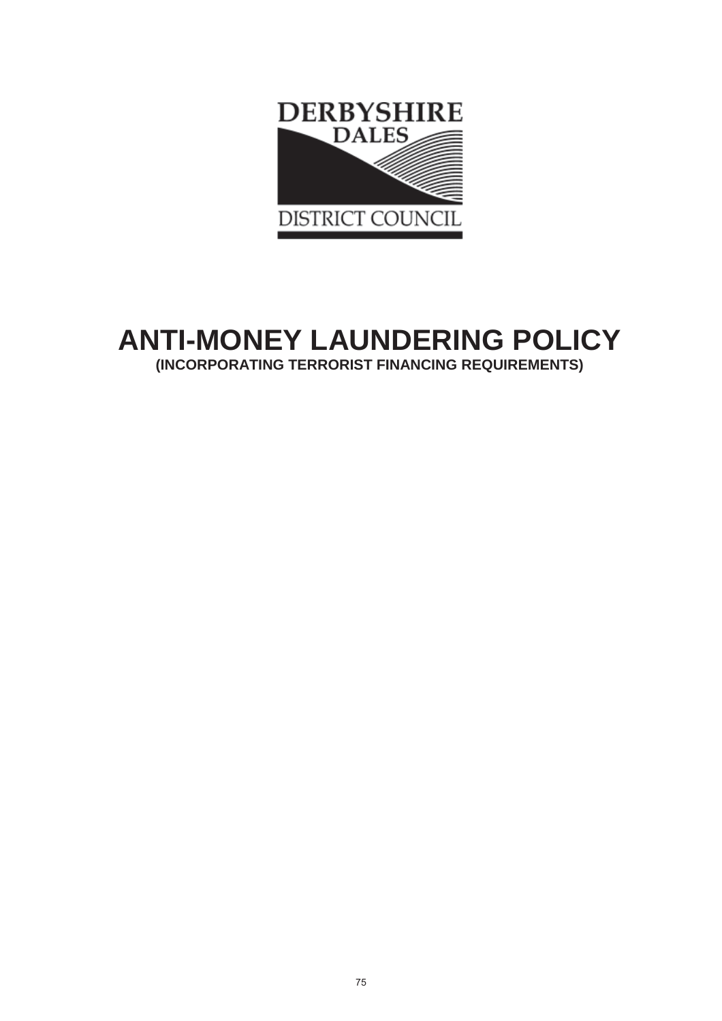

# **ANTI-MONEY LAUNDERING POLICY (INCORPORATING TERRORIST FINANCING REQUIREMENTS)**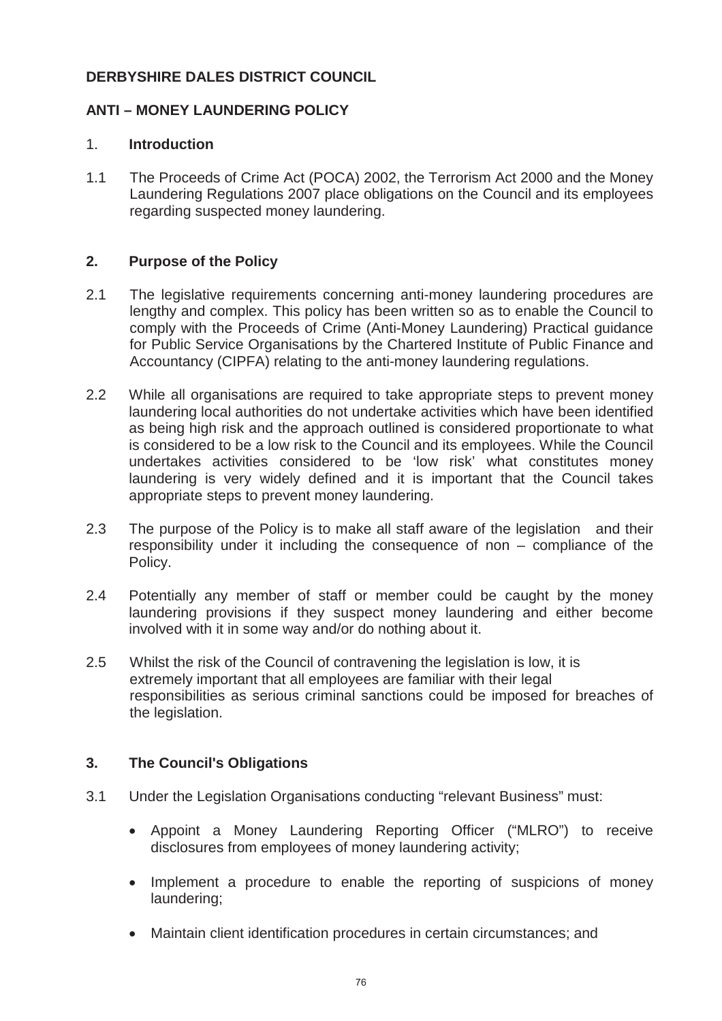### **DERBYSHIRE DALES DISTRICT COUNCIL**

### **ANTI – MONEY LAUNDERING POLICY**

### 1. **Introduction**

1.1 The Proceeds of Crime Act (POCA) 2002, the Terrorism Act 2000 and the Money Laundering Regulations 2007 place obligations on the Council and its employees regarding suspected money laundering.

### **2. Purpose of the Policy**

- 2.1 The legislative requirements concerning anti-money laundering procedures are lengthy and complex. This policy has been written so as to enable the Council to comply with the Proceeds of Crime (Anti-Money Laundering) Practical guidance for Public Service Organisations by the Chartered Institute of Public Finance and Accountancy (CIPFA) relating to the anti-money laundering regulations.
- 2.2 While all organisations are required to take appropriate steps to prevent money laundering local authorities do not undertake activities which have been identified as being high risk and the approach outlined is considered proportionate to what is considered to be a low risk to the Council and its employees. While the Council undertakes activities considered to be 'low risk' what constitutes money laundering is very widely defined and it is important that the Council takes appropriate steps to prevent money laundering.
- 2.3 The purpose of the Policy is to make all staff aware of the legislation and their responsibility under it including the consequence of non – compliance of the Policy.
- 2.4 Potentially any member of staff or member could be caught by the money laundering provisions if they suspect money laundering and either become involved with it in some way and/or do nothing about it.
- 2.5 Whilst the risk of the Council of contravening the legislation is low, it is extremely important that all employees are familiar with their legal responsibilities as serious criminal sanctions could be imposed for breaches of the legislation.

### **3. The Council's Obligations**

- 3.1 Under the Legislation Organisations conducting "relevant Business" must:
	- x Appoint a Money Laundering Reporting Officer ("MLRO") to receive disclosures from employees of money laundering activity;
	- Implement a procedure to enable the reporting of suspicions of money laundering;
	- Maintain client identification procedures in certain circumstances; and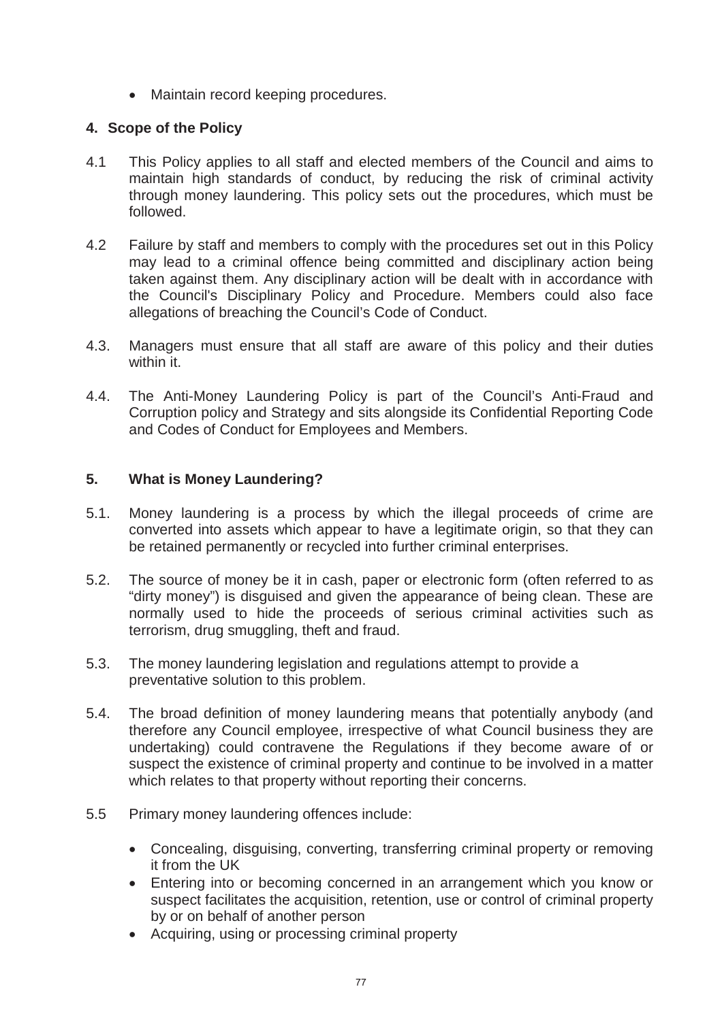• Maintain record keeping procedures.

### **4. Scope of the Policy**

- 4.1 This Policy applies to all staff and elected members of the Council and aims to maintain high standards of conduct, by reducing the risk of criminal activity through money laundering. This policy sets out the procedures, which must be followed.
- 4.2 Failure by staff and members to comply with the procedures set out in this Policy may lead to a criminal offence being committed and disciplinary action being taken against them. Any disciplinary action will be dealt with in accordance with the Council's Disciplinary Policy and Procedure. Members could also face allegations of breaching the Council's Code of Conduct.
- 4.3. Managers must ensure that all staff are aware of this policy and their duties within it.
- 4.4. The Anti-Money Laundering Policy is part of the Council's Anti-Fraud and Corruption policy and Strategy and sits alongside its Confidential Reporting Code and Codes of Conduct for Employees and Members.

### **5. What is Money Laundering?**

- 5.1. Money laundering is a process by which the illegal proceeds of crime are converted into assets which appear to have a legitimate origin, so that they can be retained permanently or recycled into further criminal enterprises.
- 5.2. The source of money be it in cash, paper or electronic form (often referred to as "dirty money") is disguised and given the appearance of being clean. These are normally used to hide the proceeds of serious criminal activities such as terrorism, drug smuggling, theft and fraud.
- 5.3. The money laundering legislation and regulations attempt to provide a preventative solution to this problem.
- 5.4. The broad definition of money laundering means that potentially anybody (and therefore any Council employee, irrespective of what Council business they are undertaking) could contravene the Regulations if they become aware of or suspect the existence of criminal property and continue to be involved in a matter which relates to that property without reporting their concerns.
- 5.5 Primary money laundering offences include:
	- Concealing, disguising, converting, transferring criminal property or removing it from the UK
	- Entering into or becoming concerned in an arrangement which you know or suspect facilitates the acquisition, retention, use or control of criminal property by or on behalf of another person
	- Acquiring, using or processing criminal property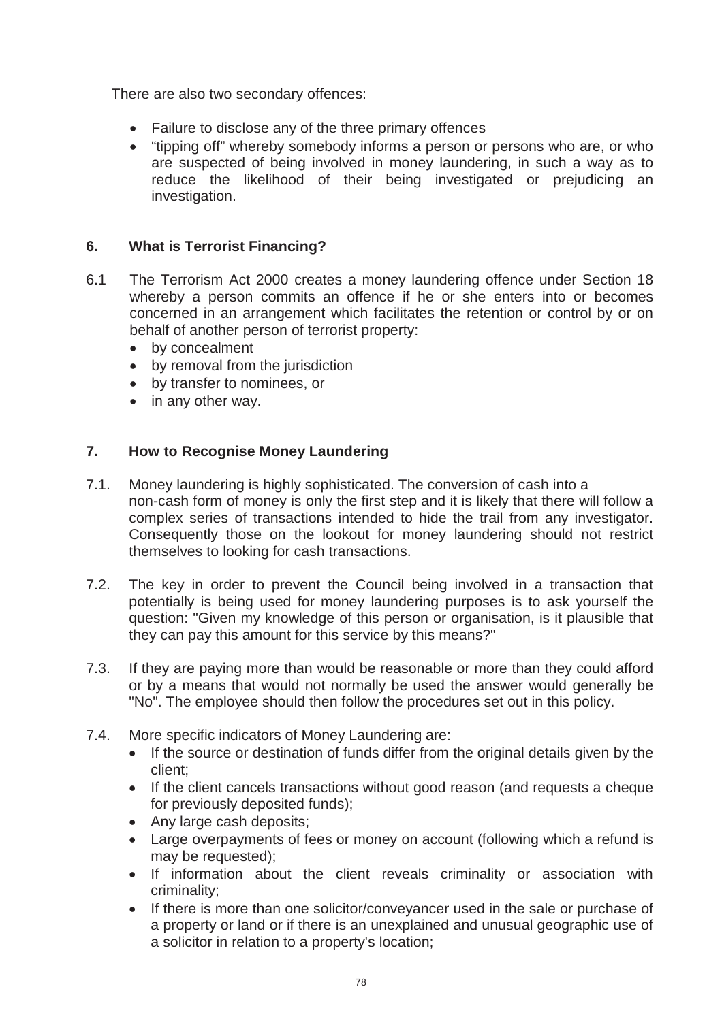There are also two secondary offences:

- Failure to disclose any of the three primary offences
- "tipping off" whereby somebody informs a person or persons who are, or who are suspected of being involved in money laundering, in such a way as to reduce the likelihood of their being investigated or prejudicing an investigation.

### **6. What is Terrorist Financing?**

- 6.1 The Terrorism Act 2000 creates a money laundering offence under Section 18 whereby a person commits an offence if he or she enters into or becomes concerned in an arrangement which facilitates the retention or control by or on behalf of another person of terrorist property:
	- by concealment
	- $\bullet$  by removal from the jurisdiction
	- by transfer to nominees, or
	- $\bullet$  in any other way.

### **7. How to Recognise Money Laundering**

- 7.1. Money laundering is highly sophisticated. The conversion of cash into a non-cash form of money is only the first step and it is likely that there will follow a complex series of transactions intended to hide the trail from any investigator. Consequently those on the lookout for money laundering should not restrict themselves to looking for cash transactions.
- 7.2. The key in order to prevent the Council being involved in a transaction that potentially is being used for money laundering purposes is to ask yourself the question: "Given my knowledge of this person or organisation, is it plausible that they can pay this amount for this service by this means?"
- 7.3. If they are paying more than would be reasonable or more than they could afford or by a means that would not normally be used the answer would generally be "No". The employee should then follow the procedures set out in this policy.
- 7.4. More specific indicators of Money Laundering are:
	- If the source or destination of funds differ from the original details given by the client;
	- If the client cancels transactions without good reason (and requests a cheque for previously deposited funds);
	- Any large cash deposits;
	- Large overpayments of fees or money on account (following which a refund is may be requested);
	- If information about the client reveals criminality or association with criminality;
	- If there is more than one solicitor/conveyancer used in the sale or purchase of a property or land or if there is an unexplained and unusual geographic use of a solicitor in relation to a property's location;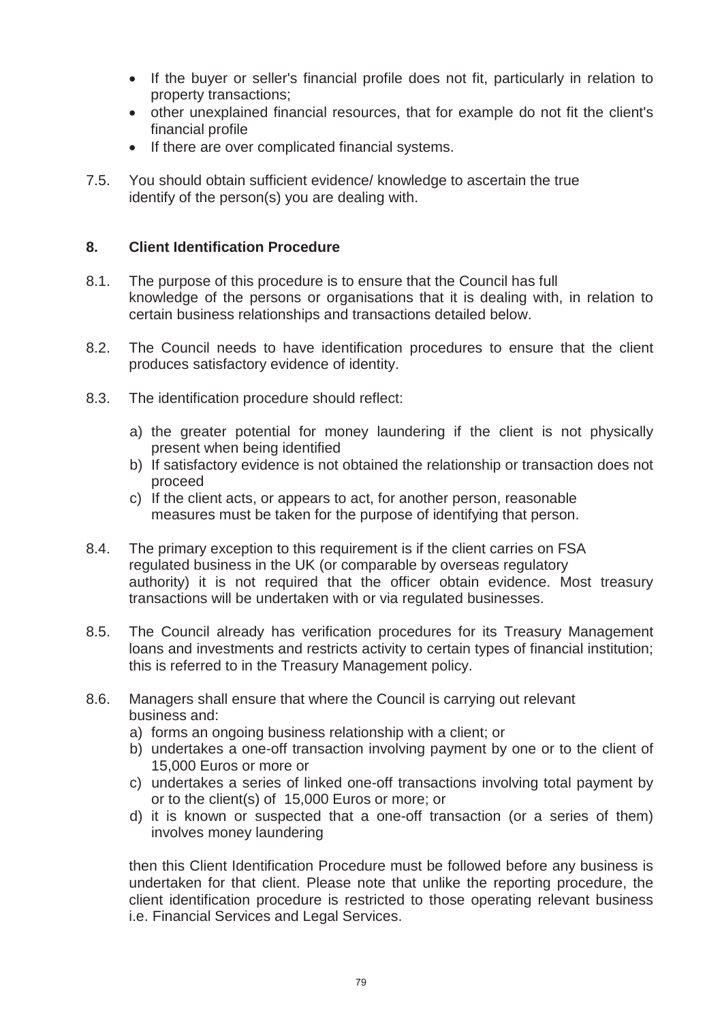- If the buyer or seller's financial profile does not fit, particularly in relation to property transactions;
- other unexplained financial resources, that for example do not fit the client's financial profile
- If there are over complicated financial systems.
- 7.5. You should obtain sufficient evidence/ knowledge to ascertain the true identify of the person(s) you are dealing with.

### **8. Client Identification Procedure**

- 8.1. The purpose of this procedure is to ensure that the Council has full knowledge of the persons or organisations that it is dealing with, in relation to certain business relationships and transactions detailed below.
- 8.2. The Council needs to have identification procedures to ensure that the client produces satisfactory evidence of identity.
- 8.3. The identification procedure should reflect:
	- a) the greater potential for money laundering if the client is not physically present when being identified
	- b) If satisfactory evidence is not obtained the relationship or transaction does not proceed
	- c) If the client acts, or appears to act, for another person, reasonable measures must be taken for the purpose of identifying that person.
- 8.4. The primary exception to this requirement is if the client carries on FSA regulated business in the UK (or comparable by overseas regulatory authority) it is not required that the officer obtain evidence. Most treasury transactions will be undertaken with or via regulated businesses.
- 8.5. The Council already has verification procedures for its Treasury Management loans and investments and restricts activity to certain types of financial institution; this is referred to in the Treasury Management policy.
- 8.6. Managers shall ensure that where the Council is carrying out relevant business and:
	- a) forms an ongoing business relationship with a client; or
	- b) undertakes a one-off transaction involving payment by one or to the client of 15,000 Euros or more or
	- c) undertakes a series of linked one-off transactions involving total payment by or to the client(s) of 15,000 Euros or more; or
	- d) it is known or suspected that a one-off transaction (or a series of them) involves money laundering

then this Client Identification Procedure must be followed before any business is undertaken for that client. Please note that unlike the reporting procedure, the client identification procedure is restricted to those operating relevant business i.e. Financial Services and Legal Services.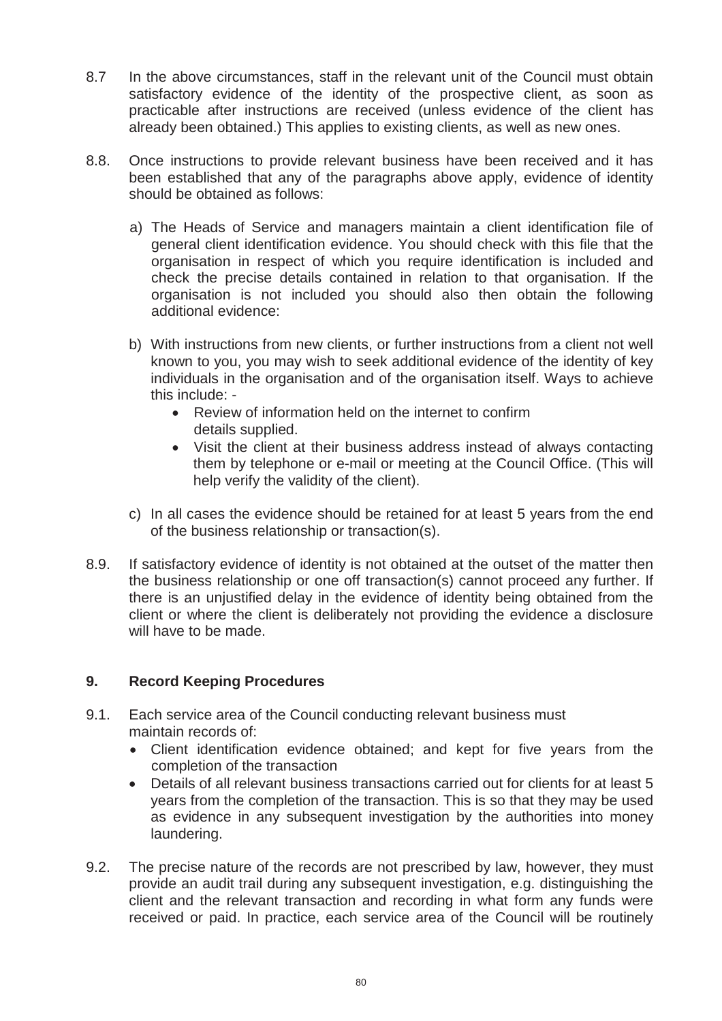- 8.7 In the above circumstances, staff in the relevant unit of the Council must obtain satisfactory evidence of the identity of the prospective client, as soon as practicable after instructions are received (unless evidence of the client has already been obtained.) This applies to existing clients, as well as new ones.
- 8.8. Once instructions to provide relevant business have been received and it has been established that any of the paragraphs above apply, evidence of identity should be obtained as follows:
	- a) The Heads of Service and managers maintain a client identification file of general client identification evidence. You should check with this file that the organisation in respect of which you require identification is included and check the precise details contained in relation to that organisation. If the organisation is not included you should also then obtain the following additional evidence:
	- b) With instructions from new clients, or further instructions from a client not well known to you, you may wish to seek additional evidence of the identity of key individuals in the organisation and of the organisation itself. Ways to achieve this include: -
		- $\bullet$  Review of information held on the internet to confirm details supplied.
		- Visit the client at their business address instead of always contacting them by telephone or e-mail or meeting at the Council Office. (This will help verify the validity of the client).
	- c) In all cases the evidence should be retained for at least 5 years from the end of the business relationship or transaction(s).
- 8.9. If satisfactory evidence of identity is not obtained at the outset of the matter then the business relationship or one off transaction(s) cannot proceed any further. If there is an unjustified delay in the evidence of identity being obtained from the client or where the client is deliberately not providing the evidence a disclosure will have to be made.

### **9. Record Keeping Procedures**

- 9.1. Each service area of the Council conducting relevant business must maintain records of:
	- Client identification evidence obtained; and kept for five years from the completion of the transaction
	- Details of all relevant business transactions carried out for clients for at least 5 years from the completion of the transaction. This is so that they may be used as evidence in any subsequent investigation by the authorities into money laundering.
- 9.2. The precise nature of the records are not prescribed by law, however, they must provide an audit trail during any subsequent investigation, e.g. distinguishing the client and the relevant transaction and recording in what form any funds were received or paid. In practice, each service area of the Council will be routinely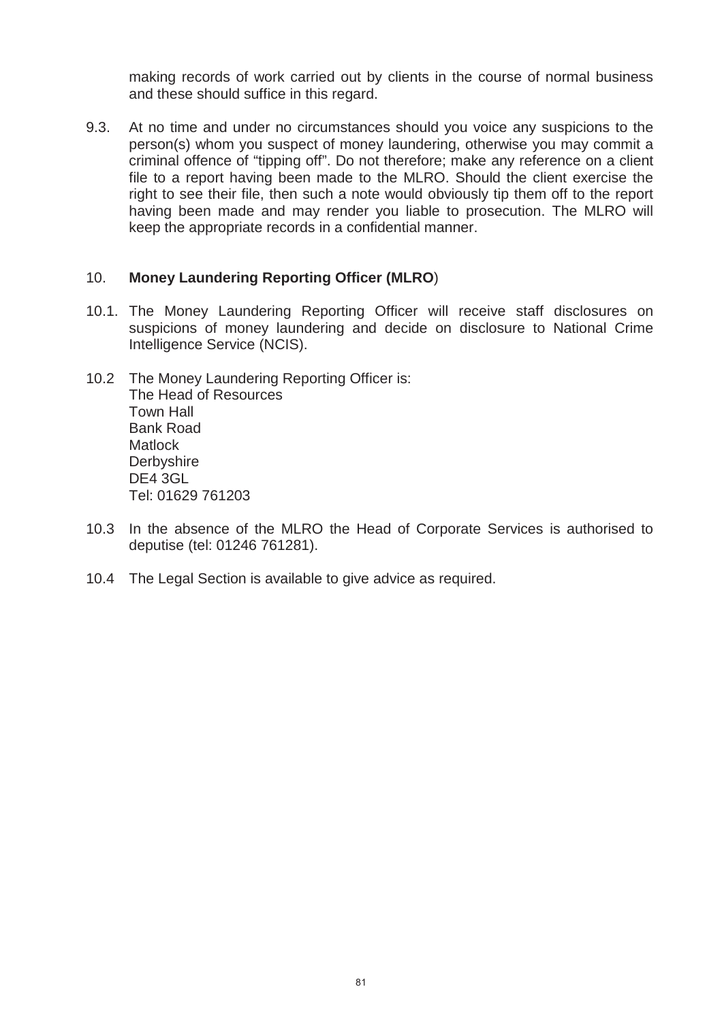making records of work carried out by clients in the course of normal business and these should suffice in this regard.

9.3. At no time and under no circumstances should you voice any suspicions to the person(s) whom you suspect of money laundering, otherwise you may commit a criminal offence of "tipping off". Do not therefore; make any reference on a client file to a report having been made to the MLRO. Should the client exercise the right to see their file, then such a note would obviously tip them off to the report having been made and may render you liable to prosecution. The MLRO will keep the appropriate records in a confidential manner.

### 10. **Money Laundering Reporting Officer (MLRO**)

- 10.1. The Money Laundering Reporting Officer will receive staff disclosures on suspicions of money laundering and decide on disclosure to National Crime Intelligence Service (NCIS).
- 10.2 The Money Laundering Reporting Officer is: The Head of Resources Town Hall Bank Road **Matlock Derbyshire** DE4 3GL Tel: 01629 761203
- 10.3 In the absence of the MLRO the Head of Corporate Services is authorised to deputise (tel: 01246 761281).
- 10.4 The Legal Section is available to give advice as required.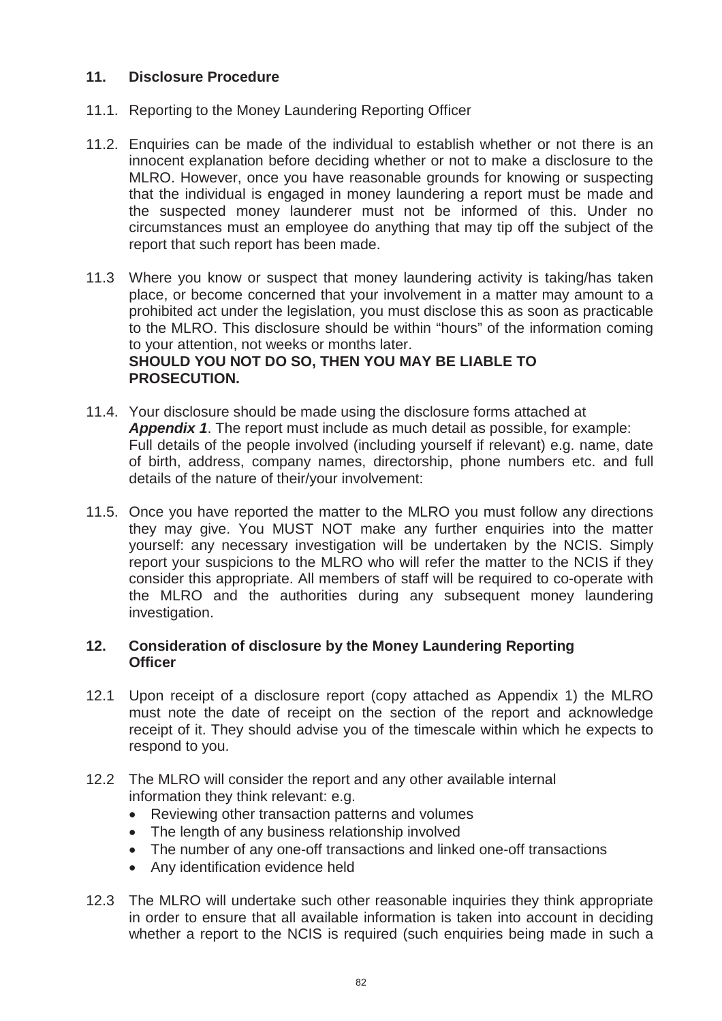### **11. Disclosure Procedure**

- 11.1. Reporting to the Money Laundering Reporting Officer
- 11.2. Enquiries can be made of the individual to establish whether or not there is an innocent explanation before deciding whether or not to make a disclosure to the MLRO. However, once you have reasonable grounds for knowing or suspecting that the individual is engaged in money laundering a report must be made and the suspected money launderer must not be informed of this. Under no circumstances must an employee do anything that may tip off the subject of the report that such report has been made.
- 11.3 Where you know or suspect that money laundering activity is taking/has taken place, or become concerned that your involvement in a matter may amount to a prohibited act under the legislation, you must disclose this as soon as practicable to the MLRO. This disclosure should be within "hours" of the information coming to your attention, not weeks or months later. **SHOULD YOU NOT DO SO, THEN YOU MAY BE LIABLE TO PROSECUTION.**
- 11.4. Your disclosure should be made using the disclosure forms attached at *Appendix 1*. The report must include as much detail as possible, for example: Full details of the people involved (including yourself if relevant) e.g. name, date of birth, address, company names, directorship, phone numbers etc. and full details of the nature of their/your involvement:
- 11.5. Once you have reported the matter to the MLRO you must follow any directions they may give. You MUST NOT make any further enquiries into the matter yourself: any necessary investigation will be undertaken by the NCIS. Simply report your suspicions to the MLRO who will refer the matter to the NCIS if they consider this appropriate. All members of staff will be required to co-operate with the MLRO and the authorities during any subsequent money laundering investigation.

### **12. Consideration of disclosure by the Money Laundering Reporting Officer**

- 12.1 Upon receipt of a disclosure report (copy attached as Appendix 1) the MLRO must note the date of receipt on the section of the report and acknowledge receipt of it. They should advise you of the timescale within which he expects to respond to you.
- 12.2 The MLRO will consider the report and any other available internal information they think relevant: e.g.
	- Reviewing other transaction patterns and volumes
	- The length of any business relationship involved
	- The number of any one-off transactions and linked one-off transactions
	- Any identification evidence held
- 12.3 The MLRO will undertake such other reasonable inquiries they think appropriate in order to ensure that all available information is taken into account in deciding whether a report to the NCIS is required (such enquiries being made in such a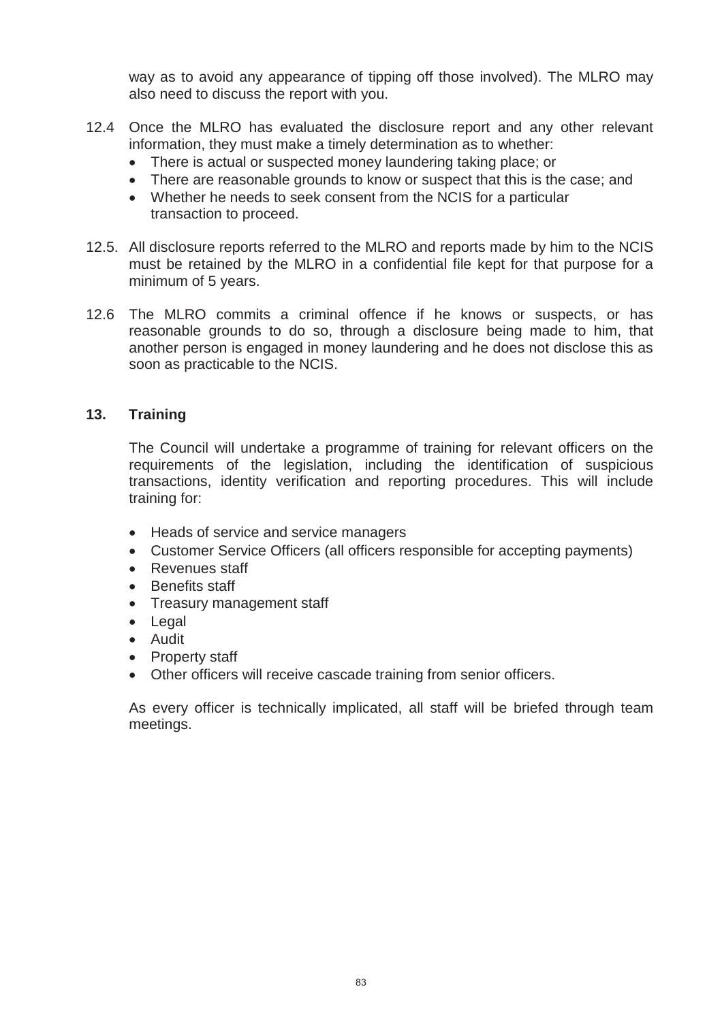way as to avoid any appearance of tipping off those involved). The MLRO may also need to discuss the report with you.

- 12.4 Once the MLRO has evaluated the disclosure report and any other relevant information, they must make a timely determination as to whether:
	- There is actual or suspected money laundering taking place; or
	- There are reasonable grounds to know or suspect that this is the case; and
	- Whether he needs to seek consent from the NCIS for a particular transaction to proceed.
- 12.5. All disclosure reports referred to the MLRO and reports made by him to the NCIS must be retained by the MLRO in a confidential file kept for that purpose for a minimum of 5 years.
- 12.6 The MLRO commits a criminal offence if he knows or suspects, or has reasonable grounds to do so, through a disclosure being made to him, that another person is engaged in money laundering and he does not disclose this as soon as practicable to the NCIS.

### **13. Training**

The Council will undertake a programme of training for relevant officers on the requirements of the legislation, including the identification of suspicious transactions, identity verification and reporting procedures. This will include training for:

- Heads of service and service managers
- Customer Service Officers (all officers responsible for accepting payments)
- Revenues staff
- Benefits staff
- Treasury management staff
- $\bullet$  Legal
- Audit
- Property staff
- Other officers will receive cascade training from senior officers.

As every officer is technically implicated, all staff will be briefed through team meetings.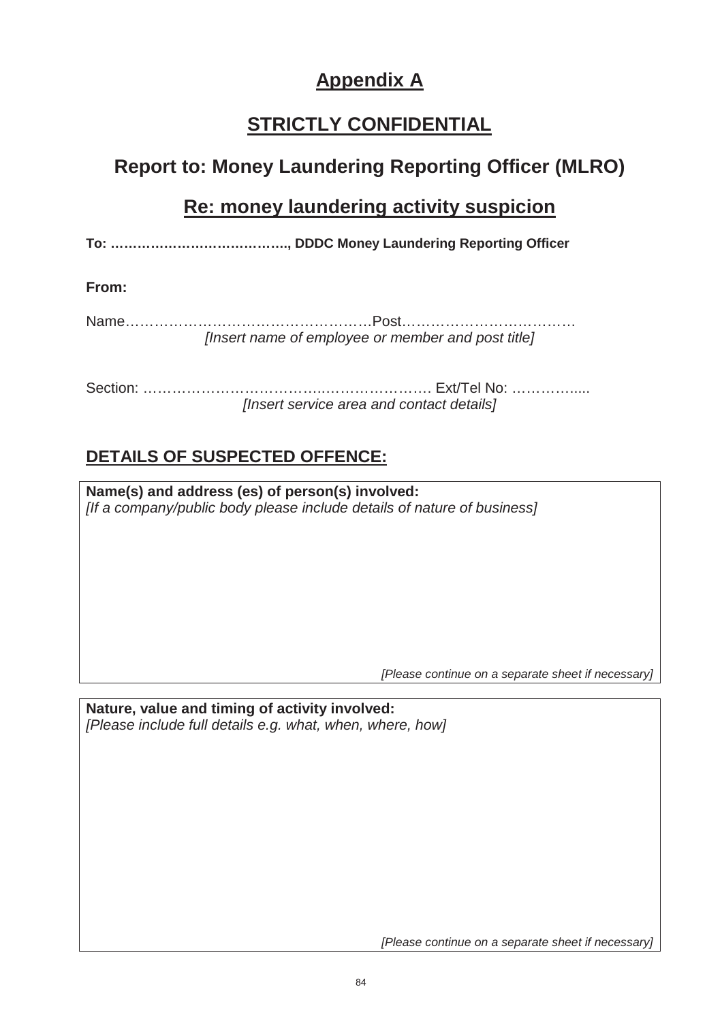# **Appendix A**

# **STRICTLY CONFIDENTIAL**

## **Report to: Money Laundering Reporting Officer (MLRO)**

## **Re: money laundering activity suspicion**

**To: …………………………………., DDDC Money Laundering Reporting Officer**

**From:**

Name……………………………………………Post……………………………… *[Insert name of employee or member and post title]*

Section: ………………………………..…………………. Ext/Tel No: …………..... *[Insert service area and contact details]*

## **DETAILS OF SUSPECTED OFFENCE:**

**Name(s) and address (es) of person(s) involved:** *[If a company/public body please include details of nature of business]*

*[Please continue on a separate sheet if necessary]*

**Nature, value and timing of activity involved:** *[Please include full details e.g. what, when, where, how]*

*[Please continue on a separate sheet if necessary]*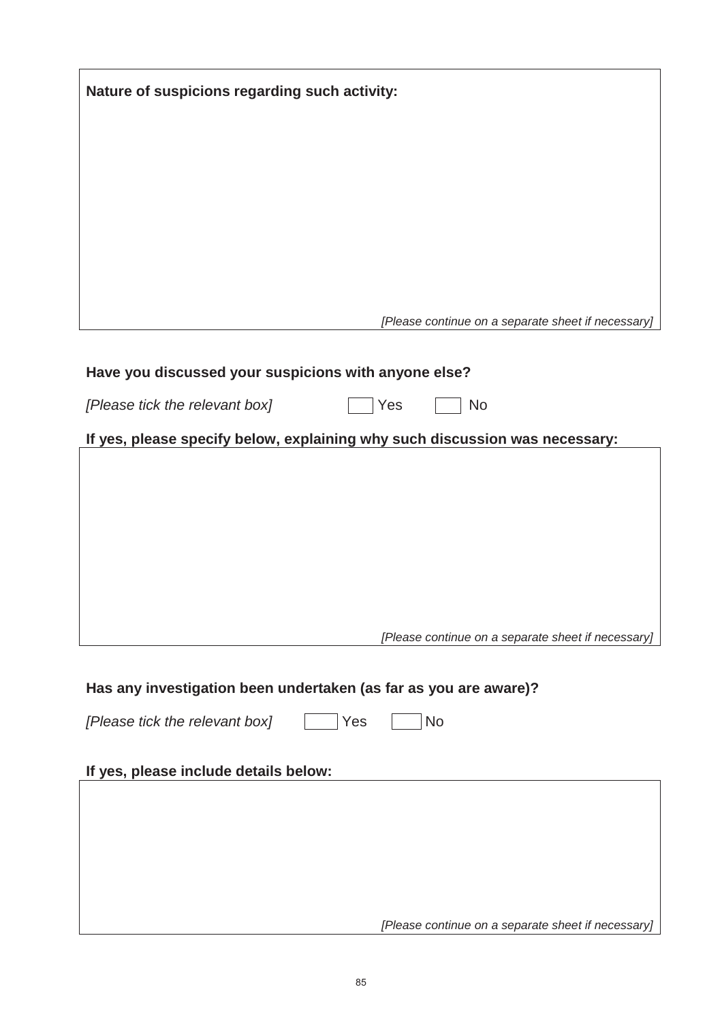| Nature of suspicions regarding such activity:                               |  |  |
|-----------------------------------------------------------------------------|--|--|
|                                                                             |  |  |
|                                                                             |  |  |
|                                                                             |  |  |
|                                                                             |  |  |
|                                                                             |  |  |
| [Please continue on a separate sheet if necessary]                          |  |  |
|                                                                             |  |  |
| Have you discussed your suspicions with anyone else?                        |  |  |
| Yes<br>[Please tick the relevant box]<br><b>No</b>                          |  |  |
| If yes, please specify below, explaining why such discussion was necessary: |  |  |
|                                                                             |  |  |
|                                                                             |  |  |
|                                                                             |  |  |
|                                                                             |  |  |
|                                                                             |  |  |
| [Please continue on a separate sheet if necessary]                          |  |  |
|                                                                             |  |  |
| Has any investigation been undertaken (as far as you are aware)?            |  |  |
| [Please tick the relevant box]<br>Yes<br><b>No</b>                          |  |  |
| If yes, please include details below:                                       |  |  |
|                                                                             |  |  |
|                                                                             |  |  |
|                                                                             |  |  |
|                                                                             |  |  |
| [Please continue on a separate sheet if necessary]                          |  |  |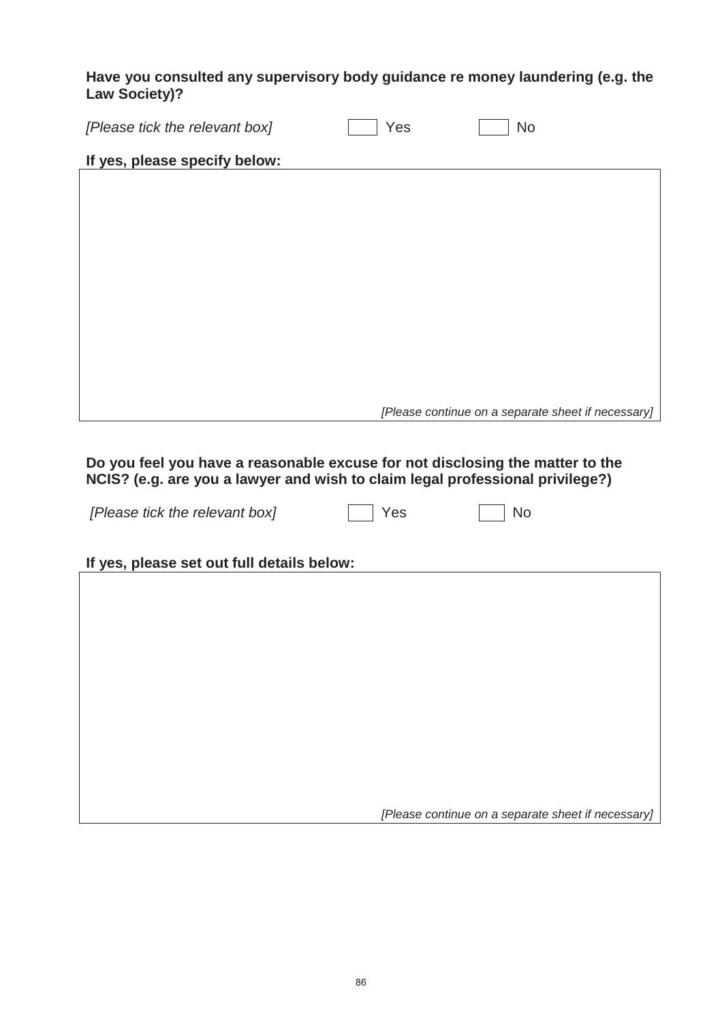**Have you consulted any supervisory body guidance re money laundering (e.g. the Law Society)?**

| [Please tick the relevant box] | Yes | <b>No</b>                                          |
|--------------------------------|-----|----------------------------------------------------|
| If yes, please specify below:  |     |                                                    |
|                                |     |                                                    |
|                                |     |                                                    |
|                                |     |                                                    |
|                                |     |                                                    |
|                                |     |                                                    |
|                                |     |                                                    |
|                                |     |                                                    |
|                                |     |                                                    |
|                                |     | [Please continue on a separate sheet if necessary] |
|                                |     |                                                    |

**Do you feel you have a reasonable excuse for not disclosing the matter to the NCIS? (e.g. are you a lawyer and wish to claim legal professional privilege?)**

*[Please tick the relevant box]* Yes No

| and the state of the state of the state of the state of the state of the state of the state of the state of th |  |
|----------------------------------------------------------------------------------------------------------------|--|

**If yes, please set out full details below:**

*[Please continue on a separate sheet if necessary]*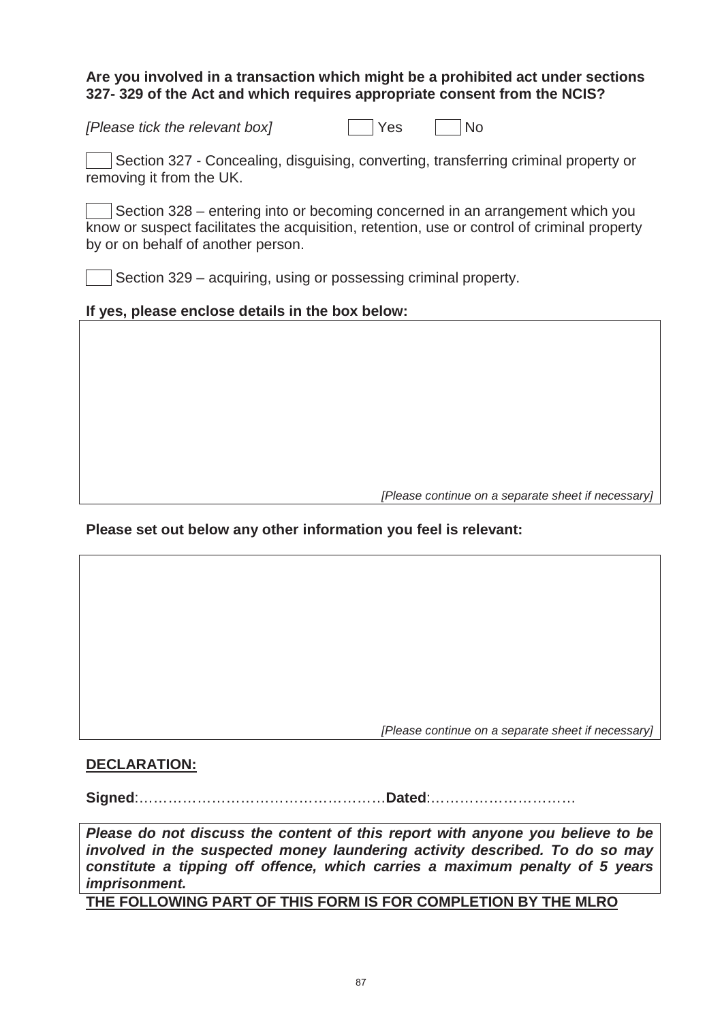### **Are you involved in a transaction which might be a prohibited act under sections 327- 329 of the Act and which requires appropriate consent from the NCIS?**

| [Please tick the relevant box] | Yes | <b>No</b> |
|--------------------------------|-----|-----------|
|                                |     |           |

Section 327 - Concealing, disguising, converting, transferring criminal property or removing it from the UK.

Section 328 – entering into or becoming concerned in an arrangement which you know or suspect facilitates the acquisition, retention, use or control of criminal property by or on behalf of another person.

Section 329 – acquiring, using or possessing criminal property.

### **If yes, please enclose details in the box below:**

*[Please continue on a separate sheet if necessary]*

### **Please set out below any other information you feel is relevant:**

*[Please continue on a separate sheet if necessary]*

#### **DECLARATION:**

**Signed**:……………………………………………**Dated**:…………………………

*Please do not discuss the content of this report with anyone you believe to be involved in the suspected money laundering activity described. To do so may constitute a tipping off offence, which carries a maximum penalty of 5 years imprisonment.*

**THE FOLLOWING PART OF THIS FORM IS FOR COMPLETION BY THE MLRO**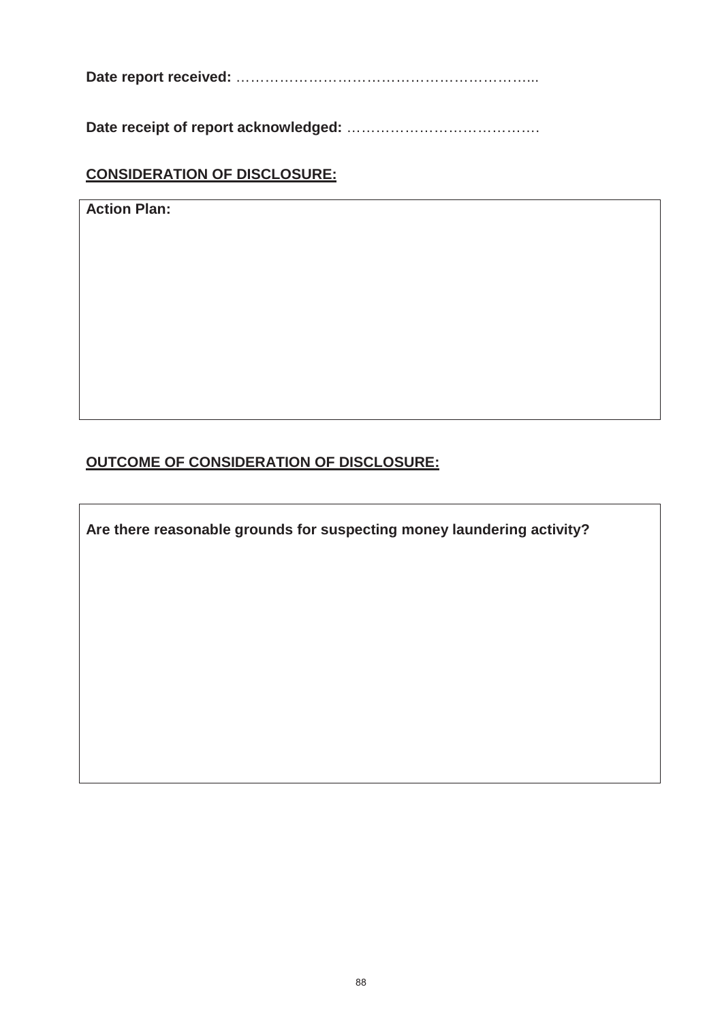**Date report received:** ……………………………………………………...

**Date receipt of report acknowledged:** ………………………………….

### **CONSIDERATION OF DISCLOSURE:**

**Action Plan:** 

### **OUTCOME OF CONSIDERATION OF DISCLOSURE:**

**Are there reasonable grounds for suspecting money laundering activity?**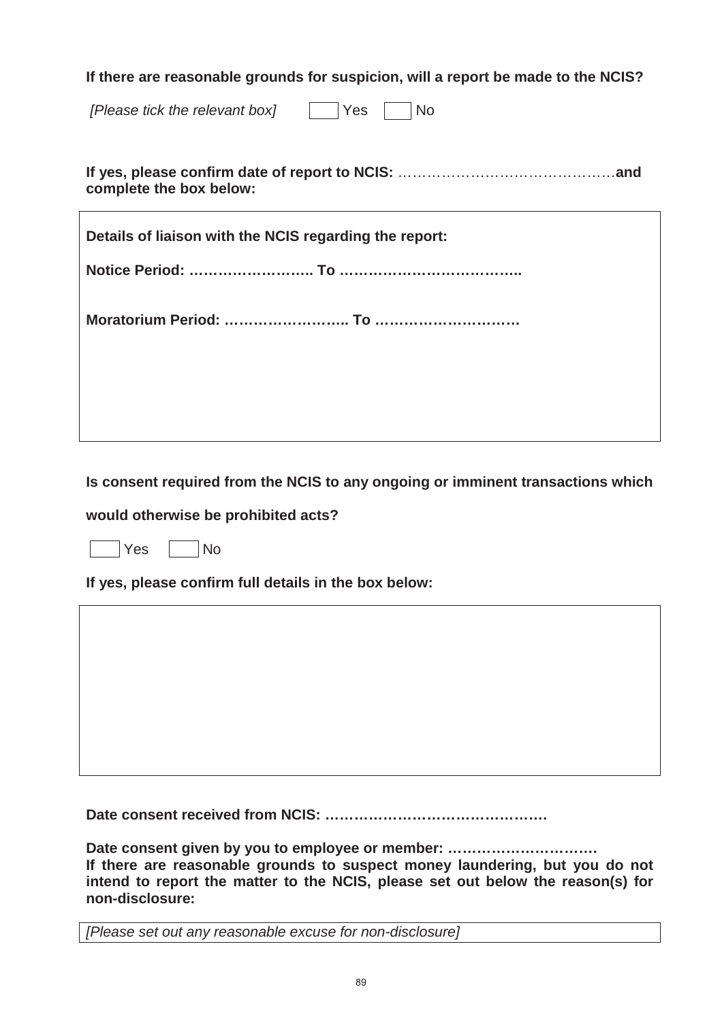**If there are reasonable grounds for suspicion, will a report be made to the NCIS?**

*[Please tick the relevant box]*  $\Box$  Yes  $\Box$  No

**If yes, please confirm date of report to NCIS:** ………………………………………**and complete the box below:**

| Details of liaison with the NCIS regarding the report: |  |  |  |  |
|--------------------------------------------------------|--|--|--|--|
|                                                        |  |  |  |  |
|                                                        |  |  |  |  |
|                                                        |  |  |  |  |

**Is consent required from the NCIS to any ongoing or imminent transactions which** 

**would otherwise be prohibited acts?** 

Yes No

**If yes, please confirm full details in the box below:**

**Date consent received from NCIS: ……………………………………….**

**Date consent given by you to employee or member: …………………………. If there are reasonable grounds to suspect money laundering, but you do not intend to report the matter to the NCIS, please set out below the reason(s) for non-disclosure:**

*[Please set out any reasonable excuse for non-disclosure]*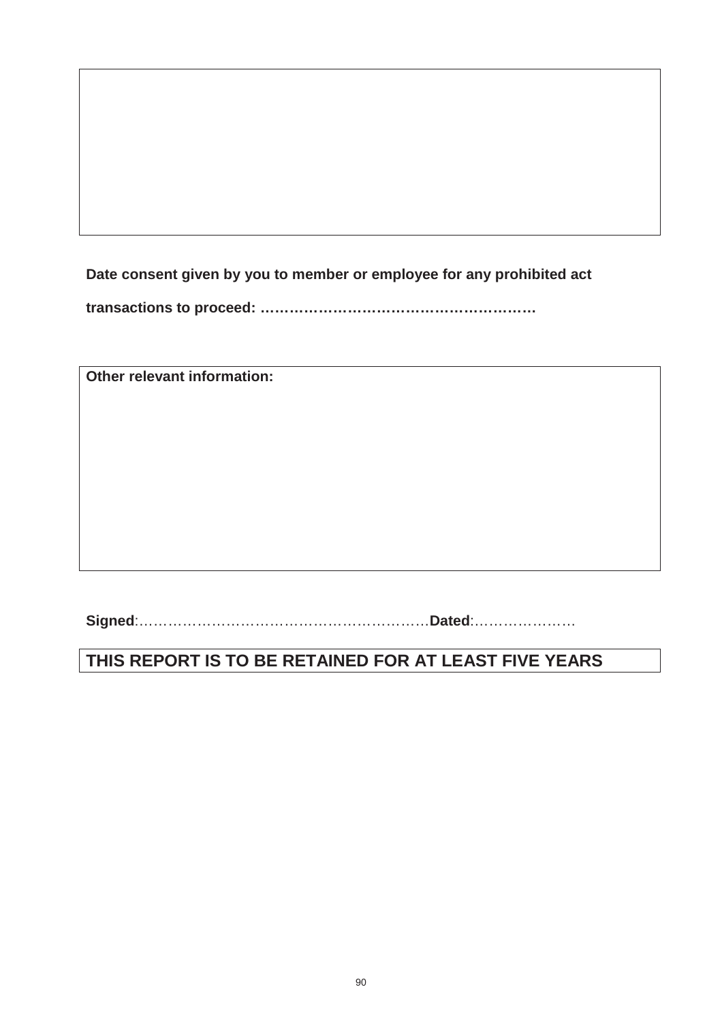**Date consent given by you to member or employee for any prohibited act** 

**transactions to proceed: …………………………………………………** 

**Other relevant information:**

**Signed**:……………………………………………………**Dated**:…………………

## **THIS REPORT IS TO BE RETAINED FOR AT LEAST FIVE YEARS**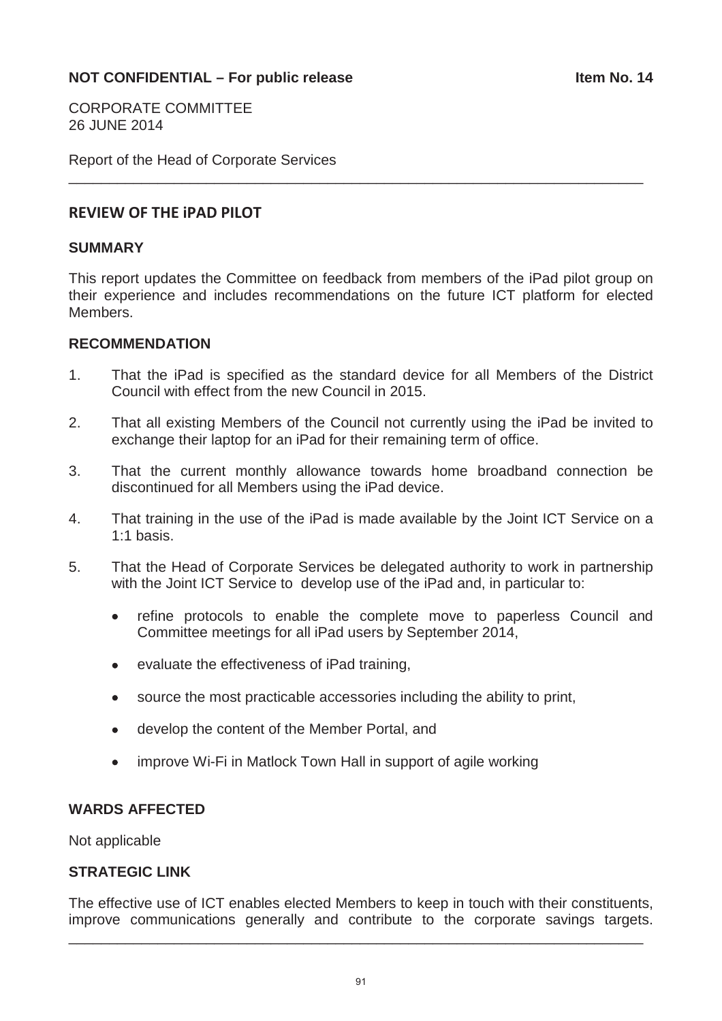CORPORATE COMMITTEE 26 JUNE 2014

Report of the Head of Corporate Services

### **REVIEW OF THE iPAD PILOT**

### **SUMMARY**

This report updates the Committee on feedback from members of the iPad pilot group on their experience and includes recommendations on the future ICT platform for elected Members.

\_\_\_\_\_\_\_\_\_\_\_\_\_\_\_\_\_\_\_\_\_\_\_\_\_\_\_\_\_\_\_\_\_\_\_\_\_\_\_\_\_\_\_\_\_\_\_\_\_\_\_\_\_\_\_\_\_\_\_\_\_\_\_\_\_\_\_\_\_\_\_

#### **RECOMMENDATION**

- 1. That the iPad is specified as the standard device for all Members of the District Council with effect from the new Council in 2015.
- 2. That all existing Members of the Council not currently using the iPad be invited to exchange their laptop for an iPad for their remaining term of office.
- 3. That the current monthly allowance towards home broadband connection be discontinued for all Members using the iPad device.
- 4. That training in the use of the iPad is made available by the Joint ICT Service on a 1:1 basis.
- 5. That the Head of Corporate Services be delegated authority to work in partnership with the Joint ICT Service to develop use of the iPad and, in particular to:
	- refine protocols to enable the complete move to paperless Council and Committee meetings for all iPad users by September 2014,
	- evaluate the effectiveness of iPad training,
	- source the most practicable accessories including the ability to print,
	- develop the content of the Member Portal, and
	- improve Wi-Fi in Matlock Town Hall in support of agile working

### **WARDS AFFECTED**

Not applicable

### **STRATEGIC LINK**

The effective use of ICT enables elected Members to keep in touch with their constituents, improve communications generally and contribute to the corporate savings targets.

\_\_\_\_\_\_\_\_\_\_\_\_\_\_\_\_\_\_\_\_\_\_\_\_\_\_\_\_\_\_\_\_\_\_\_\_\_\_\_\_\_\_\_\_\_\_\_\_\_\_\_\_\_\_\_\_\_\_\_\_\_\_\_\_\_\_\_\_\_\_\_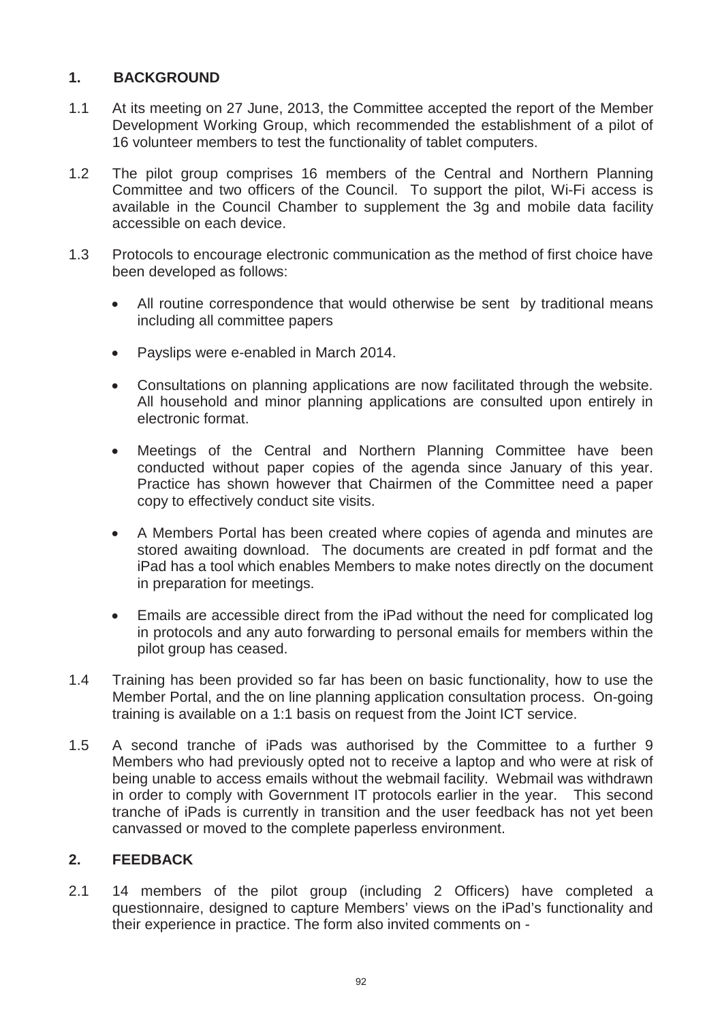### **1. BACKGROUND**

- 1.1 At its meeting on 27 June, 2013, the Committee accepted the report of the Member Development Working Group, which recommended the establishment of a pilot of 16 volunteer members to test the functionality of tablet computers.
- 1.2 The pilot group comprises 16 members of the Central and Northern Planning Committee and two officers of the Council. To support the pilot, Wi-Fi access is available in the Council Chamber to supplement the 3g and mobile data facility accessible on each device.
- 1.3 Protocols to encourage electronic communication as the method of first choice have been developed as follows:
	- All routine correspondence that would otherwise be sent by traditional means including all committee papers
	- Payslips were e-enabled in March 2014.
	- Consultations on planning applications are now facilitated through the website. All household and minor planning applications are consulted upon entirely in electronic format.
	- Meetings of the Central and Northern Planning Committee have been conducted without paper copies of the agenda since January of this year. Practice has shown however that Chairmen of the Committee need a paper copy to effectively conduct site visits.
	- A Members Portal has been created where copies of agenda and minutes are stored awaiting download. The documents are created in pdf format and the iPad has a tool which enables Members to make notes directly on the document in preparation for meetings.
	- Emails are accessible direct from the iPad without the need for complicated log in protocols and any auto forwarding to personal emails for members within the pilot group has ceased.
- 1.4 Training has been provided so far has been on basic functionality, how to use the Member Portal, and the on line planning application consultation process. On-going training is available on a 1:1 basis on request from the Joint ICT service.
- 1.5 A second tranche of iPads was authorised by the Committee to a further 9 Members who had previously opted not to receive a laptop and who were at risk of being unable to access emails without the webmail facility. Webmail was withdrawn in order to comply with Government IT protocols earlier in the year. This second tranche of iPads is currently in transition and the user feedback has not yet been canvassed or moved to the complete paperless environment.

### **2. FEEDBACK**

2.1 14 members of the pilot group (including 2 Officers) have completed a questionnaire, designed to capture Members' views on the iPad's functionality and their experience in practice. The form also invited comments on -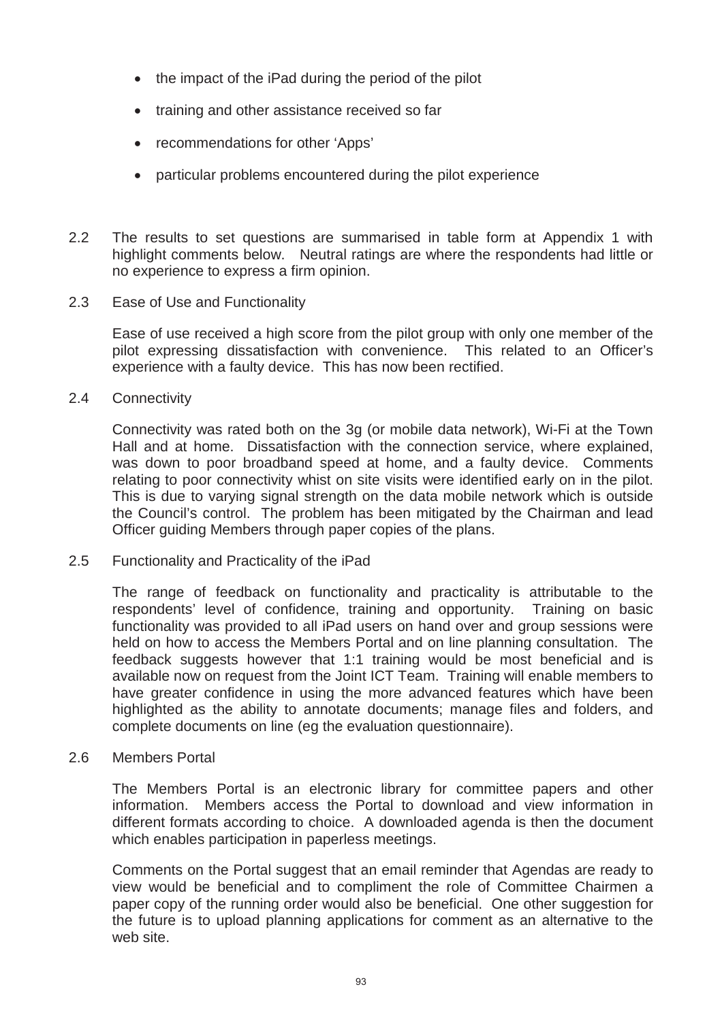- $\bullet$  the impact of the iPad during the period of the pilot
- training and other assistance received so far
- recommendations for other 'Apps'
- particular problems encountered during the pilot experience
- 2.2 The results to set questions are summarised in table form at Appendix 1 with highlight comments below. Neutral ratings are where the respondents had little or no experience to express a firm opinion.
- 2.3 Ease of Use and Functionality

Ease of use received a high score from the pilot group with only one member of the pilot expressing dissatisfaction with convenience. This related to an Officer's experience with a faulty device. This has now been rectified.

2.4 Connectivity

Connectivity was rated both on the 3g (or mobile data network), Wi-Fi at the Town Hall and at home. Dissatisfaction with the connection service, where explained, was down to poor broadband speed at home, and a faulty device. Comments relating to poor connectivity whist on site visits were identified early on in the pilot. This is due to varying signal strength on the data mobile network which is outside the Council's control. The problem has been mitigated by the Chairman and lead Officer guiding Members through paper copies of the plans.

2.5 Functionality and Practicality of the iPad

The range of feedback on functionality and practicality is attributable to the respondents' level of confidence, training and opportunity. Training on basic functionality was provided to all iPad users on hand over and group sessions were held on how to access the Members Portal and on line planning consultation. The feedback suggests however that 1:1 training would be most beneficial and is available now on request from the Joint ICT Team. Training will enable members to have greater confidence in using the more advanced features which have been highlighted as the ability to annotate documents; manage files and folders, and complete documents on line (eg the evaluation questionnaire).

2.6 Members Portal

The Members Portal is an electronic library for committee papers and other information. Members access the Portal to download and view information in different formats according to choice. A downloaded agenda is then the document which enables participation in paperless meetings.

Comments on the Portal suggest that an email reminder that Agendas are ready to view would be beneficial and to compliment the role of Committee Chairmen a paper copy of the running order would also be beneficial. One other suggestion for the future is to upload planning applications for comment as an alternative to the web site.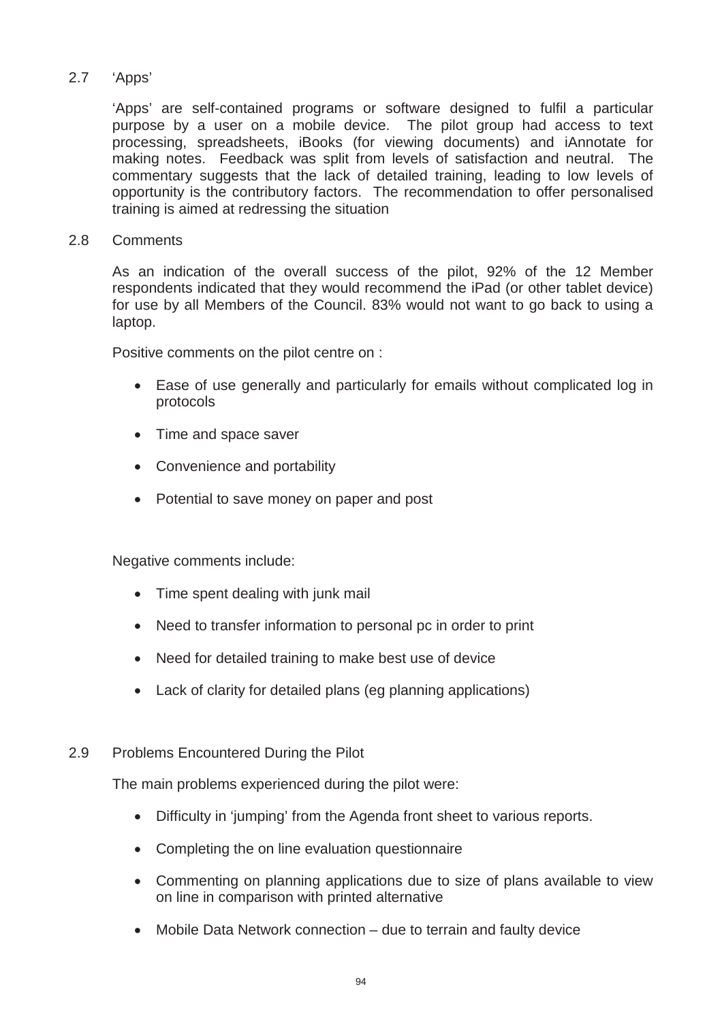### 2.7 'Apps'

'Apps' are self-contained programs or software designed to fulfil a particular purpose by a user on a mobile device. The pilot group had access to text processing, spreadsheets, iBooks (for viewing documents) and iAnnotate for making notes. Feedback was split from levels of satisfaction and neutral. The commentary suggests that the lack of detailed training, leading to low levels of opportunity is the contributory factors. The recommendation to offer personalised training is aimed at redressing the situation

#### 2.8 Comments

As an indication of the overall success of the pilot, 92% of the 12 Member respondents indicated that they would recommend the iPad (or other tablet device) for use by all Members of the Council. 83% would not want to go back to using a laptop.

Positive comments on the pilot centre on :

- Ease of use generally and particularly for emails without complicated log in protocols
- Time and space saver
- Convenience and portability
- Potential to save money on paper and post

Negative comments include:

- Time spent dealing with junk mail
- Need to transfer information to personal pc in order to print
- Need for detailed training to make best use of device
- Lack of clarity for detailed plans (eg planning applications)

### 2.9 Problems Encountered During the Pilot

The main problems experienced during the pilot were:

- Difficulty in 'iumping' from the Agenda front sheet to various reports.
- Completing the on line evaluation questionnaire
- Commenting on planning applications due to size of plans available to view on line in comparison with printed alternative
- $\bullet$  Mobile Data Network connection due to terrain and faulty device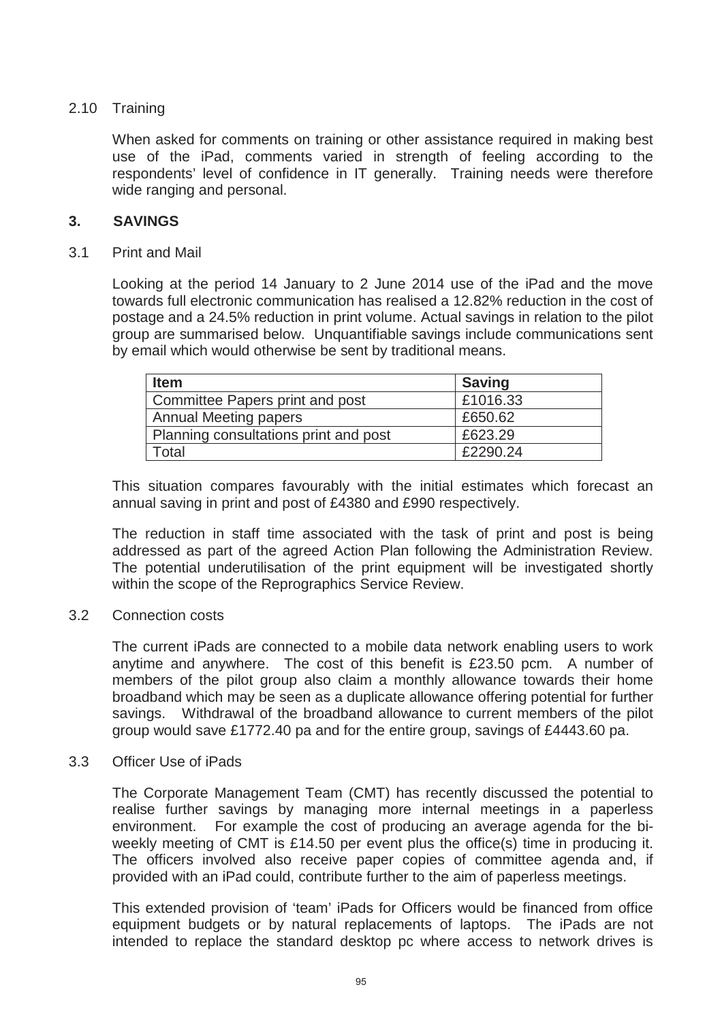### 2.10 Training

When asked for comments on training or other assistance required in making best use of the iPad, comments varied in strength of feeling according to the respondents' level of confidence in IT generally. Training needs were therefore wide ranging and personal.

### **3. SAVINGS**

3.1 Print and Mail

Looking at the period 14 January to 2 June 2014 use of the iPad and the move towards full electronic communication has realised a 12.82% reduction in the cost of postage and a 24.5% reduction in print volume. Actual savings in relation to the pilot group are summarised below. Unquantifiable savings include communications sent by email which would otherwise be sent by traditional means.

| <b>Item</b>                           | <b>Saving</b> |
|---------------------------------------|---------------|
| Committee Papers print and post       | £1016.33      |
| <b>Annual Meeting papers</b>          | £650.62       |
| Planning consultations print and post | £623.29       |
| Total                                 | £2290.24      |

This situation compares favourably with the initial estimates which forecast an annual saving in print and post of £4380 and £990 respectively.

The reduction in staff time associated with the task of print and post is being addressed as part of the agreed Action Plan following the Administration Review. The potential underutilisation of the print equipment will be investigated shortly within the scope of the Reprographics Service Review.

#### 3.2 Connection costs

The current iPads are connected to a mobile data network enabling users to work anytime and anywhere. The cost of this benefit is £23.50 pcm. A number of members of the pilot group also claim a monthly allowance towards their home broadband which may be seen as a duplicate allowance offering potential for further savings. Withdrawal of the broadband allowance to current members of the pilot group would save £1772.40 pa and for the entire group, savings of £4443.60 pa.

#### 3.3 Officer Use of iPads

The Corporate Management Team (CMT) has recently discussed the potential to realise further savings by managing more internal meetings in a paperless environment. For example the cost of producing an average agenda for the biweekly meeting of CMT is £14.50 per event plus the office(s) time in producing it. The officers involved also receive paper copies of committee agenda and, if provided with an iPad could, contribute further to the aim of paperless meetings.

This extended provision of 'team' iPads for Officers would be financed from office equipment budgets or by natural replacements of laptops. The iPads are not intended to replace the standard desktop pc where access to network drives is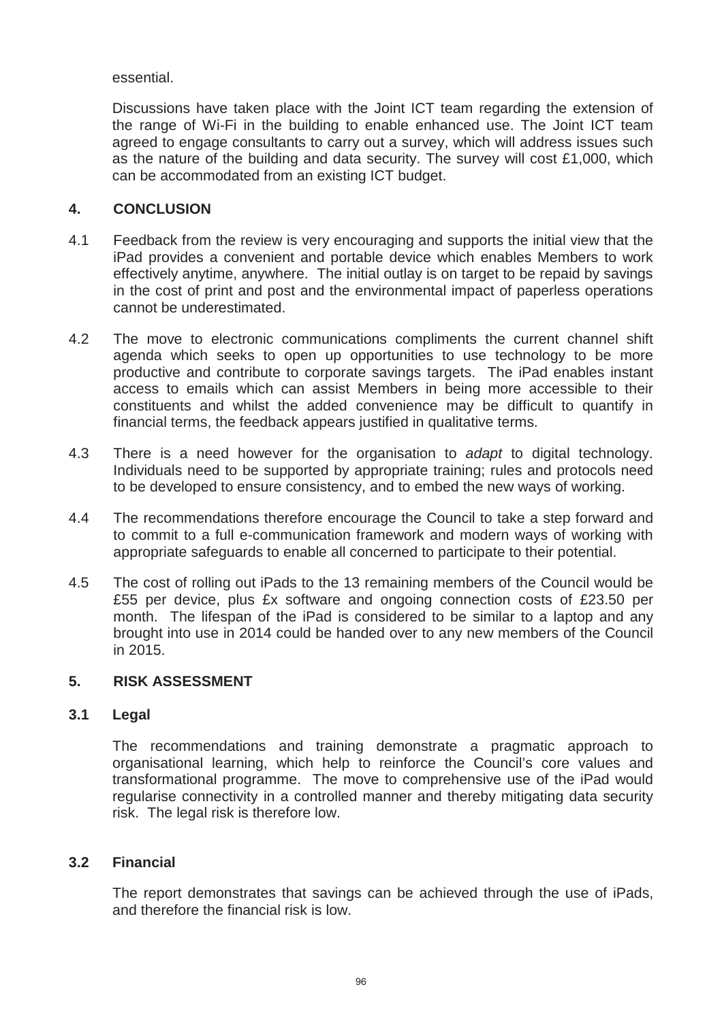essential.

Discussions have taken place with the Joint ICT team regarding the extension of the range of Wi-Fi in the building to enable enhanced use. The Joint ICT team agreed to engage consultants to carry out a survey, which will address issues such as the nature of the building and data security. The survey will cost £1,000, which can be accommodated from an existing ICT budget.

### **4. CONCLUSION**

- 4.1 Feedback from the review is very encouraging and supports the initial view that the iPad provides a convenient and portable device which enables Members to work effectively anytime, anywhere. The initial outlay is on target to be repaid by savings in the cost of print and post and the environmental impact of paperless operations cannot be underestimated.
- 4.2 The move to electronic communications compliments the current channel shift agenda which seeks to open up opportunities to use technology to be more productive and contribute to corporate savings targets. The iPad enables instant access to emails which can assist Members in being more accessible to their constituents and whilst the added convenience may be difficult to quantify in financial terms, the feedback appears justified in qualitative terms.
- 4.3 There is a need however for the organisation to *adapt* to digital technology. Individuals need to be supported by appropriate training; rules and protocols need to be developed to ensure consistency, and to embed the new ways of working.
- 4.4 The recommendations therefore encourage the Council to take a step forward and to commit to a full e-communication framework and modern ways of working with appropriate safeguards to enable all concerned to participate to their potential.
- 4.5 The cost of rolling out iPads to the 13 remaining members of the Council would be £55 per device, plus £x software and ongoing connection costs of £23.50 per month. The lifespan of the iPad is considered to be similar to a laptop and any brought into use in 2014 could be handed over to any new members of the Council in 2015.

### **5. RISK ASSESSMENT**

### **3.1 Legal**

The recommendations and training demonstrate a pragmatic approach to organisational learning, which help to reinforce the Council's core values and transformational programme. The move to comprehensive use of the iPad would regularise connectivity in a controlled manner and thereby mitigating data security risk. The legal risk is therefore low.

### **3.2 Financial**

The report demonstrates that savings can be achieved through the use of iPads, and therefore the financial risk is low.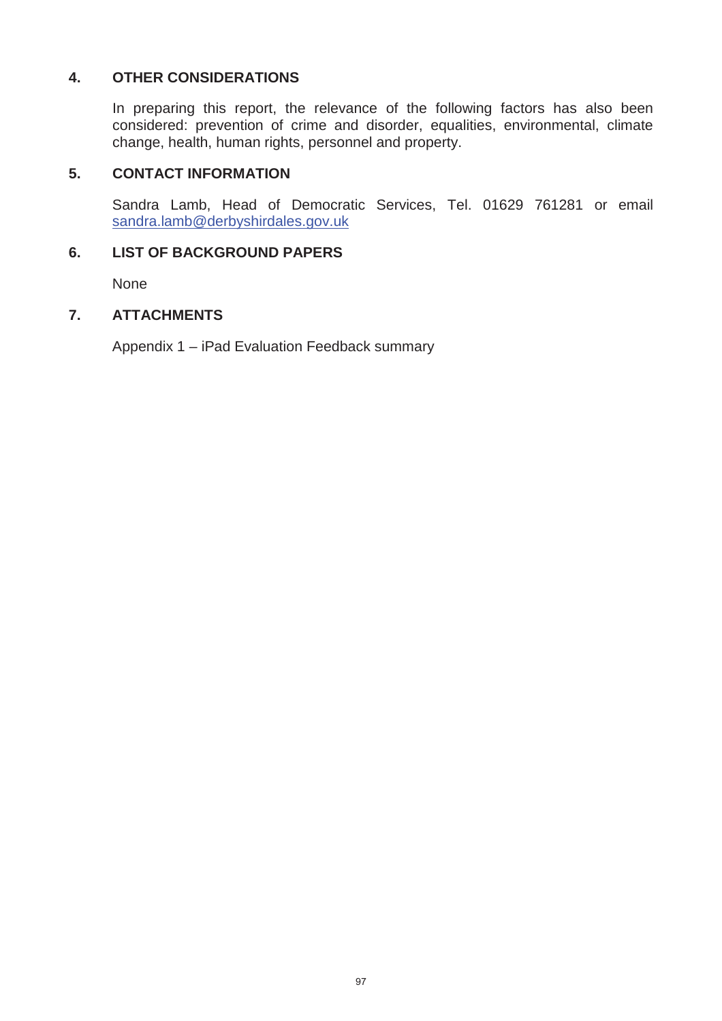### **4. OTHER CONSIDERATIONS**

In preparing this report, the relevance of the following factors has also been considered: prevention of crime and disorder, equalities, environmental, climate change, health, human rights, personnel and property.

#### **5. CONTACT INFORMATION**

Sandra Lamb, Head of Democratic Services, Tel. 01629 761281 or email sandra.lamb@derbyshirdales.gov.uk

### **6. LIST OF BACKGROUND PAPERS**

None

#### **7. ATTACHMENTS**

Appendix 1 – iPad Evaluation Feedback summary